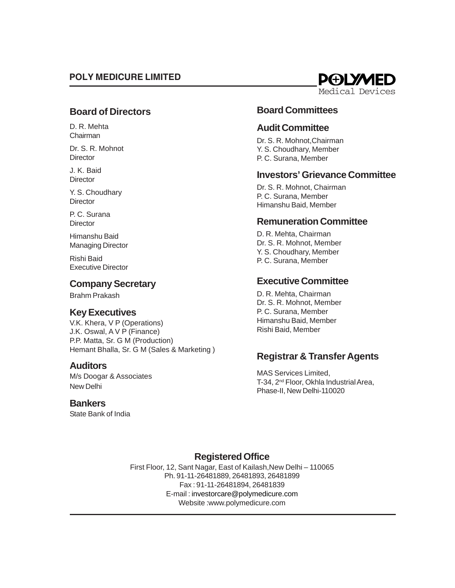

D. R. Mehta Chairman

Dr. S. R. Mohnot **Director** 

J. K. Baid **Director** 

Y. S. Choudhary **Director** 

P. C. Surana **Director** 

Himanshu Baid Managing Director

Rishi Baid Executive Director

# **Company Secretary**

Brahm Prakash

# **Key Executives**

V.K. Khera, V P (Operations) J.K. Oswal, A V P (Finance) P.P. Matta, Sr. G M (Production) Hemant Bhalla, Sr. G M (Sales & Marketing )

# **Auditors**

M/s Doogar & Associates New Delhi

# **Bankers**

State Bank of India



# **Board Committees**

# **Audit Committee**

Dr. S. R. Mohnot,Chairman Y. S. Choudhary, Member P. C. Surana, Member

# **Investors' Grievance Committee**

Dr. S. R. Mohnot, Chairman P. C. Surana, Member Himanshu Baid, Member

# **Remuneration Committee**

D. R. Mehta, Chairman Dr. S. R. Mohnot, Member Y. S. Choudhary, Member P. C. Surana, Member

# **Executive Committee**

D. R. Mehta, Chairman Dr. S. R. Mohnot, Member P. C. Surana, Member Himanshu Baid, Member Rishi Baid, Member

# **Registrar & Transfer Agents**

MAS Services Limited, T-34, 2nd Floor, Okhla Industrial Area, Phase-II, New Delhi-110020

# **Registered Office**

First Floor, 12, Sant Nagar, East of Kailash,New Delhi – 110065 Ph. 91-11-26481889, 26481893, 26481899 Fax : 91-11-26481894, 26481839 E-mail : investorcare@polymedicure.com Website :www.polymedicure.com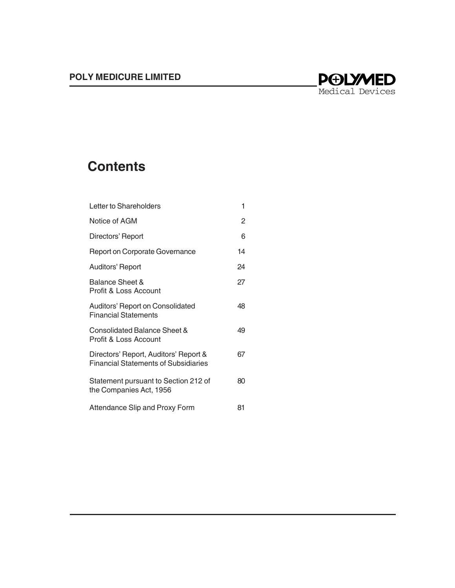

# **Contents**

| Letter to Shareholders                                                               | 1  |
|--------------------------------------------------------------------------------------|----|
| Notice of AGM                                                                        | 2  |
| Directors' Report                                                                    | 6  |
| Report on Corporate Governance                                                       | 14 |
| Auditors' Report                                                                     | 24 |
| Balance Sheet &<br>Profit & Loss Account                                             | 27 |
| Auditors' Report on Consolidated<br><b>Financial Statements</b>                      | 48 |
| Consolidated Balance Sheet &<br>Profit & Loss Account                                | 49 |
| Directors' Report, Auditors' Report &<br><b>Financial Statements of Subsidiaries</b> | 67 |
| Statement pursuant to Section 212 of<br>the Companies Act, 1956                      | 80 |
| Attendance Slip and Proxy Form                                                       | 81 |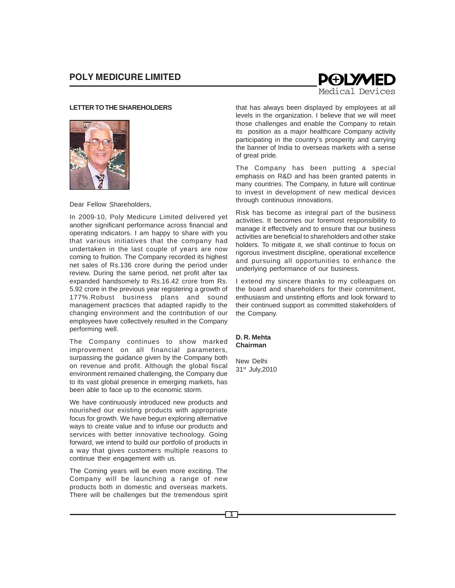# **LETTER TO THE SHAREHOLDERS**



Dear Fellow Shareholders,

In 2009-10, Poly Medicure Limited delivered yet another significant performance across financial and operating indicators. I am happy to share with you that various initiatives that the company had undertaken in the last couple of years are now coming to fruition. The Company recorded its highest net sales of Rs.136 crore during the period under review. During the same period, net profit after tax expanded handsomely to Rs.16.42 crore from Rs. 5.92 crore in the previous year registering a growth of 177%.Robust business plans and sound management practices that adapted rapidly to the changing environment and the contribution of our employees have collectively resulted in the Company performing well.

The Company continues to show marked improvement on all financial parameters, surpassing the guidance given by the Company both on revenue and profit. Although the global fiscal environment remained challenging, the Company due to its vast global presence in emerging markets, has been able to face up to the economic storm.

We have continuously introduced new products and nourished our existing products with appropriate focus for growth. We have begun exploring alternative ways to create value and to infuse our products and services with better innovative technology. Going forward, we intend to build our portfolio of products in a way that gives customers multiple reasons to continue their engagement with us.

The Coming years will be even more exciting. The Company will be launching a range of new products both in domestic and overseas markets. There will be challenges but the tremendous spirit

D<del>(+)</del>I YMEI Medical Devices

that has always been displayed by employees at all levels in the organization. I believe that we will meet those challenges and enable the Company to retain its position as a major healthcare Company activity participating in the country's prosperity and carrying the banner of India to overseas markets with a sense of great pride.

The Company has been putting a special emphasis on R&D and has been granted patents in many countries. The Company, in future will continue to invest in development of new medical devices through continuous innovations.

Risk has become as integral part of the business activities. It becomes our foremost responsibility to manage it effectively and to ensure that our business activities are beneficial to shareholders and other stake holders. To mitigate it, we shall continue to focus on rigorous investment discipline, operational excellence and pursuing all opportunities to enhance the underlying performance of our business.

I extend my sincere thanks to my colleagues on the board and shareholders for their commitment, enthusiasm and unstinting efforts and look forward to their continued support as committed stakeholders of the Company.

**D. R. Mehta Chairman**

New Delhi 31<sup>st</sup> July, 2010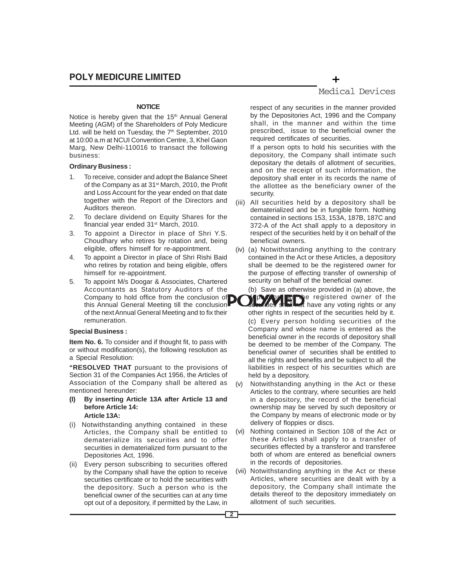# **NOTICE**

Notice is hereby given that the 15<sup>th</sup> Annual General Meeting (AGM) of the Shareholders of Poly Medicure Ltd. will be held on Tuesday, the 7<sup>th</sup> September, 2010 at 10:00 a.m at NCUI Convention Centre, 3, Khel Gaon Marg, New Delhi-110016 to transact the following business:

# **Ordinary Business :**

- 1. To receive, consider and adopt the Balance Sheet of the Company as at 31<sup>st</sup> March, 2010, the Profit and Loss Account for the year ended on that date together with the Report of the Directors and Auditors thereon.
- 2. To declare dividend on Equity Shares for the financial year ended 31<sup>st</sup> March, 2010.
- 3. To appoint a Director in place of Shri Y.S. Choudhary who retires by rotation and, being eligible, offers himself for re-appointment.
- 4. To appoint a Director in place of Shri Rishi Baid who retires by rotation and being eligible, offers himself for re-appointment.
- 5. To appoint M/s Doogar & Associates, Chartered Accountants as Statutory Auditors of the Company to hold office from the conclusion of this Annual General Meeting till the conclusion of the next Annual General Meeting and to fix their remuneration.

## **Special Business :**

**Item No. 6.** To consider and if thought fit, to pass with or without modification(s), the following resolution as a Special Resolution:

**"RESOLVED THAT** pursuant to the provisions of Section 31 of the Companies Act 1956, the Articles of Association of the Company shall be altered as mentioned hereunder:

- **(I) By inserting Article 13A after Article 13 and before Article 14: Article 13A:**
- (i) Notwithstanding anything contained in these Articles, the Company shall be entitled to dematerialize its securities and to offer securities in dematerialized form pursuant to the Depositories Act, 1996.
- (ii) Every person subscribing to securities offered by the Company shall have the option to receive securities certificate or to hold the securities with the depository. Such a person who is the beneficial owner of the securities can at any time opt out of a depository, if permitted by the Law, in

# Medical Devices

respect of any securities in the manner provided by the Depositories Act, 1996 and the Company shall, in the manner and within the time prescribed, issue to the beneficial owner the required certificates of securities.

If a person opts to hold his securities with the depository, the Company shall intimate such depositary the details of allotment of securities, and on the receipt of such information, the depository shall enter in its records the name of the allottee as the beneficiary owner of the security.

- (iii) All securities held by a depository shall be dematerialized and be in fungible form. Nothing contained in sections 153, 153A, 187B, 187C and 372-A of the Act shall apply to a depository in respect of the securities held by it on behalf of the beneficial owners.
- (iv) (a) Notwithstanding anything to the contrary contained in the Act or these Articles, a depository shall be deemed to be the registered owner for the purpose of effecting transfer of ownership of security on behalf of the beneficial owner.
- (b) Save as otherwise provided in (a) above, the de registered owner of the ot have any voting rights or any other rights in respect of the securities held by it. (c) Every person holding securities of the Company and whose name is entered as the beneficial owner in the records of depository shall be deemed to be member of the Company. The beneficial owner of securities shall be entitled to all the rights and benefits and be subject to all the liabilities in respect of his securities which are held by a depository.
- (v) Notwithstanding anything in the Act or these Articles to the contrary, where securities are held in a depository, the record of the beneficial ownership may be served by such depository or the Company by means of electronic mode or by delivery of floppies or discs.
- (vi) Nothing contained in Section 108 of the Act or these Articles shall apply to a transfer of securities effected by a transferor and transferee both of whom are entered as beneficial owners in the records of depositories.
- (vii) Notwithstanding anything in the Act or these Articles, where securities are dealt with by a depository, the Company shall intimate the details thereof to the depository immediately on allotment of such securities.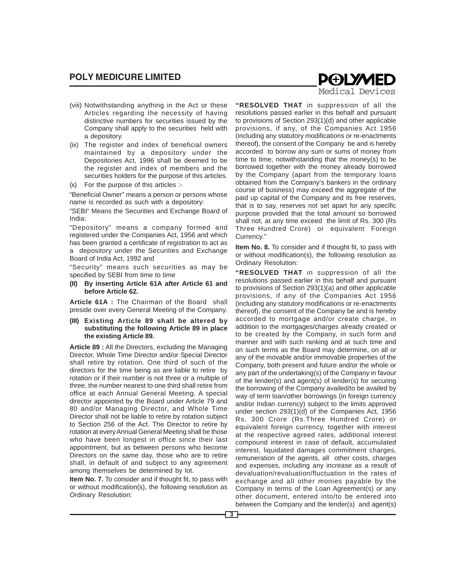- (viii) Notwithstanding anything in the Act or these Articles regarding the necessity of having distinctive numbers for securities issued by the Company shall apply to the securities held with a depository.
- (ix) The register and index of beneficial owners maintained by a depository under the Depositories Act, 1996 shall be deemed to be the register and index of members and the securities holders for the purpose of this articles.
- (x) For the purpose of this articles :-

"Beneficial Owner" means a person or persons whose name is recorded as such with a depository:

"SEBI" Means the Securities and Exchange Board of India:

"Depository" means a company formed and registered under the Companies Act, 1956 and which has been granted a certificate of registration to act as a depository under the Securities and Exchange Board of India Act, 1992 and

"Security" means such securities as may be specified by SEBI from time to time

## **(II) By inserting Article 61A after Article 61 and before Article 62.**

**Article 61A :** The Chairman of the Board shall preside over every General Meeting of the Company.

## **(III) Existing Article 89 shall be altered by substituting the following Article 89 in place the existing Article 89.**

**Article 89 :** All the Directors, excluding the Managing Director, Whole Time Director and/or Special Director shall retire by rotation. One third of such of the directors for the time being as are liable to retire by rotation or if their number is not three or a multiple of three, the number nearest to one third shall retire from office at each Annual General Meeting. A special director appointed by the Board under Article 79 and 80 and/or Managing Director, and Whole Time Director shall not be liable to retire by rotation subject to Section 256 of the Act. The Director to retire by rotation at every Annual General Meeting shall be those who have been longest in office since their last appointment, but as between persons who become Directors on the same day, those who are to retire shall, in default of and subject to any agreement among themselves be determined by lot.

**Item No. 7.** To consider and if thought fit, to pass with or without modification(s), the following resolution as Ordinary Resolution:

**"RESOLVED THAT** in suppression of all the resolutions passed earlier in this behalf and pursuant to provisions of Section 293(1)(d) and other applicable provisions, if any, of the Companies Act 1956 (including any statutory modifications or re-enactments thereof), the consent of the Company be and is hereby accorded to borrow any sum or sums of money from time to time, notwithstanding that the money(s) to be borrowed together with the money already borrowed by the Company (apart from the temporary loans obtained from the Company's bankers in the ordinary course of business) may exceed the aggregate of the paid up capital of the Company and its free reserves, that is to say, reserves not set apart for any specific purpose provided that the total amount so borrowed shall not, at any time exceed the limit of Rs. 300 (Rs Three Hundred Crore) or equivalent Foreign Currency."

**Item No. 8.** To consider and if thought fit, to pass with or without modification(s), the following resolution as Ordinary Resolution:

**"RESOLVED THAT** in suppression of all the resolutions passed earlier in this behalf and pursuant to provisions of Section 293(1)(a) and other applicable provisions, if any of the Companies Act 1956 (including any statutory modifications or re-enactments thereof), the consent of the Company be and is hereby accorded to mortgage and/or create charge, in addition to the mortgages/charges already created or to be created by the Company, in such form and manner and with such ranking and at such time and on such terms as the Board may determine, on all or any of the movable and/or immovable properties of the Company, both present and future and/or the whole or any part of the undertaking(s) of the Company in favour of the lender(s) and agent(s) of lender(s) for securing the borrowing of the Company availed/to be availed by way of term loan/other borrowings (in foreign currency and/or Indian currency) subject to the limits approved under section 293(1)(d) of the Companies Act, 1956 Rs. 300 Crore (Rs.Three Hundred Crore) or equivalent foreign currency, together with interest at the respective agreed rates, additional interest compound interest in case of default, accumulated interest, liquidated damages commitment charges, remuneration of the agents, all other costs, charges and expenses, including any increase as a result of devaluation/revaluation/fluctuation in the rates of exchange and all other monies payable by the Company in terms of the Loan Agreement(s) or any other document, entered into/to be entered into between the Company and the lender(s) and agent(s)

# **DAI YMFD** Medical Devices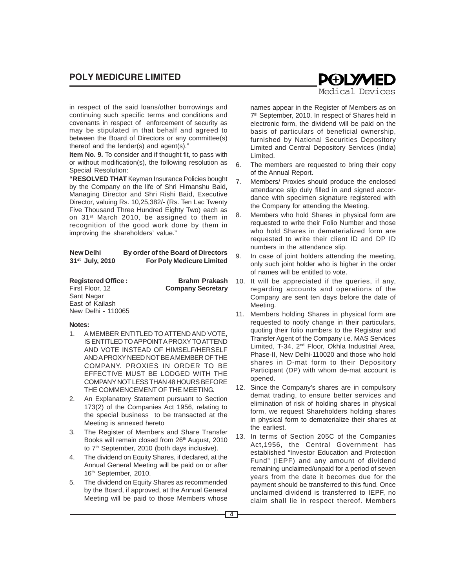in respect of the said loans/other borrowings and continuing such specific terms and conditions and covenants in respect of enforcement of security as may be stipulated in that behalf and agreed to between the Board of Directors or any committee(s) thereof and the lender(s) and agent(s)."

**Item No. 9.** To consider and if thought fit, to pass with or without modification(s), the following resolution as Special Resolution:

**"RESOLVED THAT** Keyman Insurance Policies bought by the Company on the life of Shri Himanshu Baid, Managing Director and Shri Rishi Baid, Executive Director, valuing Rs. 10,25,382/- (Rs. Ten Lac Twenty Five Thousand Three Hundred Eighty Two) each as on 31<sup>st</sup> March 2010, be assigned to them in recognition of the good work done by them in improving the shareholders' value."

| <b>New Delhi</b>     | By order of the Board of Directors |
|----------------------|------------------------------------|
| $31^{st}$ July, 2010 | <b>For Poly Medicure Limited</b>   |

Registered Office : Brahm Prakash First Floor, 12 **Company Secretary** Sant Nagar East of Kailash New Delhi - 110065

#### **Notes:**

- 1. A MEMBER ENTITLED TO ATTEND AND VOTE, IS ENTITLED TO APPOINT A PROXY TO ATTEND AND VOTE INSTEAD OF HIMSELF/HERSELF AND A PROXY NEED NOT BE A MEMBER OF THE COMPANY. PROXIES IN ORDER TO BE EFFECTIVE MUST BE LODGED WITH THE COMPANY NOT LESS THAN 48 HOURS BEFORE THE COMMENCEMENT OF THE MEETING.
- 2. An Explanatory Statement pursuant to Section 173(2) of the Companies Act 1956, relating to the special business to be transacted at the Meeting is annexed hereto
- 3. The Register of Members and Share Transfer Books will remain closed from 26<sup>th</sup> August, 2010 to 7<sup>th</sup> September, 2010 (both days inclusive).
- 4. The dividend on Equity Shares, if declared, at the Annual General Meeting will be paid on or after 16th September, 2010.
- 5. The dividend on Equity Shares as recommended by the Board, if approved, at the Annual General Meeting will be paid to those Members whose

**POLYMED** Medical Devices

names appear in the Register of Members as on 7<sup>th</sup> September, 2010. In respect of Shares held in electronic form, the dividend will be paid on the basis of particulars of beneficial ownership, furnished by National Securities Depository Limited and Central Depository Services (India) Limited.

- 6. The members are requested to bring their copy of the Annual Report.
- 7. Members/ Proxies should produce the enclosed attendance slip duly filled in and signed accordance with specimen signature registered with the Company for attending the Meeting.
- 8. Members who hold Shares in physical form are requested to write their Folio Number and those who hold Shares in dematerialized form are requested to write their client ID and DP ID numbers in the attendance slip.
- 9. In case of joint holders attending the meeting, only such joint holder who is higher in the order of names will be entitled to vote.
- 10. It will be appreciated if the queries, if any, regarding accounts and operations of the Company are sent ten days before the date of Meeting.
- 11. Members holding Shares in physical form are requested to notify change in their particulars, quoting their folio numbers to the Registrar and Transfer Agent of the Company i.e. MAS Services Limited, T-34, 2nd Floor, Okhla Industrial Area, Phase-II, New Delhi-110020 and those who hold shares in D-mat form to their Depository Participant (DP) with whom de-mat account is opened.
- 12. Since the Company's shares are in compulsory demat trading, to ensure better services and elimination of risk of holding shares in physical form, we request Shareholders holding shares in physical form to dematerialize their shares at the earliest.
- 13. In terms of Section 205C of the Companies Act,1956, the Central Government has established "Investor Education and Protection Fund" (IEPF) and any amount of dividend remaining unclaimed/unpaid for a period of seven years from the date it becomes due for the payment should be transferred to this fund. Once unclaimed dividend is transferred to IEPF, no claim shall lie in respect thereof. Members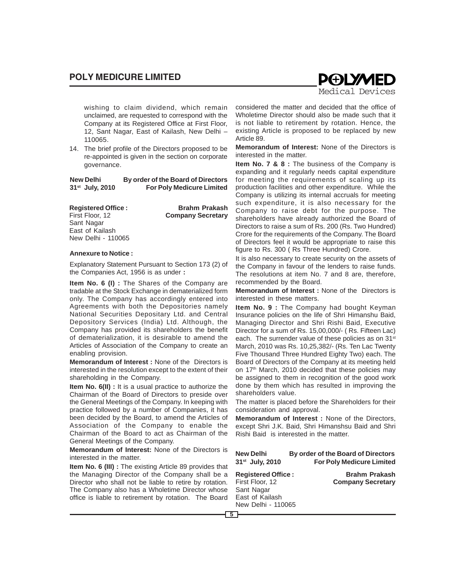**PALYMED** Medical Devices

wishing to claim dividend, which remain unclaimed, are requested to correspond with the Company at its Registered Office at First Floor, 12, Sant Nagar, East of Kailash, New Delhi – 110065.

14. The brief profile of the Directors proposed to be re-appointed is given in the section on corporate governance.

| <b>New Delhi</b>     | By order of the Board of Directors |
|----------------------|------------------------------------|
| $31^{st}$ July, 2010 | <b>For Poly Medicure Limited</b>   |

| <b>Registered Office:</b> | <b>Brahm Prakash</b>     |
|---------------------------|--------------------------|
| First Floor, 12           | <b>Company Secretary</b> |
| Sant Nagar                |                          |
| East of Kailash           |                          |
| New Delhi - 110065        |                          |

### **Annexure to Notice :**

Explanatory Statement Pursuant to Section 173 (2) of the Companies Act, 1956 is as under **:**

**Item No. 6 (I) :** The Shares of the Company are tradable at the Stock Exchange in dematerialized form only. The Company has accordingly entered into Agreements with both the Depositories namely National Securities Depositary Ltd. and Central Depository Services (India) Ltd. Although, the Company has provided its shareholders the benefit of dematerialization, it is desirable to amend the Articles of Association of the Company to create an enabling provision.

**Memorandum of Interest :** None of the Directors is interested in the resolution except to the extent of their shareholding in the Company.

**Item No. 6(II)**: It is a usual practice to authorize the Chairman of the Board of Directors to preside over the General Meetings of the Company. In keeping with practice followed by a number of Companies, it has been decided by the Board, to amend the Articles of Association of the Company to enable the Chairman of the Board to act as Chairman of the General Meetings of the Company.

**Memorandum of Interest:** None of the Directors is interested in the matter.

**Item No. 6 (III) :** The existing Article 89 provides that the Managing Director of the Company shall be a Director who shall not be liable to retire by rotation. The Company also has a Wholetime Director whose office is liable to retirement by rotation. The Board

considered the matter and decided that the office of Wholetime Director should also be made such that it is not liable to retirement by rotation. Hence, the existing Article is proposed to be replaced by new Article 89.

**Memorandum of Interest:** None of the Directors is interested in the matter.

**Item No. 7 & 8 : The business of the Company is** expanding and it regularly needs capital expenditure for meeting the requirements of scaling up its production facilities and other expenditure. While the Company is utilizing its internal accruals for meeting such expenditure, it is also necessary for the Company to raise debt for the purpose. The shareholders have already authorized the Board of Directors to raise a sum of Rs. 200 (Rs. Two Hundred) Crore for the requirements of the Company. The Board of Directors feel it would be appropriate to raise this figure to Rs. 300 ( Rs Three Hundred) Crore.

It is also necessary to create security on the assets of the Company in favour of the lenders to raise funds. The resolutions at item No. 7 and 8 are, therefore, recommended by the Board.

**Memorandum of Interest :** None of the Directors is interested in these matters.

**Item No. 9 : The Company had bought Keyman** Insurance policies on the life of Shri Himanshu Baid, Managing Director and Shri Rishi Baid, Executive Director for a sum of Rs. 15,00,000/- ( Rs. Fifteen Lac) each. The surrender value of these policies as on 31<sup>st</sup> March, 2010 was Rs. 10,25,382/- (Rs. Ten Lac Twenty Five Thousand Three Hundred Eighty Two) each. The Board of Directors of the Company at its meeting held on 17<sup>th</sup> March, 2010 decided that these policies may be assigned to them in recognition of the good work done by them which has resulted in improving the shareholders value.

The matter is placed before the Shareholders for their consideration and approval.

**Memorandum of Interest :** None of the Directors, except Shri J.K. Baid, Shri Himanshsu Baid and Shri Rishi Baid is interested in the matter.

| <b>New Delhi</b>                                                                                    | By order of the Board of Directors               |
|-----------------------------------------------------------------------------------------------------|--------------------------------------------------|
| 31 <sup>st</sup> July, 2010                                                                         | <b>For Poly Medicure Limited</b>                 |
| <b>Registered Office:</b><br>First Floor, 12<br>Sant Nagar<br>East of Kailash<br>New Delhi - 110065 | <b>Brahm Prakash</b><br><b>Company Secretary</b> |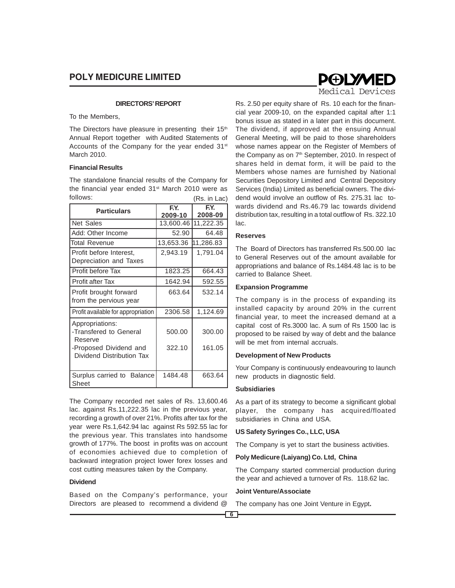#### **DIRECTORS' REPORT**

To the Members,

The Directors have pleasure in presenting their  $15<sup>th</sup>$ Annual Report together with Audited Statements of Accounts of the Company for the year ended 31<sup>st</sup> March 2010.

# **Financial Results**

The standalone financial results of the Company for the financial year ended  $31<sup>st</sup>$  March 2010 were as follows: (Rs. in Lac)

| <b>Particulars</b>                                                                                          | FY.<br>2009-10   | EY.<br>2008-09   |
|-------------------------------------------------------------------------------------------------------------|------------------|------------------|
| <b>Net Sales</b>                                                                                            | 13,600.46        | 11,222.35        |
| Add: Other Income                                                                                           | 52.90            | 64.48            |
| Total Revenue                                                                                               | 13,653.36        | 11,286.83        |
| Profit before Interest,<br>Depreciation and Taxes                                                           | 2,943.19         | 1,791.04         |
| Profit before Tax                                                                                           | 1823.25          | 664.43           |
| Profit after Tax                                                                                            | 1642.94          | 592.55           |
| Profit brought forward<br>from the pervious year                                                            | 663.64           | 532.14           |
| Profit available for appropriation                                                                          | 2306.58          | 1,124.69         |
| Appropriations:<br>-Transfered to General<br>Reserve<br>-Proposed Dividend and<br>Dividend Distribution Tax | 500.00<br>322.10 | 300.00<br>161.05 |
| Surplus carried to Balance<br>Sheet                                                                         | 1484.48          | 663.64           |

The Company recorded net sales of Rs. 13,600.46 lac. against Rs.11,222.35 lac in the previous year, recording a growth of over 21%. Profits after tax for the year were Rs.1,642.94 lac against Rs 592.55 lac for the previous year. This translates into handsome growth of 177%. The boost in profits was on account of economies achieved due to completion of backward integration project lower forex losses and cost cutting measures taken by the Company.

#### **Dividend**

Based on the Company's performance, your Directors are pleased to recommend a dividend @



Rs. 2.50 per equity share of Rs. 10 each for the financial year 2009-10, on the expanded capital after 1:1 bonus issue as stated in a later part in this document. The dividend, if approved at the ensuing Annual General Meeting, will be paid to those shareholders whose names appear on the Register of Members of the Company as on 7<sup>th</sup> September, 2010. In respect of shares held in demat form, it will be paid to the Members whose names are furnished by National Securities Depository Limited and Central Depository Services (India) Limited as beneficial owners. The dividend would involve an outflow of Rs. 275.31 lac towards dividend and Rs.46.79 lac towards dividend distribution tax, resulting in a total outflow of Rs. 322.10 lac.

#### **Reserves**

The Board of Directors has transferred Rs.500.00 lac to General Reserves out of the amount available for appropriations and balance of Rs.1484.48 lac is to be carried to Balance Sheet.

## **Expansion Programme**

The company is in the process of expanding its installed capacity by around 20% in the current financial year, to meet the increased demand at a capital cost of Rs.3000 lac. A sum of Rs 1500 lac is proposed to be raised by way of debt and the balance will be met from internal accruals.

## **Development of New Products**

Your Company is continuously endeavouring to launch new products in diagnostic field.

# **Subsidiaries**

As a part of its strategy to become a significant global player, the company has acquired/floated subsidiaries in China and USA.

## **US Safety Syringes Co., LLC, USA**

The Company is yet to start the business activities.

## **Poly Medicure (Laiyang) Co. Ltd, China**

The Company started commercial production during the year and achieved a turnover of Rs. 118.62 lac.

#### **Joint Venture/Associate**

The company has one Joint Venture in Egypt**.**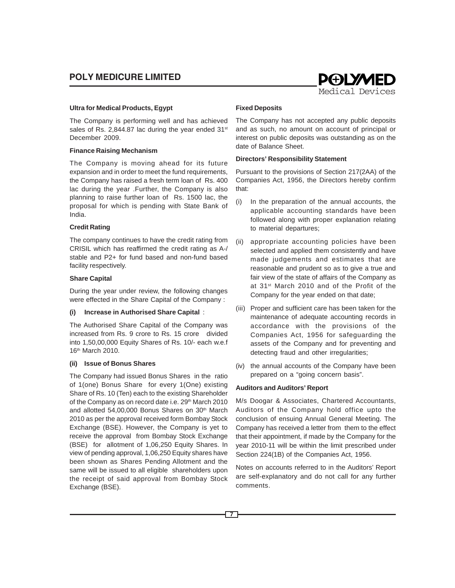# **Ultra for Medical Products, Egypt**

The Company is performing well and has achieved sales of Rs. 2,844.87 lac during the year ended  $31<sup>st</sup>$ December 2009.

# **Finance Raising Mechanism**

The Company is moving ahead for its future expansion and in order to meet the fund requirements, the Company has raised a fresh term loan of Rs. 400 lac during the year .Further, the Company is also planning to raise further loan of Rs. 1500 lac, the proposal for which is pending with State Bank of India.

# **Credit Rating**

The company continues to have the credit rating from CRISIL which has reaffirmed the credit rating as A-/ stable and P2+ for fund based and non-fund based facility respectively.

# **Share Capital**

During the year under review, the following changes were effected in the Share Capital of the Company :

#### **(i) Increase in Authorised Share Capital** :

The Authorised Share Capital of the Company was increased from Rs. 9 crore to Rs. 15 crore divided into 1,50,00,000 Equity Shares of Rs. 10/- each w.e.f 16th March 2010.

# **(ii) Issue of Bonus Shares**

The Company had issued Bonus Shares in the ratio of 1(one) Bonus Share for every 1(One) existing Share of Rs. 10 (Ten) each to the existing Shareholder of the Company as on record date i.e. 29<sup>th</sup> March 2010 and allotted 54,00,000 Bonus Shares on 30<sup>th</sup> March 2010 as per the approval received form Bombay Stock Exchange (BSE). However, the Company is yet to receive the approval from Bombay Stock Exchange (BSE) for allotment of 1,06,250 Equity Shares. In view of pending approval, 1,06,250 Equity shares have been shown as Shares Pending Allotment and the same will be issued to all eligible shareholders upon the receipt of said approval from Bombay Stock Exchange (BSE).

# **Fixed Deposits**

The Company has not accepted any public deposits and as such, no amount on account of principal or interest on public deposits was outstanding as on the date of Balance Sheet.

# **Directors' Responsibility Statement**

Pursuant to the provisions of Section 217(2AA) of the Companies Act, 1956, the Directors hereby confirm that:

- (i) In the preparation of the annual accounts, the applicable accounting standards have been followed along with proper explanation relating to material departures;
- (ii) appropriate accounting policies have been selected and applied them consistently and have made judgements and estimates that are reasonable and prudent so as to give a true and fair view of the state of affairs of the Company as at 31st March 2010 and of the Profit of the Company for the year ended on that date;
- (iii) Proper and sufficient care has been taken for the maintenance of adequate accounting records in accordance with the provisions of the Companies Act, 1956 for safeguarding the assets of the Company and for preventing and detecting fraud and other irregularities;
- (iv) the annual accounts of the Company have been prepared on a "going concern basis".

# **Auditors and Auditors' Report**

M/s Doogar & Associates, Chartered Accountants, Auditors of the Company hold office upto the conclusion of ensuing Annual General Meeting. The Company has received a letter from them to the effect that their appointment, if made by the Company for the year 2010-11 will be within the limit prescribed under Section 224(1B) of the Companies Act, 1956.

Notes on accounts referred to in the Auditors' Report are self-explanatory and do not call for any further comments.



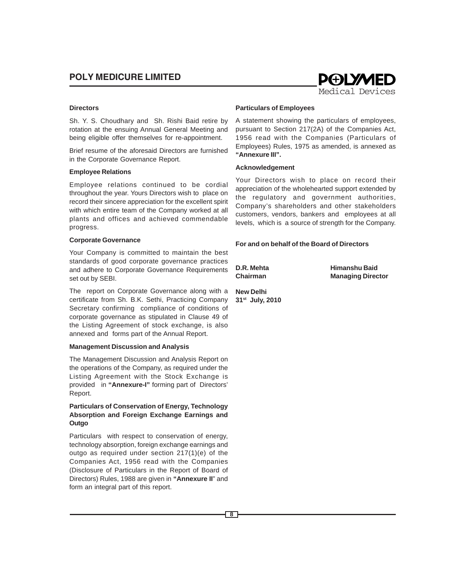

## **Directors**

Sh. Y. S. Choudhary and Sh. Rishi Baid retire by rotation at the ensuing Annual General Meeting and being eligible offer themselves for re-appointment.

Brief resume of the aforesaid Directors are furnished in the Corporate Governance Report.

#### **Employee Relations**

Employee relations continued to be cordial throughout the year. Yours Directors wish to place on record their sincere appreciation for the excellent spirit with which entire team of the Company worked at all plants and offices and achieved commendable progress.

# **Corporate Governance**

Your Company is committed to maintain the best standards of good corporate governance practices and adhere to Corporate Governance Requirements set out by SEBI.

The report on Corporate Governance along with a certificate from Sh. B.K. Sethi, Practicing Company Secretary confirming compliance of conditions of corporate governance as stipulated in Clause 49 of the Listing Agreement of stock exchange, is also annexed and forms part of the Annual Report.

# **Management Discussion and Analysis**

The Management Discussion and Analysis Report on the operations of the Company, as required under the Listing Agreement with the Stock Exchange is provided in **"Annexure-I"** forming part of Directors' Report.

# **Particulars of Conservation of Energy, Technology Absorption and Foreign Exchange Earnings and Outgo**

Particulars with respect to conservation of energy, technology absorption, foreign exchange earnings and outgo as required under section 217(1)(e) of the Companies Act, 1956 read with the Companies (Disclosure of Particulars in the Report of Board of Directors) Rules, 1988 are given in **"Annexure II**" and form an integral part of this report.

# **Particulars of Employees**

A statement showing the particulars of employees, pursuant to Section 217(2A) of the Companies Act, 1956 read with the Companies (Particulars of Employees) Rules, 1975 as amended, is annexed as **"Annexure III".**

# **Acknowledgement**

Your Directors wish to place on record their appreciation of the wholehearted support extended by the regulatory and government authorities, Company's shareholders and other stakeholders customers, vendors, bankers and employees at all levels, which is a source of strength for the Company.

# **For and on behalf of the Board of Directors**

**D.R. Mehta Himanshu Baid Chairman Managing Director** 

**New Delhi 31st July, 2010**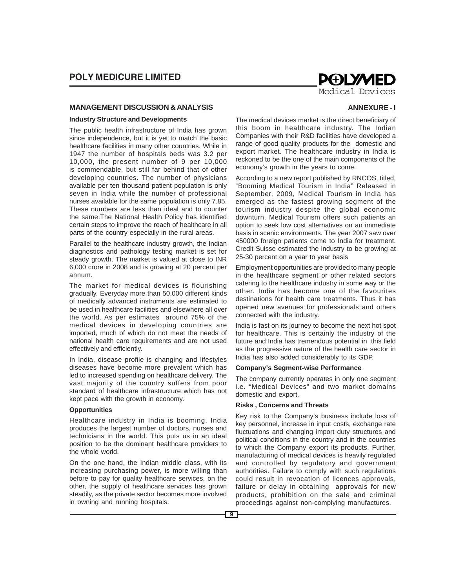# **MANAGEMENT DISCUSSION & ANALYSIS**

## **Industry Structure and Developments**

The public health infrastructure of India has grown since independence, but it is yet to match the basic healthcare facilities in many other countries. While in 1947 the number of hospitals beds was 3.2 per 10,000, the present number of 9 per 10,000 is commendable, but still far behind that of other developing countries. The number of physicians available per ten thousand patient population is only seven in India while the number of professional nurses available for the same population is only 7.85. These numbers are less than ideal and to counter the same.The National Health Policy has identified certain steps to improve the reach of healthcare in all parts of the country especially in the rural areas.

Parallel to the healthcare industry growth, the Indian diagnostics and pathology testing market is set for steady growth. The market is valued at close to INR 6,000 crore in 2008 and is growing at 20 percent per annum.

The market for medical devices is flourishing gradually. Everyday more than 50,000 different kinds of medically advanced instruments are estimated to be used in healthcare facilities and elsewhere all over the world. As per estimates around 75% of the medical devices in developing countries are imported, much of which do not meet the needs of national health care requirements and are not used effectively and efficiently.

In India, disease profile is changing and lifestyles diseases have become more prevalent which has led to increased spending on healthcare delivery. The vast majority of the country suffers from poor standard of healthcare infrastructure which has not kept pace with the growth in economy.

## **Opportunities**

Healthcare industry in India is booming. India produces the largest number of doctors, nurses and technicians in the world. This puts us in an ideal position to be the dominant healthcare providers to the whole world.

On the one hand, the Indian middle class, with its increasing purchasing power, is more willing than before to pay for quality healthcare services, on the other, the supply of healthcare services has grown steadily, as the private sector becomes more involved in owning and running hospitals.

The medical devices market is the direct beneficiary of this boom in healthcare industry. The Indian Companies with their R&D facilities have developed a range of good quality products for the domestic and export market. The healthcare industry in India is reckoned to be the one of the main components of the economy's growth in the years to come.

According to a new report published by RNCOS, titled, "Booming Medical Tourism in India" Released in September, 2009, Medical Tourism in India has emerged as the fastest growing segment of the tourism industry despite the global economic downturn. Medical Tourism offers such patients an option to seek low cost alternatives on an immediate basis in scenic environments. The year 2007 saw over 450000 foreign patients come to India for treatment. Credit Suisse estimated the industry to be growing at 25-30 percent on a year to year basis

Employment opportunities are provided to many people in the healthcare segment or other related sectors catering to the healthcare industry in some way or the other. India has become one of the favourites destinations for health care treatments. Thus it has opened new avenues for professionals and others connected with the industry.

India is fast on its journey to become the next hot spot for healthcare. This is certainly the industry of the future and India has tremendous potential in this field as the progressive nature of the health care sector in India has also added considerably to its GDP.

#### **Company's Segment-wise Performance**

The company currently operates in only one segment i.e. "Medical Devices" and two market domains domestic and export.

## **Risks , Concerns and Threats**

Key risk to the Company's business include loss of key personnel, increase in input costs, exchange rate fluctuations and changing import duty structures and political conditions in the country and in the countries to which the Company export its products. Further, manufacturing of medical devices is heavily regulated and controlled by regulatory and government authorities. Failure to comply with such regulations could result in revocation of licences approvals, failure or delay in obtaining approvals for new products, prohibition on the sale and criminal proceedings against non-complying manufactures.

Medical Devices

**DAI YMFD**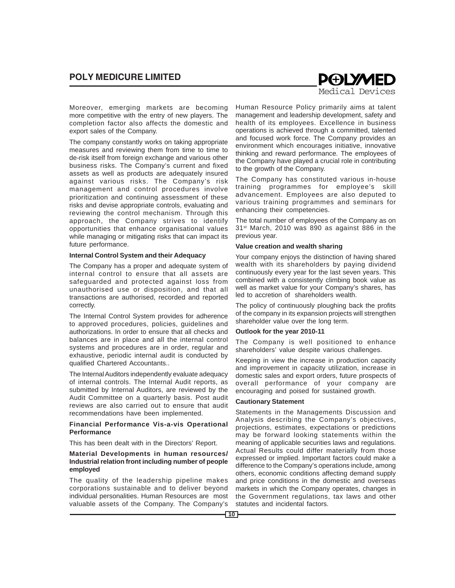Moreover, emerging markets are becoming more competitive with the entry of new players. The completion factor also affects the domestic and export sales of the Company.

The company constantly works on taking appropriate measures and reviewing them from time to time to de-risk itself from foreign exchange and various other business risks. The Company's current and fixed assets as well as products are adequately insured against various risks. The Company's risk management and control procedures involve prioritization and continuing assessment of these risks and devise appropriate controls, evaluating and reviewing the control mechanism. Through this approach, the Company strives to identify opportunities that enhance organisational values while managing or mitigating risks that can impact its future performance.

# **Internal Control System and their Adequacy**

The Company has a proper and adequate system of internal control to ensure that all assets are safeguarded and protected against loss from unauthorised use or disposition, and that all transactions are authorised, recorded and reported correctly.

The Internal Control System provides for adherence to approved procedures, policies, guidelines and authorizations. In order to ensure that all checks and balances are in place and all the internal control systems and procedures are in order, regular and exhaustive, periodic internal audit is conducted by qualified Chartered Accountants..

The Internal Auditors independently evaluate adequacy of internal controls. The Internal Audit reports, as submitted by Internal Auditors, are reviewed by the Audit Committee on a quarterly basis. Post audit reviews are also carried out to ensure that audit recommendations have been implemented.

# **Financial Performance Vis-a-vis Operational Performance**

This has been dealt with in the Directors' Report.

# **Material Developments in human resources/ Industrial relation front including number of people employed**

The quality of the leadership pipeline makes corporations sustainable and to deliver beyond individual personalities. Human Resources are most valuable assets of the Company. The Company's Human Resource Policy primarily aims at talent management and leadership development, safety and health of its employees. Excellence in business operations is achieved through a committed, talented and focused work force. The Company provides an environment which encourages initiative, innovative thinking and reward performance. The employees of the Company have played a crucial role in contributing to the growth of the Company.

The Company has constituted various in-house training programmes for employee's skill advancement. Employees are also deputed to various training programmes and seminars for enhancing their competencies.

The total number of employees of the Company as on 31st March, 2010 was 890 as against 886 in the previous year.

## **Value creation and wealth sharing**

Your company enjoys the distinction of having shared wealth with its shareholders by paying dividend continuously every year for the last seven years. This combined with a consistently climbing book value as well as market value for your Company's shares, has led to accretion of shareholders wealth.

The policy of continuously ploughing back the profits of the company in its expansion projects will strengthen shareholder value over the long term.

## **Outlook for the year 2010-11**

The Company is well positioned to enhance shareholders' value despite various challenges.

Keeping in view the increase in production capacity and improvement in capacity utilization, increase in domestic sales and export orders, future prospects of overall performance of your company are encouraging and poised for sustained growth.

# **Cautionary Statement**

Statements in the Managements Discussion and Analysis describing the Company's objectives, projections, estimates, expectations or predictions may be forward looking statements within the meaning of applicable securities laws and regulations. Actual Results could differ materially from those expressed or implied. Important factors could make a difference to the Company's operations include, among others, economic conditions affecting demand supply and price conditions in the domestic and overseas markets in which the Company operates, changes in the Government regulations, tax laws and other statutes and incidental factors.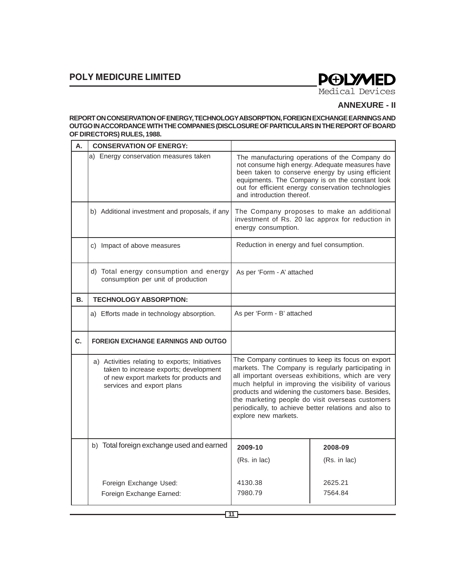

Medical Devices

# **ANNEXURE - II**

# **REPORT ON CONSERVATION OF ENERGY, TECHNOLOGY ABSORPTION, FOREIGN EXCHANGE EARNINGS AND OUTGO IN ACCORDANCE WITH THE COMPANIES (DISCLOSURE OF PARTICULARS IN THE REPORT OF BOARD OF DIRECTORS) RULES, 1988.**

| А.                                                                                                                                                              | <b>CONSERVATION OF ENERGY:</b>                                               |                                           |                                                                                                                                                                                                                                                                                                                                                                                         |
|-----------------------------------------------------------------------------------------------------------------------------------------------------------------|------------------------------------------------------------------------------|-------------------------------------------|-----------------------------------------------------------------------------------------------------------------------------------------------------------------------------------------------------------------------------------------------------------------------------------------------------------------------------------------------------------------------------------------|
|                                                                                                                                                                 | a) Energy conservation measures taken                                        | and introduction thereof.                 | The manufacturing operations of the Company do<br>not consume high energy. Adequate measures have<br>been taken to conserve energy by using efficient<br>equipments. The Company is on the constant look<br>out for efficient energy conservation technologies                                                                                                                          |
|                                                                                                                                                                 | b) Additional investment and proposals, if any                               | energy consumption.                       | The Company proposes to make an additional<br>investment of Rs. 20 lac approx for reduction in                                                                                                                                                                                                                                                                                          |
|                                                                                                                                                                 | c) Impact of above measures                                                  | Reduction in energy and fuel consumption. |                                                                                                                                                                                                                                                                                                                                                                                         |
|                                                                                                                                                                 | d) Total energy consumption and energy<br>consumption per unit of production | As per 'Form - A' attached                |                                                                                                                                                                                                                                                                                                                                                                                         |
| В.                                                                                                                                                              | <b>TECHNOLOGY ABSORPTION:</b>                                                |                                           |                                                                                                                                                                                                                                                                                                                                                                                         |
|                                                                                                                                                                 | a) Efforts made in technology absorption.                                    | As per 'Form - B' attached                |                                                                                                                                                                                                                                                                                                                                                                                         |
| C.                                                                                                                                                              | <b>FOREIGN EXCHANGE EARNINGS AND OUTGO</b>                                   |                                           |                                                                                                                                                                                                                                                                                                                                                                                         |
| a) Activities relating to exports; Initiatives<br>taken to increase exports; development<br>of new export markets for products and<br>services and export plans |                                                                              | explore new markets.                      | The Company continues to keep its focus on export<br>markets. The Company is regularly participating in<br>all important overseas exhibitions, which are very<br>much helpful in improving the visibility of various<br>products and widening the customers base. Besides,<br>the marketing people do visit overseas customers<br>periodically, to achieve better relations and also to |
|                                                                                                                                                                 | b) Total foreign exchange used and earned                                    | 2009-10<br>(Rs. in lac)                   | 2008-09<br>(Rs. in lac)                                                                                                                                                                                                                                                                                                                                                                 |
|                                                                                                                                                                 | Foreign Exchange Used:<br>Foreign Exchange Earned:                           | 4130.38<br>7980.79                        | 2625.21<br>7564.84                                                                                                                                                                                                                                                                                                                                                                      |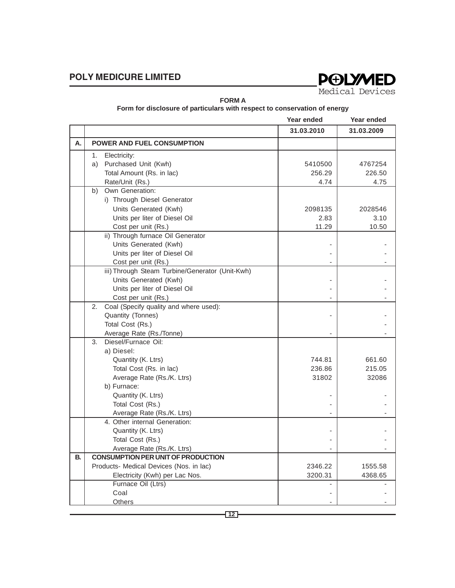

Medical Devices

# **FORM A**

**Form for disclosure of particulars with respect to conservation of energy**

|    |                                                 | Year ended | Year ended |
|----|-------------------------------------------------|------------|------------|
|    |                                                 | 31.03.2010 | 31.03.2009 |
| А. | POWER AND FUEL CONSUMPTION                      |            |            |
|    | Electricity:<br>1.                              |            |            |
|    | Purchased Unit (Kwh)<br>a)                      | 5410500    | 4767254    |
|    | Total Amount (Rs. in lac)                       | 256.29     | 226.50     |
|    | Rate/Unit (Rs.)                                 | 4.74       | 4.75       |
|    | Own Generation:<br>b)                           |            |            |
|    | i) Through Diesel Generator                     |            |            |
|    | Units Generated (Kwh)                           | 2098135    | 2028546    |
|    | Units per liter of Diesel Oil                   | 2.83       | 3.10       |
|    | Cost per unit (Rs.)                             | 11.29      | 10.50      |
|    | ii) Through furnace Oil Generator               |            |            |
|    | Units Generated (Kwh)                           |            |            |
|    | Units per liter of Diesel Oil                   |            |            |
|    | Cost per unit (Rs.)                             |            |            |
|    | iii) Through Steam Turbine/Generator (Unit-Kwh) |            |            |
|    | Units Generated (Kwh)                           |            |            |
|    | Units per liter of Diesel Oil                   |            |            |
|    | Cost per unit (Rs.)                             |            |            |
|    | Coal (Specify quality and where used):<br>2.    |            |            |
|    | Quantity (Tonnes)                               |            |            |
|    | Total Cost (Rs.)                                |            |            |
|    | Average Rate (Rs./Tonne)                        |            |            |
|    | Diesel/Furnace Oil:<br>3.                       |            |            |
|    | a) Diesel:                                      |            |            |
|    | Quantity (K. Ltrs)                              | 744.81     | 661.60     |
|    | Total Cost (Rs. in lac)                         | 236.86     | 215.05     |
|    | Average Rate (Rs./K. Ltrs)                      | 31802      | 32086      |
|    | b) Furnace:                                     |            |            |
|    | Quantity (K. Ltrs)                              |            |            |
|    | Total Cost (Rs.)                                |            |            |
|    | Average Rate (Rs./K. Ltrs)                      | ٠          |            |
|    | 4. Other internal Generation:                   |            |            |
|    | Quantity (K. Ltrs)                              |            |            |
|    | Total Cost (Rs.)                                |            |            |
|    | Average Rate (Rs./K. Ltrs)                      |            |            |
| В. | <b>CONSUMPTION PER UNIT OF PRODUCTION</b>       |            |            |
|    | Products- Medical Devices (Nos. in lac)         | 2346.22    | 1555.58    |
|    | Electricity (Kwh) per Lac Nos.                  | 3200.31    | 4368.65    |
|    | Furnace Oil (Ltrs)                              |            |            |
|    | Coal                                            |            |            |
|    | Others                                          |            |            |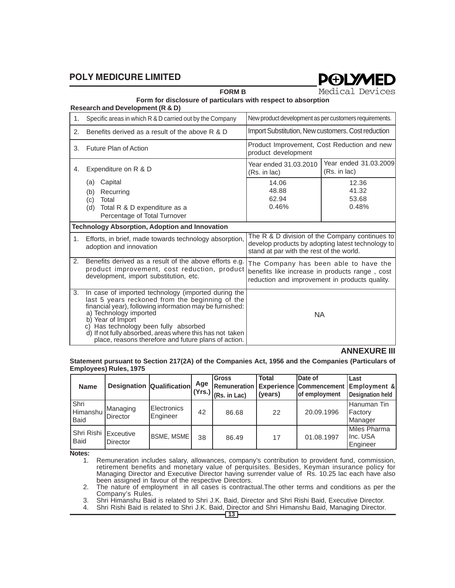

# **Form for disclosure of particulars with respect to absorption**

# **Research and Development (R & D)**

| 1.                                                                                                                                                     | Specific areas in which R & D carried out by the Company                                                                                                                                                                                                                                                                                                                          | New product development as per customers requirements.                                                                                    |                                                                                                     |
|--------------------------------------------------------------------------------------------------------------------------------------------------------|-----------------------------------------------------------------------------------------------------------------------------------------------------------------------------------------------------------------------------------------------------------------------------------------------------------------------------------------------------------------------------------|-------------------------------------------------------------------------------------------------------------------------------------------|-----------------------------------------------------------------------------------------------------|
| 2.                                                                                                                                                     | Benefits derived as a result of the above R & D                                                                                                                                                                                                                                                                                                                                   | Import Substitution, New customers. Cost reduction                                                                                        |                                                                                                     |
| 3 <sub>1</sub>                                                                                                                                         | Future Plan of Action                                                                                                                                                                                                                                                                                                                                                             | Product Improvement, Cost Reduction and new<br>product development                                                                        |                                                                                                     |
| 4.                                                                                                                                                     | Expenditure on R & D                                                                                                                                                                                                                                                                                                                                                              | Year ended 31,03,2010<br>(Rs. in lac)                                                                                                     | Year ended 31.03.2009<br>(Rs. in lac)                                                               |
|                                                                                                                                                        | Capital<br>(a)<br>Recurring<br>(b)<br>Total<br>(c)<br>Total R & D expenditure as a<br>(d)<br>Percentage of Total Turnover                                                                                                                                                                                                                                                         | 14.06<br>48.88<br>62.94<br>0.46%                                                                                                          | 12.36<br>41.32<br>53.68<br>0.48%                                                                    |
|                                                                                                                                                        | <b>Technology Absorption, Adoption and Innovation</b>                                                                                                                                                                                                                                                                                                                             |                                                                                                                                           |                                                                                                     |
| 1.<br>Efforts, in brief, made towards technology absorption,<br>adoption and innovation                                                                |                                                                                                                                                                                                                                                                                                                                                                                   | stand at par with the rest of the world.                                                                                                  | The R & D division of the Company continues to<br>develop products by adopting latest technology to |
| Benefits derived as a result of the above efforts e.g.<br>2.<br>product improvement, cost reduction, product<br>development, import substitution, etc. |                                                                                                                                                                                                                                                                                                                                                                                   | The Company has been able to have the<br>benefits like increase in products range, cost<br>reduction and improvement in products quality. |                                                                                                     |
| 3.                                                                                                                                                     | In case of imported technology (imported during the<br>last 5 years reckoned from the beginning of the<br>financial year), following information may be furnished:<br>a) Technology imported<br>b) Year of Import<br>Has technology been fully absorbed<br>C)<br>d) If not fully absorbed, areas where this has not taken<br>place, reasons therefore and future plans of action. | <b>NA</b>                                                                                                                                 |                                                                                                     |

# **ANNEXURE III**

**Statement pursuant to Section 217(2A) of the Companies Act, 1956 and the Companies (Particulars of Employees) Rules, 1975**

| <b>Name</b>                         |                      | Designation Qualification      | Age | Gross<br><b>Remuneration</b><br>  (Yrs.)   <sub>(Rs. in Lac</sub> ) | <b>Total</b><br>(years) | Date of<br><b>Experience Commencement Employment &amp;</b><br>of employment | Last<br><b>Designation held</b>       |
|-------------------------------------|----------------------|--------------------------------|-----|---------------------------------------------------------------------|-------------------------|-----------------------------------------------------------------------------|---------------------------------------|
| Shri<br>Himanshu<br><b>Baid</b>     | Managing<br>Director | <b>Electronics</b><br>Engineer | 42  | 86.68                                                               | 22                      | 20.09.1996                                                                  | Hanuman Tin<br>Factory<br>Manager     |
| Shri Rishi Exceutive<br><b>Baid</b> | <b>Director</b>      | BSME, MSME                     | 38  | 86.49                                                               | 17                      | 01.08.1997                                                                  | Miles Pharma<br>Ilnc. USA<br>Engineer |

Notes:<br>1.

Remuneration includes salary, allowances, company's contribution to provident fund, commission, retirement benefits and monetary value of perquisites. Besides, Keyman insurance policy for Managing Director and Executive Director having surrender value of Rs. 10.25 lac each have also been assigned in favour of the respective Directors.

2. The nature of employment in all cases is contractual.The other terms and conditions as per the Company's Rules.

3. Shri Himanshu Baid is related to Shri J.K. Baid, Director and Shri Rishi Baid, Executive Director.

4. Shri Rishi Baid is related to Shri J.K. Baid, Director and Shri Himanshu Baid, Managing Director.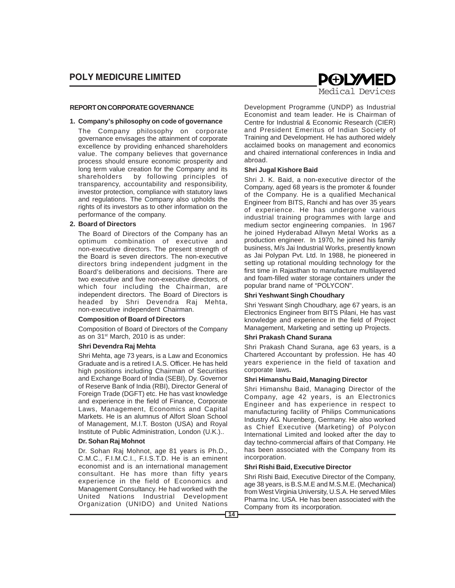# **REPORT ON CORPORATE GOVERNANCE**

#### **1. Company's philosophy on code of governance**

The Company philosophy on corporate governance envisages the attainment of corporate excellence by providing enhanced shareholders value. The company believes that governance process should ensure economic prosperity and long term value creation for the Company and its shareholders by following principles of transparency, accountability and responsibility, investor protection, compliance with statutory laws and regulations. The Company also upholds the rights of its investors as to other information on the performance of the company.

## **2. Board of Directors**

The Board of Directors of the Company has an optimum combination of executive and non-executive directors. The present strength of the Board is seven directors. The non-executive directors bring independent judgment in the Board's deliberations and decisions. There are two executive and five non-executive directors, of which four including the Chairman, are independent directors. The Board of Directors is headed by Shri Devendra Raj Mehta, non-executive independent Chairman.

#### **Composition of Board of Directors**

Composition of Board of Directors of the Company as on 31<sup>st</sup> March, 2010 is as under:

## **Shri Devendra Raj Mehta**

Shri Mehta, age 73 years, is a Law and Economics Graduate and is a retired I.A.S. Officer. He has held high positions including Chairman of Securities and Exchange Board of India (SEBI), Dy. Governor of Reserve Bank of India (RBI), Director General of Foreign Trade (DGFT) etc. He has vast knowledge and experience in the field of Finance, Corporate Laws, Management, Economics and Capital Markets. He is an alumnus of Alfort Sloan School of Management, M.I.T. Boston (USA) and Royal Institute of Public Administration, London (U.K.)..

# **Dr. Sohan Raj Mohnot**

Dr. Sohan Raj Mohnot, age 81 years is Ph.D., C.M.C., F.I.M.C.I., F.I.S.T.D. He is an eminent economist and is an international management consultant. He has more than fifty years experience in the field of Economics and Management Consultancy. He had worked with the United Nations Industrial Development Organization (UNIDO) and United Nations

**DAI YMED** Medical Devices Development Programme (UNDP) as Industrial Economist and team leader. He is Chairman of Centre for Industrial & Economic Research (CIER) and President Emeritus of Indian Society of Training and Development. He has authored widely

# **Shri Jugal Kishore Baid**

abroad.

Shri J. K. Baid, a non-executive director of the Company, aged 68 years is the promoter & founder of the Company. He is a qualified Mechanical Engineer from BITS, Ranchi and has over 35 years of experience. He has undergone various industrial training programmes with large and medium sector engineering companies. In 1967 he joined Hyderabad Allwyn Metal Works as a production engineer. In 1970, he joined his family business, M/s Jai Industrial Works, presently known as Jai Polypan Pvt. Ltd. In 1988, he pioneered in setting up rotational moulding technology for the first time in Rajasthan to manufacture multilayered and foam-filled water storage containers under the popular brand name of "POLYCON".

acclaimed books on management and economics and chaired international conferences in India and

#### **Shri Yeshwant Singh Choudhary**

Shri Yeswant Singh Choudhary, age 67 years, is an Electronics Engineer from BITS Pilani, He has vast knowledge and experience in the field of Project Management, Marketing and setting up Projects.

## **Shri Prakash Chand Surana**

Shri Prakash Chand Surana, age 63 years, is a Chartered Accountant by profession. He has 40 years experience in the field of taxation and corporate laws**.**

#### **Shri Himanshu Baid, Managing Director**

Shri Himanshu Baid, Managing Director of the Company, age 42 years, is an Electronics Engineer and has experience in respect to manufacturing facility of Philips Communications Industry AG. Nurenberg, Germany. He also worked as Chief Executive (Marketing) of Polycon International Limited and looked after the day to day techno-commercial affairs of that Company. He has been associated with the Company from its incorporation.

## **Shri Rishi Baid, Executive Director**

Shri Rishi Baid, Executive Director of the Company, age 38 years, is B.S.M.E and M.S.M.E. (Mechanical) from West Virginia University, U.S.A. He served Miles Pharma Inc. USA. He has been associated with the Company from its incorporation.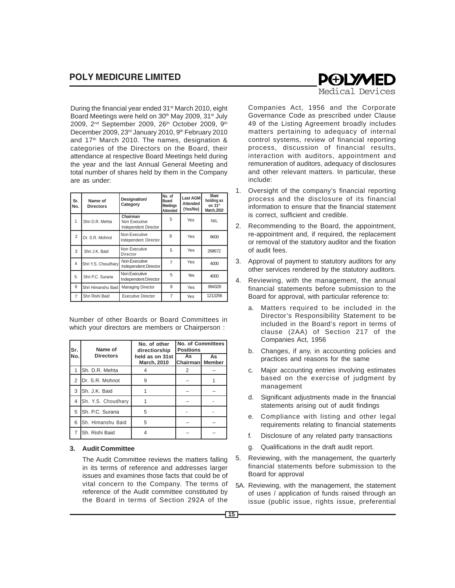During the financial year ended 31<sup>st</sup> March 2010, eight Board Meetings were held on 30<sup>th</sup> May 2009, 31<sup>st</sup> July 2009, 2<sup>nd</sup> September 2009, 26<sup>th</sup> October 2009, 9<sup>th</sup> December 2009, 23<sup>rd</sup> January 2010, 9<sup>th</sup> February 2010 and 17<sup>th</sup> March 2010. The names, designation & categories of the Directors on the Board, their attendance at respective Board Meetings held during the year and the last Annual General Meeting and total number of shares held by them in the Company are as under:

| Sr.<br>No.     | Name of<br><b>Directors</b>                                  | Designation/<br>Category                          | No. of<br>Board<br>Meetings<br><b>Attended</b> | <b>Last AGM</b><br><b>Attended</b><br>(Yes/No) | Share<br>holding as<br>on $31st$<br>March, 2010 |
|----------------|--------------------------------------------------------------|---------------------------------------------------|------------------------------------------------|------------------------------------------------|-------------------------------------------------|
|                | Shri D.R. Mehta                                              | Chairman<br>Non Executive<br>Independent Director | 5                                              | Yes                                            | <b>NIL</b>                                      |
| 2              | Dr. S.R. Mohnot                                              | Non-Executive<br>Independent Director             | 8                                              | Yes                                            | 9600                                            |
| 3              | Shri J.K. Baid                                               | Non Executive<br>Director                         |                                                | Yes                                            | 268672                                          |
| $\overline{4}$ | Non Executive<br>Shri Y.S. Choudhary<br>Independent Director |                                                   | 7                                              | <b>Yes</b>                                     | 4000                                            |
| 5              | Shri P.C. Surana                                             | Non Executive<br>Independent Director             |                                                | Yes                                            | 4000                                            |
| 6              | Shri Himanshu Baid                                           | <b>Managing Director</b>                          | 8                                              | Yes                                            | 994328                                          |
| $\overline{7}$ | Shri Rishi Baid                                              | <b>Executive Director</b>                         | 7                                              | Yes                                            | 1213256                                         |

Number of other Boards or Board Committees in which your directors are members or Chairperson :

| Sr. | Name of                   | No. of other<br>directiorship         | <b>No. of Committees</b><br><b>Positions</b> |                            |
|-----|---------------------------|---------------------------------------|----------------------------------------------|----------------------------|
| No. | <b>Directors</b>          | held as on 31st<br><b>March, 2010</b> | As<br><b>Chairman</b>                        | <b>As</b><br><b>Member</b> |
|     | Sh. D.R. Mehta            |                                       | 2                                            |                            |
| 2   | Dr. S.R. Mohnot           | 9                                     |                                              |                            |
| 3   | ISh. J.K. Baid            |                                       | --                                           |                            |
| 4   | Sh. Y.S. Choudhary        |                                       |                                              |                            |
| 5   | Sh. P.C. Surana           | 5                                     |                                              |                            |
| 6   | <b>ISh. Himanshu Baid</b> | 5                                     |                                              |                            |
|     | lSh. Rishi Baid           | 4                                     |                                              |                            |

## **3. Audit Committee**

The Audit Committee reviews the matters falling in its terms of reference and addresses larger issues and examines those facts that could be of vital concern to the Company. The terms of reference of the Audit committee constituted by the Board in terms of Section 292A of the



Companies Act, 1956 and the Corporate Governance Code as prescribed under Clause 49 of the Listing Agreement broadly includes matters pertaining to adequacy of internal control systems, review of financial reporting process, discussion of financial results, interaction with auditors, appointment and remuneration of auditors, adequacy of disclosures and other relevant matters. In particular, these include:

- 1. Oversight of the company's financial reporting process and the disclosure of its financial information to ensure that the financial statement is correct, sufficient and credible.
- 2. Recommending to the Board, the appointment, re-appointment and, if required, the replacement or removal of the statutory auditor and the fixation of audit fees.
- 3. Approval of payment to statutory auditors for any other services rendered by the statutory auditors.
- 4. Reviewing, with the management, the annual financial statements before submission to the Board for approval, with particular reference to:
	- a. Matters required to be included in the Director's Responsibility Statement to be included in the Board's report in terms of clause (2AA) of Section 217 of the Companies Act, 1956
	- b. Changes, if any, in accounting policies and practices and reasons for the same
	- c. Major accounting entries involving estimates based on the exercise of judgment by management
	- d. Significant adjustments made in the financial statements arising out of audit findings
	- e. Compliance with listing and other legal requirements relating to financial statements
	- f. Disclosure of any related party transactions
	- g. Qualifications in the draft audit report.
- Reviewing, with the management, the quarterly financial statements before submission to the Board for approval
- 5A. Reviewing, with the management, the statement of uses / application of funds raised through an issue (public issue, rights issue, preferential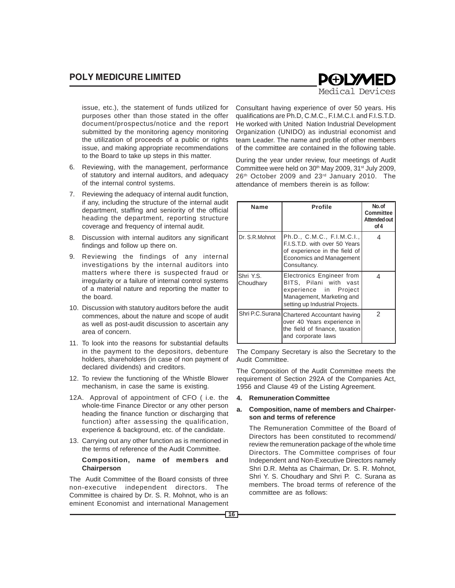**PALYMED** Medical Devices

issue, etc.), the statement of funds utilized for purposes other than those stated in the offer document/prospectus/notice and the report submitted by the monitoring agency monitoring the utilization of proceeds of a public or rights issue, and making appropriate recommendations to the Board to take up steps in this matter.

- 6. Reviewing, with the management, performance of statutory and internal auditors, and adequacy of the internal control systems.
- 7. Reviewing the adequacy of internal audit function, if any, including the structure of the internal audit department, staffing and seniority of the official heading the department, reporting structure coverage and frequency of internal audit.
- 8. Discussion with internal auditors any significant findings and follow up there on.
- 9. Reviewing the findings of any internal investigations by the internal auditors into matters where there is suspected fraud or irregularity or a failure of internal control systems of a material nature and reporting the matter to the board.
- 10. Discussion with statutory auditors before the audit commences, about the nature and scope of audit as well as post-audit discussion to ascertain any area of concern.
- 11. To look into the reasons for substantial defaults in the payment to the depositors, debenture holders, shareholders (in case of non payment of declared dividends) and creditors.
- 12. To review the functioning of the Whistle Blower mechanism, in case the same is existing.
- 12A. Approval of appointment of CFO ( i.e. the whole-time Finance Director or any other person heading the finance function or discharging that function) after assessing the qualification, experience & background, etc. of the candidate.
- 13. Carrying out any other function as is mentioned in the terms of reference of the Audit Committee.

# **Composition, name of members and Chairperson**

The Audit Committee of the Board consists of three non-executive independent directors. The Committee is chaired by Dr. S. R. Mohnot, who is an eminent Economist and international Management

Consultant having experience of over 50 years. His qualifications are Ph.D, C.M.C., F.I.M.C.I. and F.I.S.T.D. He worked with United Nation Industrial Development Organization (UNIDO) as industrial economist and team Leader. The name and profile of other members of the committee are contained in the following table.

During the year under review, four meetings of Audit Committee were held on 30<sup>th</sup> May 2009, 31<sup>st</sup> July 2009, 26th October 2009 and 23rd January 2010. The attendance of members therein is as follow:

| Name                   | <b>Profile</b>                                                                                                                                  | No.of<br>Committee<br>Attended out<br>of 4 |
|------------------------|-------------------------------------------------------------------------------------------------------------------------------------------------|--------------------------------------------|
| Dr. S.R.Mohnot         | Ph.D., C.M.C., F.I.M.C.I.,<br>F.I.S.T.D. with over 50 Years<br>of experience in the field of<br><b>Economics and Management</b><br>Consultancy. | 4                                          |
| Shri Y.S.<br>Choudhary | Electronics Engineer from<br>BITS, Pilani with vast<br>experience in Project<br>Management, Marketing and<br>setting up Industrial Projects.    | 4                                          |
|                        | Shri P.C.Surana Chartered Accountant having<br>over 40 Years experience in<br>the field of finance, taxation<br>and corporate laws              | 2                                          |

The Company Secretary is also the Secretary to the Audit Committee.

The Composition of the Audit Committee meets the requirement of Section 292A of the Companies Act, 1956 and Clause 49 of the Listing Agreement.

# **4. Remuneration Committee**

# **a. Composition, name of members and Chairperson and terms of reference**

The Remuneration Committee of the Board of Directors has been constituted to recommend/ review the remuneration package of the whole time Directors. The Committee comprises of four Independent and Non-Executive Directors namely Shri D.R. Mehta as Chairman, Dr. S. R. Mohnot, Shri Y. S. Choudhary and Shri P. C. Surana as members. The broad terms of reference of the committee are as follows: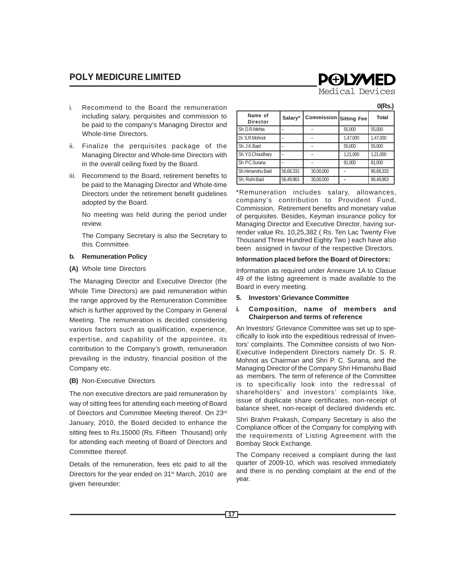**DAI YMFD** 

Medical Devices

- i. Recommend to the Board the remuneration including salary, perquisites and commission to be paid to the company's Managing Director and Whole-time Directors.
- ii. Finalize the perquisites package of the Managing Director and Whole-time Directors with in the overall ceiling fixed by the Board.
- iii. Recommend to the Board, retirement benefits to be paid to the Managing Director and Whole-time Directors under the retirement benefit guidelines adopted by the Board.

No meeting was held during the period under review.

The Company Secretary is also the Secretary to this Committee.

# **b. Remuneration Policy**

# **(A)** Whole time Directors

The Managing Director and Executive Director (the Whole Time Directors) are paid remuneration within the range approved by the Remuneration Committee which is further approved by the Company in General Meeting. The remuneration is decided considering various factors such as qualification, experience, expertise, and capability of the appointee, its contribution to the Company's growth, remuneration prevailing in the industry, financial position of the Company etc.

# **(B)** Non-Executive Directors

The non executive directors are paid remuneration by way of sitting fees for attending each meeting of Board of Directors and Committee Meeting thereof. On 23rd January, 2010, the Board decided to enhance the sitting fees to Rs.15000 (Rs. Fifteen Thousand) only for attending each meeting of Board of Directors and Committee thereof.

Details of the remuneration, fees etc paid to all the Directors for the year ended on 31<sup>st</sup> March, 2010 are given hereunder:

|                            |           |                               |          | O(Rs.)    |
|----------------------------|-----------|-------------------------------|----------|-----------|
| Name of<br><b>Director</b> | Salary*   | <b>Commission Sitting Fee</b> |          | Total     |
| Sh. D.R.Mehta              |           |                               | 55,000   | 55,000    |
| Dr. S.R.Mohnot             |           |                               | 1,47,000 | 1,47,000  |
| Sh. J.K.Baid               |           |                               | 55,000   | 55,000    |
| Sh. Y.S.Choudhary          |           |                               | 1,21,000 | 1,21,000  |
| Sh. P.C.Surana             |           |                               | 81,000   | 81,000    |
| Sh.Himanshu Baid           | 56,68,333 | 30,00,000                     |          | 86,68,333 |
| Sh. Rishi Baid             | 56,49,963 | 30,00,000                     |          | 86,49,963 |

\*Remuneration includes salary, allowances, company's contribution to Provident Fund, Commission, Retirement benefits and monetary value of perquisites. Besides, Keyman insurance policy for Managing Director and Executive Director, having surrender value Rs. 10,25,382 ( Rs. Ten Lac Twenty Five Thousand Three Hundred Eighty Two ) each have also been assigned in favour of the respective Directors.

# **Information placed before the Board of Directors:**

Information as required under Annexure 1A to Clasue 49 of the listing agreement is made available to the Board in every meeting.

## **5. Investors' Grievance Committee**

# **i. Composition, name of members and Chairperson and terms of reference**

An Investors' Grievance Committee was set up to specifically to look into the expeditious redressal of Inventors' complaints. The Committee consists of two Non-Executive Independent Directors namely Dr. S. R. Mohnot as Chairman and Shri P. C. Surana, and the Managing Director of the Company Shri Himanshu Baid as members. The term of reference of the Committee is to specifically look into the redressal of shareholders' and investors' complaints like, issue of duplicate share certificates, non-receipt of balance sheet, non-receipt of declared dividends etc.

Shri Brahm Prakash, Company Secretary is also the Compliance officer of the Company for complying with the requirements of Listing Agreement with the Bombay Stock Exchange.

The Company received a complaint during the last quarter of 2009-10, which was resolved immediately and there is no pending complaint at the end of the year.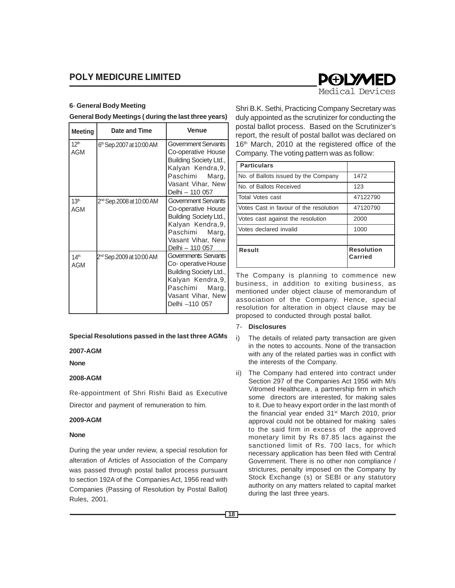# **6**- **General Body Meeting**

**General Body Meetings ( during the last three years)**

| <b>Meeting</b>          | Date and Time                        | Venue                                                                                                                                                        |
|-------------------------|--------------------------------------|--------------------------------------------------------------------------------------------------------------------------------------------------------------|
| 12 <sup>th</sup><br>AGM | 6 <sup>th</sup> Sep.2007 at 10:00 AM | <b>Government Servants</b><br>Co-operative House<br>Building Society Ltd.,<br>Kalyan Kendra, 9,<br>Paschimi Marg,<br>Vasant Vihar, New<br>Delhi - 110 057    |
| 13 <sup>th</sup><br>AGM | 2 <sup>nd</sup> Sep.2008 at 10:00 AM | <b>Government Servants</b><br>Co-operative House<br>Building Society Ltd.,<br>Kalyan Kendra, 9,<br>Paschimi<br>Marg,<br>Vasant Vihar, New<br>Delhi – 110 057 |
| 14 <sup>th</sup><br>AGM | 2 <sup>nd</sup> Sep.2009 at 10:00 AM | Governments Servants<br>Co- operative House<br>Building Society Ltd.,<br>Kalyan Kendra, 9,<br>Paschimi<br>Marg,<br>Vasant Vihar, New<br>Delhi -110 057       |

# **Special Resolutions passed in the last three AGMs**

# **2007-AGM**

**None**

# **2008-AGM**

Re-appointment of Shri Rishi Baid as Executive Director and payment of remuneration to him.

# **2009-AGM**

# **None**

During the year under review, a special resolution for alteration of Articles of Association of the Company was passed through postal ballot process pursuant to section 192A of the Companies Act, 1956 read with Companies (Passing of Resolution by Postal Ballot) Rules, 2001.

Shri B.K. Sethi, Practicing Company Secretary was duly appointed as the scrutinizer for conducting the postal ballot process. Based on the Scrutinizer's report, the result of postal ballot was declared on 16<sup>th</sup> March, 2010 at the registered office of the Company. The voting pattern was as follow:

| <b>Particulars</b>                     |                              |
|----------------------------------------|------------------------------|
| No. of Ballots issued by the Company   | 1472                         |
| No. of Ballots Received                | 123                          |
| Total Votes cast                       | 47122790                     |
| Votes Cast in favour of the resolution | 47120790                     |
| Votes cast against the resolution      | 2000                         |
| Votes declared invalid                 | 1000                         |
|                                        |                              |
| Result                                 | <b>Resolution</b><br>Carried |

The Company is planning to commence new business, in addition to exiting business, as mentioned under object clause of memorandum of association of the Company. Hence, special resolution for alteration in object clause may be proposed to conducted through postal ballot.

# 7- **Disclosures**

- i) The details of related party transaction are given in the notes to accounts. None of the transaction with any of the related parties was in conflict with the interests of the Company.
- ii) The Company had entered into contract under Section 297 of the Companies Act 1956 with M/s Vitromed Healthcare, a partnership firm in which some directors are interested, for making sales to it. Due to heavy export order in the last month of the financial year ended 31<sup>st</sup> March 2010, prior approval could not be obtained for making sales to the said firm in excess of the approved monetary limit by Rs 87.85 lacs against the sanctioned limit of Rs. 700 lacs, for which necessary application has been filed with Central Government. There is no other non compliance / strictures, penalty imposed on the Company by Stock Exchange (s) or SEBI or any statutory authority on any matters related to capital market during the last three years.

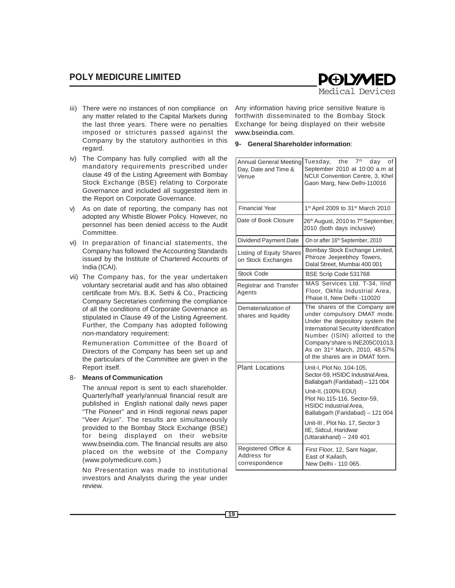

- iii) There were no instances of non compliance on any matter related to the Capital Markets during the last three years. There were no penalties imposed or strictures passed against the Company by the statutory authorities in this regard.
- iv) The Company has fully complied with all the mandatory requirements prescribed under clause 49 of the Listing Agreement with Bombay Stock Exchange (BSE) relating to Corporate Governance and included all suggested item in the Report on Corporate Governance.
- v) As on date of reporting, the company has not adopted any Whistle Blower Policy. However, no personnel has been denied access to the Audit Committee.
- vi) In preparation of financial statements, the Company has followed the Accounting Standards issued by the Institute of Chartered Accounts of India (ICAI).
- vii) The Company has, for the year undertaken voluntary secretarial audit and has also obtained certificate from M/s. B.K. Sethi & Co., Practicing Company Secretaries confirming the compliance of all the conditions of Corporate Governance as stipulated in Clause 49 of the Listing Agreement. Further, the Company has adopted following non-mandatory requirement:

Remuneration Committee of the Board of Directors of the Company has been set up and the particulars of the Committee are given in the Report itself.

# 8- **Means of Communication**

The annual report is sent to each shareholder. Quarterly/half yearly/annual financial result are published in English national daily news paper "The Pioneer" and in Hindi regional news paper "Veer Arjun". The results are simultaneously provided to the Bombay Stock Exchange (BSE) for being displayed on their website www.bseindia.com. The financial results are also placed on the website of the Company (www.polymedicure.com.)

No Presentation was made to institutional investors and Analysts during the year under review.

Any information having price sensitive feature is forthwith disseminated to the Bombay Stock Exchange for being displayed on their website www.bseindia.com.

# **9- General Shareholder information**:

| <b>Annual General Meeting</b><br>Day, Date and Time &<br>Venue | the<br>7 <sup>th</sup><br>Tuesday,<br>day<br>οf<br>September 2010 at 10:00 a.m at<br>NCUI Convention Centre, 3, Khel<br>Gaon Marg, New Delhi-110016                                                                                                                                          |
|----------------------------------------------------------------|----------------------------------------------------------------------------------------------------------------------------------------------------------------------------------------------------------------------------------------------------------------------------------------------|
| <b>Financial Year</b>                                          | 1 <sup>st</sup> April 2009 to 31 <sup>st</sup> March 2010                                                                                                                                                                                                                                    |
| Date of Book Closure                                           | 26 <sup>th</sup> August, 2010 to 7 <sup>th</sup> September,<br>2010 (both days inclusive)                                                                                                                                                                                                    |
| <b>Dividend Payment Date</b>                                   | On or after 16 <sup>th</sup> September, 2010                                                                                                                                                                                                                                                 |
| Listing of Equity Shares<br>on Stock Exchanges                 | Bombay Stock Exchange Limited,<br>Phiroze Jeejeebhoy Towers,<br>Dalal Street, Mumbai 400 001                                                                                                                                                                                                 |
| Stock Code                                                     | BSE Scrip Code 531768                                                                                                                                                                                                                                                                        |
| Registrar and Transfer<br>Agents                               | MAS Services Ltd. T-34, IInd<br>Floor, Okhla Industrial Area,<br>Phase II, New Delhi -110020                                                                                                                                                                                                 |
| Dematerialization of<br>shares and liquidity                   | The shares of the Company are<br>under compulsory DMAT mode.<br>Under the depository system the<br>International Security Identification<br>Number (ISIN) allotted to the<br>Company'share is INE205C01013.<br>As on 31 <sup>st</sup> March, 2010, 48.57%<br>of the shares are in DMAT form. |
| <b>Plant Locations</b>                                         | Unit-I, Plot No. 104-105,<br>Sector-59. HSIDC Industrial Area.<br>Ballabgarh (Faridabad) - 121 004<br>Unit-II, (100% EOU)<br>Plot No.115-116, Sector-59,<br><b>HSIDC</b> Industrial Area.                                                                                                    |
|                                                                | Ballabgarh (Faridabad) - 121 004                                                                                                                                                                                                                                                             |
|                                                                | Unit-III, Plot No. 17, Sector 3<br>IIE, Sidcul, Haridwar<br>(Uttarakhand) - 249 401                                                                                                                                                                                                          |
| Registered Office &<br>Address for<br>correspondence           | First Floor, 12, Sant Nagar,<br>East of Kailash,<br>New Delhi - 110 065.                                                                                                                                                                                                                     |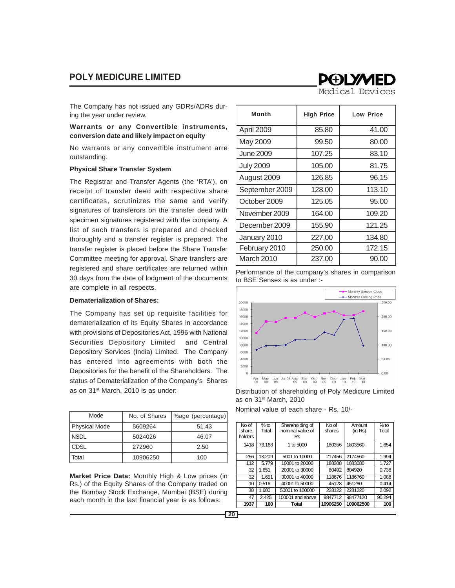**EXALD** DG)

Medical Devices

The Company has not issued any GDRs/ADRs during the year under review.

**Warrants or any Convertible instruments, conversion date and likely impact on equity**

No warrants or any convertible instrument arre outstanding.

# **Physical Share Transfer System**

The Registrar and Transfer Agents (the 'RTA'), on receipt of transfer deed with respective share certificates, scrutinizes the same and verify signatures of transferors on the transfer deed with specimen signatures registered with the company. A list of such transfers is prepared and checked thoroughly and a transfer register is prepared. The transfer register is placed before the Share Transfer Committee meeting for approval. Share transfers are registered and share certificates are returned within 30 days from the date of lodgment of the documents are complete in all respects.

# **Dematerialization of Shares:**

The Company has set up requisite facilities for dematerialization of its Equity Shares in accordance with provisions of Depositories Act, 1996 with National Securities Depository Limited and Central Depository Services (India) Limited. The Company has entered into agreements with both the Depositories for the benefit of the Shareholders. The status of Dematerialization of the Company's Shares as on 31<sup>st</sup> March, 2010 is as under:

| Mode                 | No. of Shares | %age (percentage) |
|----------------------|---------------|-------------------|
| <b>Physical Mode</b> | 5609264       | 51.43             |
| <b>INSDL</b>         | 5024026       | 46.07             |
| <b>CDSL</b>          | 272960        | 2.50              |
| Total                | 10906250      | 100               |

**Market Price Data:** Monthly High & Low prices (in Rs.) of the Equity Shares of the Company traded on the Bombay Stock Exchange, Mumbai (BSE) during each month in the last financial year is as follows:

| Month            | <b>High Price</b> | <b>Low Price</b> |
|------------------|-------------------|------------------|
| April 2009       | 85.80             | 41.00            |
| May 2009         | 99.50             | 80.00            |
| <b>June 2009</b> | 107.25            | 83.10            |
| <b>July 2009</b> | 105.00            | 81.75            |
| August 2009      | 126.85            | 96.15            |
| September 2009   | 128.00            | 113.10           |
| October 2009     | 125.05            | 95.00            |
| November 2009    | 164.00            | 109.20           |
| December 2009    | 155.90            | 121.25           |
| January 2010     | 227.00            | 134.80           |
| February 2010    | 250.00            | 172.15           |
| March 2010       | 237.00            | 90.00            |

Performance of the company's shares in comparison to BSE Sensex is as under :-



Distribution of shareholding of Poly Medicure Limited as on 31st March, 2010

Nominal value of each share - Rs. 10/-

| No of   | $%$ to | Shareholding of  | No of    | Amount    | $%$ to |
|---------|--------|------------------|----------|-----------|--------|
| share   | Total  | nominal value of | shares   | (in Rs)   | Total  |
| holders |        | Rs               |          |           |        |
| 1418    | 73.168 | 1 to 5000        | 180356   | 1803560   | 1.654  |
|         |        |                  |          |           |        |
| 256     | 13.209 | 5001 to 10000    | 217456   | 2174560   | 1.994  |
| 112     | 5.779  | 10001 to 20000   | 188308   | 1883080   | 1.727  |
| 32      | 1.651  | 20001 to 30000   | 80492    | 804920    | 0.738  |
| 32      | 1.651  | 30001 to 40000   | 118676   | 1186760   | 1.088  |
| 10      | 0.516  | 40001 to 50000   | 45128    | 451280    | 0.414  |
| 30      | 1.600  | 50001 to 100000  | 228122   | 2281220   | 2.092  |
| 47      | 2.425  | 100001 and above | 9847712  | 98477120  | 90.294 |
| 1937    | 100    | Total            | 10906250 | 109062500 | 100    |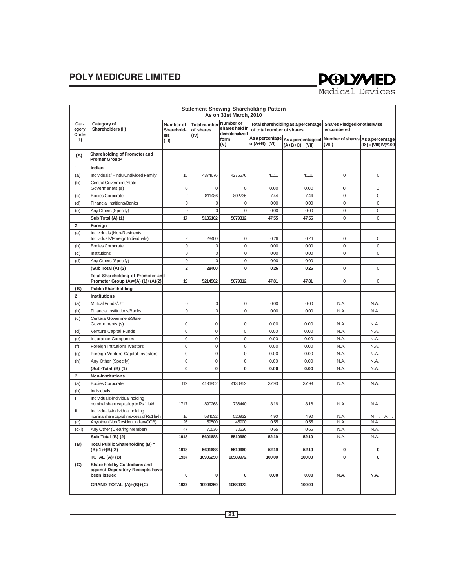

**Statement Showing Shareholding Pattern As on 31st March, 2010 Category Code (I) Category of Shareholders (II) Number of Shareholders (III) Total number Number of of shares (IV) shares held in** dematerialize **form (V) Total shareholding as a percentage of total number of shares Shares Pledged or otherwise encumbered As a percentage of(A+B) (VI) As a percentage of (A+B+C) (VII) Number of shares (VIII) As a percentage (IX) = (VIII) IV)\*100 (A) Shareholding of Promoter and Promer Group2** 1 **Indian** (a) Individuals/ Hindu Undivided Family 15 4374676 4276576 40.11 40.11 0 0 (b) Central Goverment/State Governmenets (s) 0 | 0 0.00 | 0.00 | 0.00 | 0 | 0 (c) Bodies Corporate 2 811486 802736 7.44 7.44 0 0 0 (d) Financial Institions/Banks 0 0 0 0.00 0.00 0 0 (e) Any Others (Specify) 0 0 0 0.00 0.00 0 0 **Sub Total (A) (1) 17 5186162 5079312 47.55 47.55** 0 0 0 0 **2 Foreign** (a) Individuals (Non-Residents Individuals/Foreign Individuals) | 2 28400 0 0.26 0.26 0.26 0 0 0 (b) Bodies Corporate 0 0 0 0.00 0.00 0 0 (c) | Institutions | 0 | 0 | 0 00 | 0.00 | 0 | 0 (d) Any Others (Specify) 0 0 0 0 0.00 0.00 0.00 **(Sub Total (A) (2) 2 28400 0 0.26 0.26** 0 0 **Total Shareholding of Promoter and Prometer Group (A)=(A) (1)+(A)(2) 19 5214562 5079312** 47.81 47.81 0 0 0 0 **(B) Public Shareholding 2 Institutions** (a) Mutual Funds/UTI | 0 0 0 0 0 0.00 0.00 N.A. N.A. (b) Financial Institutions/Banks | 0 0 0 0.00 0.00 N.A. N.A. (c) Centeral Government/State Governments (s) 0 0 0 0.00 0.00 N.A. N.A. (d) Venture Capital Funds 0 0 0 0 0.00 0.00 N.A. N.A. (e) Insurance Companies (a) 0 0 0.000 0.00 N.A. N.A. (f) Foreign Intitutions Ivestors 0 0 0 0.00 0.00 N.A. N.A. (g) Foreign Venture Capital Investors 0 0 0 0 0.00 0.00 N.A. N.A. (h) Any Other (Specify) 0 0 0.00 0.00 N.A. N.A. **(Sub-Total (B) (1) 0 0 0 0.00 0.00** N.A. N.A. 2 **Non-Institutions** (a) Bodies Corporate 112 4136852 4130852 37.93 37.93 N.A. N.A. (b) Individuals I Individuals-individual holding nominal share capital up to Rs 1 lakh 1717 890268 736440 8.16 8.16 8.16 N.A. N.A II Individuals-individual holding nominal share capital in excess of Rs 1 lakh 16 534532 526932 4.90 4.90 N.A. N.A. N.A.<br>(c) Any other (Non Resident Indian/OCB) 26 59500 45900 0.55 0.55 N.A. N.A. (c-i) Any Other (Clearing Member) 47 70536 70536 0.65 0.65 N.A. N.A. **Sub-Total (B) (2) 1918** | 5691688 5510660 | 52.19 | 52.19 | N.A. | N.A. **(B) Total Public Shareholding (B) = (B)(1)+(B)(2) 1918 5691688 5510660 52.19 52.19 0 0 TOTAL (A)+(B) 1937 10906250 10589972 100.00 100.00 0 0 (C) Share held by Custodians and against Depository Receipts have been issued 0 0 0 0.00 0.00 N.A. N.A. GRAND TOTAL (A)+(B)+(C) 1937 10906250 10589972 100.00**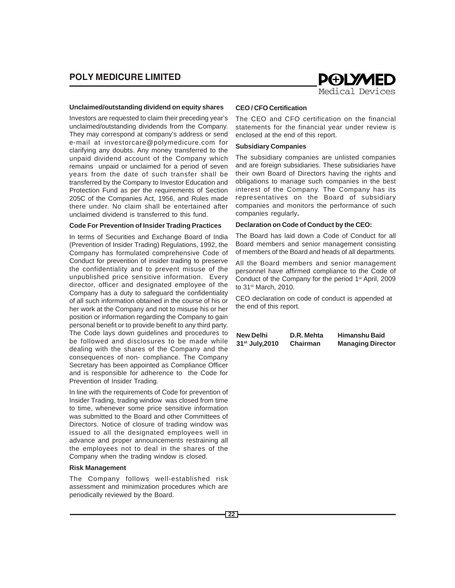

#### **Unclaimed/outstanding dividend on equity shares**

Investors are requested to claim their preceding year's unclaimed/outstanding dividends from the Company. They may correspond at company's address or send e-mail at investorcare@polymedicure.com for clarifying any doubts. Any money transferred to the unpaid dividend account of the Company which remains unpaid or unclaimed for a period of seven years from the date of such transfer shall be transferred by the Company to Investor Education and Protection Fund as per the requirements of Section 205C of the Companies Act, 1956, and Rules made there under. No claim shall be entertained after unclaimed dividend is transferred to this fund.

# **Code For Prevention of Insider Trading Practices**

In terms of Securities and Exchange Board of India (Prevention of Insider Trading) Regulations, 1992, the Company has formulated comprehensive Code of Conduct for prevention of insider trading to preserve the confidentiality and to prevent misuse of the unpublished price sensitive information. Every director, officer and designated employee of the Company has a duty to safeguard the confidentiality of all such information obtained in the course of his or her work at the Company and not to misuse his or her position or information regarding the Company to gain personal benefit or to provide benefit to any third party. The Code lays down guidelines and procedures to be followed and disclosures to be made while dealing with the shares of the Company and the consequences of non- compliance. The Company Secretary has been appointed as Compliance Officer and is responsible for adherence to the Code for Prevention of Insider Trading.

In line with the requirements of Code for prevention of Insider Trading, trading window was closed from time to time, whenever some price sensitive information was submitted to the Board and other Committees of Directors. Notice of closure of trading window was issued to all the designated employees well in advance and proper announcements restraining all the employees not to deal in the shares of the Company when the trading window is closed.

# **Risk Management**

The Company follows well-established risk assessment and minimization procedures which are periodically reviewed by the Board.

# **CEO / CFO Certification**

The CEO and CFO certification on the financial statements for the financial year under review is enclosed at the end of this report.

#### **Subsidiary Companies**

The subsidiary companies are unlisted companies and are foreign subsidiaries. These subsidiaries have their own Board of Directors having the rights and obligations to manage such companies in the best interest of the Company. The Company has its representatives on the Board of subsidiary companies and monitors the performance of such companies regularly**.**

# **Declaration on Code of Conduct by the CEO:**

The Board has laid down a Code of Conduct for all Board members and senior management consisting of members of the Board and heads of all departments.

All the Board members and senior management personnel have affirmed compliance to the Code of Conduct of the Company for the period 1<sup>st</sup> April, 2009 to 31st March, 2010.

CEO declaration on code of conduct is appended at the end of this report.

| New Delhi                  | D.R. Mehta      | Himanshu Baid            |
|----------------------------|-----------------|--------------------------|
| 31 <sup>st</sup> July,2010 | <b>Chairman</b> | <b>Managing Director</b> |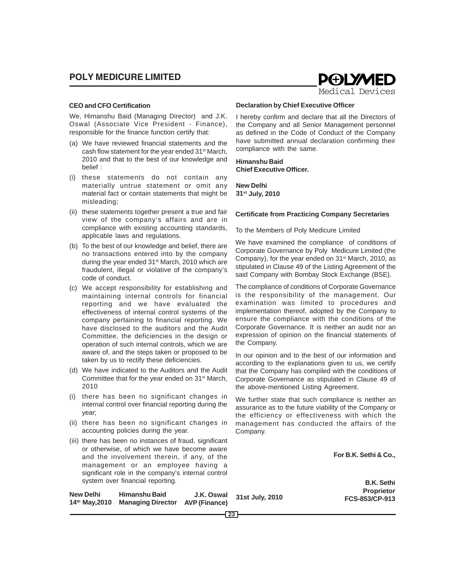

# **CEO and CFO Certification**

We, Himanshu Baid (Managing Director) and J.K. Oswal (Associate Vice President - Finance), responsible for the finance function certify that:

- (a) We have reviewed financial statements and the cash flow statement for the year ended 31<sup>st</sup> March, 2010 and that to the best of our knowledge and belief :
- (i) these statements do not contain any materially untrue statement or omit any material fact or contain statements that might be misleading;
- (ii) these statements together present a true and fair view of the company's affairs and are in compliance with existing accounting standards, applicable laws and regulations.
- (b) To the best of our knowledge and belief, there are no transactions entered into by the company during the year ended 31<sup>st</sup> March, 2010 which are fraudulent, illegal or violative of the company's code of conduct.
- (c) We accept responsibility for establishing and maintaining internal controls for financial reporting and we have evaluated the effectiveness of internal control systems of the company pertaining to financial reporting. We have disclosed to the auditors and the Audit Committee, the deficiencies in the design or operation of such internal controls, which we are aware of, and the steps taken or proposed to be taken by us to rectify these deficiencies.
- (d) We have indicated to the Auditors and the Audit Committee that for the year ended on 31<sup>st</sup> March, 2010
- (i) there has been no significant changes in internal control over financial reporting during the year;
- (ii) there has been no significant changes in accounting policies during the year.
- (iii) there has been no instances of fraud, significant or otherwise, of which we have become aware and the involvement therein, if any, of the management or an employee having a significant role in the company's internal control system over financial reporting.

| <b>Declaration by Chief Executive Officer</b> |  |  |  |
|-----------------------------------------------|--|--|--|
|-----------------------------------------------|--|--|--|

I hereby confirm and declare that all the Directors of the Company and all Senior Management personnel as defined in the Code of Conduct of the Company have submitted annual declaration confirming their compliance with the same.

# **Himanshu Baid Chief Executive Officer.**

**New Delhi 31st July, 2010**

# **Certificate from Practicing Company Secretaries**

To the Members of Poly Medicure Limited

We have examined the compliance of conditions of Corporate Governance by Poly Medicure Limited (the Company), for the year ended on 31<sup>st</sup> March, 2010, as stipulated in Clause 49 of the Listing Agreement of the said Company with Bombay Stock Exchange (BSE).

The compliance of conditions of Corporate Governance is the responsibility of the management. Our examination was limited to procedures and implementation thereof, adopted by the Company to ensure the compliance with the conditions of the Corporate Governance. It is neither an audit nor an expression of opinion on the financial statements of the Company.

In our opinion and to the best of our information and according to the explanations given to us, we certify that the Company has compiled with the conditions of Corporate Governance as stipulated in Clause 49 of the above-mentioned Listing Agreement.

We further state that such compliance is neither an assurance as to the future viability of the Company or the efficiency or effectiveness with which the management has conducted the affairs of the Company.

**For B.K. Sethi & Co.,**

**B.K. Sethi Proprietor**

| <b>New Delhi</b> | Himanshu Baid                                  |                            | <b>Proprietor</b> |
|------------------|------------------------------------------------|----------------------------|-------------------|
|                  |                                                | J.K. Oswal 31st July, 2010 | FCS-853/CP-913    |
|                  | 14th May, 2010 Managing Director AVP (Finance) |                            |                   |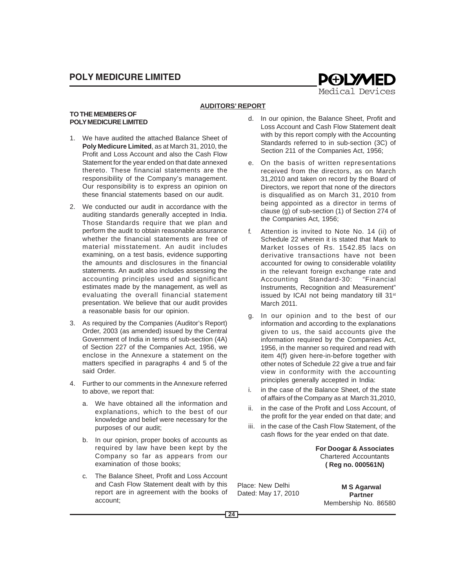**DAI YMED** Medical Devices

# **AUDITORS' REPORT**

# **TO THE MEMBERS OF POLY MEDICURE LIMITED**

- 1. We have audited the attached Balance Sheet of **Poly Medicure Limited**, as at March 31, 2010, the Profit and Loss Account and also the Cash Flow Statement for the year ended on that date annexed thereto. These financial statements are the responsibility of the Company's management. Our responsibility is to express an opinion on these financial statements based on our audit.
- 2. We conducted our audit in accordance with the auditing standards generally accepted in India. Those Standards require that we plan and perform the audit to obtain reasonable assurance whether the financial statements are free of material misstatement. An audit includes examining, on a test basis, evidence supporting the amounts and disclosures in the financial statements. An audit also includes assessing the accounting principles used and significant estimates made by the management, as well as evaluating the overall financial statement presentation. We believe that our audit provides a reasonable basis for our opinion.
- 3. As required by the Companies (Auditor's Report) Order, 2003 (as amended) issued by the Central Government of India in terms of sub-section (4A) of Section 227 of the Companies Act, 1956, we enclose in the Annexure a statement on the matters specified in paragraphs 4 and 5 of the said Order.
- 4. Further to our comments in the Annexure referred to above, we report that:
	- a. We have obtained all the information and explanations, which to the best of our knowledge and belief were necessary for the purposes of our audit;
	- b. In our opinion, proper books of accounts as required by law have been kept by the Company so far as appears from our examination of those books;
	- c. The Balance Sheet, Profit and Loss Account and Cash Flow Statement dealt with by this report are in agreement with the books of account;
- d. In our opinion, the Balance Sheet, Profit and Loss Account and Cash Flow Statement dealt with by this report comply with the Accounting Standards referred to in sub-section (3C) of Section 211 of the Companies Act, 1956;
- e. On the basis of written representations received from the directors, as on March 31,2010 and taken on record by the Board of Directors, we report that none of the directors is disqualified as on March 31, 2010 from being appointed as a director in terms of clause (g) of sub-section (1) of Section 274 of the Companies Act, 1956;
- f. Attention is invited to Note No. 14 (ii) of Schedule 22 wherein it is stated that Mark to Market losses of Rs. 1542.85 lacs on derivative transactions have not been accounted for owing to considerable volatility in the relevant foreign exchange rate and Accounting Standard-30: "Financial Instruments, Recognition and Measurement" issued by ICAI not being mandatory till 31<sup>st</sup> March 2011.
- g. In our opinion and to the best of our information and according to the explanations given to us, the said accounts give the information required by the Companies Act, 1956, in the manner so required and read with item 4(f) given here-in-before together with other notes of Schedule 22 give a true and fair view in conformity with the accounting principles generally accepted in India:
- i. in the case of the Balance Sheet, of the state of affairs of the Company as at March 31,2010,
- ii. in the case of the Profit and Loss Account, of the profit for the year ended on that date; and
- iii. in the case of the Cash Flow Statement, of the cash flows for the year ended on that date.

**For Doogar & Associates** Chartered Accountants **( Reg no. 000561N)**

Place: New Delhi Dated: May 17, 2010

**M S Agarwal Partner** Membership No. 86580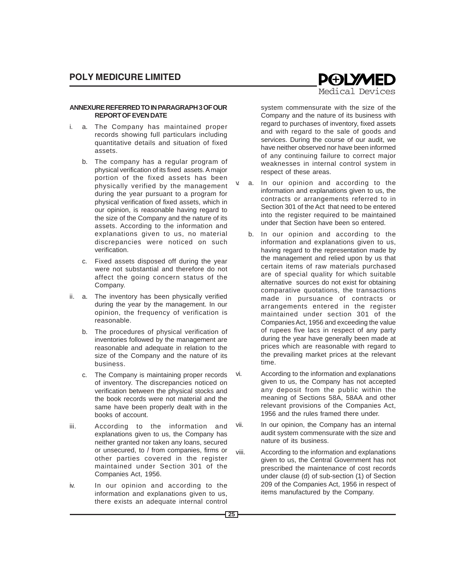## **ANNEXURE REFERRED TO IN PARAGRAPH 3 OF OUR REPORT OF EVEN DATE**

- i. a. The Company has maintained proper records showing full particulars including quantitative details and situation of fixed assets.
	- b. The company has a regular program of physical verification of its fixed assets. A major portion of the fixed assets has been physically verified by the management during the year pursuant to a program for physical verification of fixed assets, which in our opinion, is reasonable having regard to the size of the Company and the nature of its assets. According to the information and explanations given to us, no material discrepancies were noticed on such verification.
	- c. Fixed assets disposed off during the year were not substantial and therefore do not affect the going concern status of the Company.
- ii. a. The inventory has been physically verified during the year by the management. In our opinion, the frequency of verification is reasonable.
	- b. The procedures of physical verification of inventories followed by the management are reasonable and adequate in relation to the size of the Company and the nature of its business.
	- c. The Company is maintaining proper records of inventory. The discrepancies noticed on verification between the physical stocks and the book records were not material and the same have been properly dealt with in the books of account.
- iii. According to the information and explanations given to us, the Company has neither granted nor taken any loans, secured or unsecured, to / from companies, firms or other parties covered in the register maintained under Section 301 of the Companies Act, 1956.
- iv. In our opinion and according to the information and explanations given to us, there exists an adequate internal control

**PALYMED** Medical Devices system commensurate with the size of the Company and the nature of its business with

regard to purchases of inventory, fixed assets and with regard to the sale of goods and services. During the course of our audit, we have neither observed nor have been informed of any continuing failure to correct major weaknesses in internal control system in respect of these areas.

- v. a. In our opinion and according to the information and explanations given to us, the contracts or arrangements referred to in Section 301 of the Act that need to be entered into the register required to be maintained under that Section have been so entered.
	- b. In our opinion and according to the information and explanations given to us, having regard to the representation made by the management and relied upon by us that certain items of raw materials purchased are of special quality for which suitable alternative sources do not exist for obtaining comparative quotations, the transactions made in pursuance of contracts or arrangements entered in the register maintained under section 301 of the Companies Act, 1956 and exceeding the value of rupees five lacs in respect of any party during the year have generally been made at prices which are reasonable with regard to the prevailing market prices at the relevant time.
- vi. According to the information and explanations given to us, the Company has not accepted any deposit from the public within the meaning of Sections 58A, 58AA and other relevant provisions of the Companies Act, 1956 and the rules framed there under.
- vii. In our opinion, the Company has an internal audit system commensurate with the size and nature of its business.
- viii. According to the information and explanations given to us, the Central Government has not prescribed the maintenance of cost records under clause (d) of sub-section (1) of Section 209 of the Companies Act, 1956 in respect of items manufactured by the Company.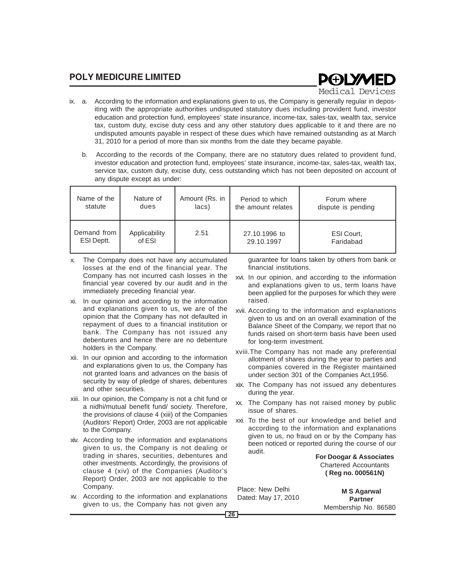

Medical Devices

- ix. a. According to the information and explanations given to us, the Company is generally regular in depositing with the appropriate authorities undisputed statutory dues including provident fund, investor education and protection fund, employees' state insurance, income-tax, sales-tax, wealth tax, service tax, custom duty, excise duty cess and any other statutory dues applicable to it and there are no undisputed amounts payable in respect of these dues which have remained outstanding as at March 31, 2010 for a period of more than six months from the date they became payable.
	- b. According to the records of the Company, there are no statutory dues related to provident fund, investor education and protection fund, employees' state insurance, income-tax, sales-tax, wealth tax, service tax, custom duty, excise duty, cess outstanding which has not been deposited on account of any dispute except as under:

| Name of the | Nature of     | Amount (Rs. in | Period to which    | Forum where        |
|-------------|---------------|----------------|--------------------|--------------------|
| statute     | dues          | lacs)          | the amount relates | dispute is pending |
| Demand from | Applicability | 2.51           | 27.10.1996 to      | ESI Court,         |
| ESI Deptt.  | of ESI        |                | 29.10.1997         | Faridabad          |

- x. The Company does not have any accumulated losses at the end of the financial year. The Company has not incurred cash losses in the financial year covered by our audit and in the immediately preceding financial year.
- xi. In our opinion and according to the information and explanations given to us, we are of the opinion that the Company has not defaulted in repayment of dues to a financial institution or bank. The Company has not issued any debentures and hence there are no debenture holders in the Company.
- xii. In our opinion and according to the information and explanations given to us, the Company has not granted loans and advances on the basis of security by way of pledge of shares, debentures and other securities.
- xiii. In our opinion, the Company is not a chit fund or a nidhi/mutual benefit fund/ society. Therefore, the provisions of clause 4 (xiii) of the Companies (Auditors' Report) Order, 2003 are not applicable to the Company.
- xiv. According to the information and explanations given to us, the Company is not dealing or trading in shares, securities, debentures and other investments. Accordingly, the provisions of clause 4 (xiv) of the Companies (Auditor's Report) Order, 2003 are not applicable to the Company.
- xv. According to the information and explanations given to us, the Company has not given any

guarantee for loans taken by others from bank or financial institutions.

- xvi. In our opinion, and according to the information and explanations given to us, term loans have been applied for the purposes for which they were raised.
- xvii. According to the information and explanations given to us and on an overall examination of the Balance Sheet of the Company, we report that no funds raised on short-term basis have been used for long-term investment.
- xviii.The Company has not made any preferential allotment of shares during the year to parties and companies covered in the Register maintained under section 301 of the Companies Act,1956.
- xix. The Company has not issued any debentures during the year.
- xx. The Company has not raised money by public issue of shares.
- xxi. To the best of our knowledge and belief and according to the information and explanations given to us, no fraud on or by the Company has been noticed or reported during the course of our audit.

**For Doogar & Associates** Chartered Accountants **( Reg no. 000561N)**

Place: New Delhi Dated: May 17, 2010

**M S Agarwal Partner** Membership No. 86580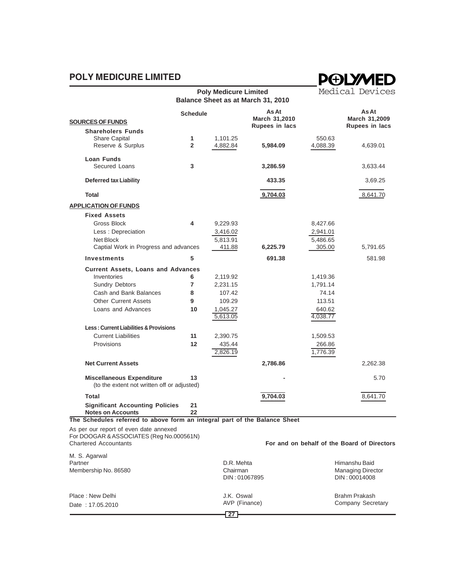

Medical Devices

|                                                                                                                                                                                                                                                                                                                                                                                   |                                          |                                                                                                    | Balance Sheet as at March 31, 2010       |                                                                                                 |                                                                   |
|-----------------------------------------------------------------------------------------------------------------------------------------------------------------------------------------------------------------------------------------------------------------------------------------------------------------------------------------------------------------------------------|------------------------------------------|----------------------------------------------------------------------------------------------------|------------------------------------------|-------------------------------------------------------------------------------------------------|-------------------------------------------------------------------|
| <b>SOURCES OF FUNDS</b><br><b>Shareholers Funds</b>                                                                                                                                                                                                                                                                                                                               | <b>Schedule</b>                          |                                                                                                    | As At<br>March 31,2010<br>Rupees in lacs |                                                                                                 | As At<br>March 31,2009<br>Rupees in lacs                          |
| Share Capital<br>Reserve & Surplus                                                                                                                                                                                                                                                                                                                                                | 1<br>2                                   | 1,101.25<br>4,882.84                                                                               | 5,984.09                                 | 550.63<br>4,088.39                                                                              | 4,639.01                                                          |
| <b>Loan Funds</b><br>Secured Loans                                                                                                                                                                                                                                                                                                                                                | 3                                        |                                                                                                    | 3,286.59                                 |                                                                                                 | 3,633.44                                                          |
| <b>Deferred tax Liability</b>                                                                                                                                                                                                                                                                                                                                                     |                                          |                                                                                                    | 433.35                                   |                                                                                                 | 3,69.25                                                           |
| <b>Total</b>                                                                                                                                                                                                                                                                                                                                                                      |                                          |                                                                                                    | 9,704.03                                 |                                                                                                 | 8,641.70                                                          |
| <b>APPLICATION OF FUNDS</b>                                                                                                                                                                                                                                                                                                                                                       |                                          |                                                                                                    |                                          |                                                                                                 |                                                                   |
| <b>Fixed Assets</b><br>Gross Block<br>Less: Depreciation<br>Net Block<br>Captial Work in Progress and advances                                                                                                                                                                                                                                                                    | 4                                        | 9,229.93<br>3,416.02<br>5,813.91<br>411.88                                                         | 6,225.79                                 | 8,427.66<br>2,941.01<br>5,486.65<br>305.00                                                      | 5,791.65                                                          |
| <b>Investments</b>                                                                                                                                                                                                                                                                                                                                                                | 5                                        |                                                                                                    | 691.38                                   |                                                                                                 | 581.98                                                            |
| <b>Current Assets, Loans and Advances</b><br>Inventories<br><b>Sundry Debtors</b><br>Cash and Bank Balances<br><b>Other Current Assets</b><br>Loans and Advances<br><b>Less: Current Liabilities &amp; Provisions</b><br><b>Current Liabilities</b><br>Provisions<br><b>Net Current Assets</b><br><b>Miscellaneous Expenditure</b><br>(to the extent not written off or adjusted) | 6<br>7<br>8<br>9<br>10<br>11<br>12<br>13 | 2,119.92<br>2,231.15<br>107.42<br>109.29<br>1,045.27<br>5,613.05<br>2,390.75<br>435.44<br>2,826.19 | 2,786.86                                 | 1,419.36<br>1,791.14<br>74.14<br>113.51<br>640.62<br>4,038.77<br>1,509.53<br>266.86<br>1,776.39 | 2,262.38<br>5.70                                                  |
| Total<br><b>Significant Accounting Policies</b>                                                                                                                                                                                                                                                                                                                                   | 21                                       |                                                                                                    | 9,704.03                                 |                                                                                                 | 8,641.70                                                          |
| <b>Notes on Accounts</b>                                                                                                                                                                                                                                                                                                                                                          | 22                                       |                                                                                                    |                                          |                                                                                                 |                                                                   |
| The Schedules referred to above form an integral part of the Balance Sheet<br>As per our report of even date annexed<br>For DOOGAR & ASSOCIATES (Reg No.000561N)<br><b>Chartered Accountants</b><br>M. S. Agarwal<br>Partner                                                                                                                                                      |                                          | D.R. Mehta                                                                                         |                                          |                                                                                                 | For and on behalf of the Board of Directors<br>Himanshu Baid      |
| Membership No. 86580<br>Place: New Delhi                                                                                                                                                                                                                                                                                                                                          |                                          | Chairman<br>DIN: 01067895<br>J.K. Oswal                                                            |                                          |                                                                                                 | <b>Managing Director</b><br>DIN: 00014008<br><b>Brahm Prakash</b> |
| Date: 17.05.2010                                                                                                                                                                                                                                                                                                                                                                  |                                          | AVP (Finance)                                                                                      |                                          |                                                                                                 | Company Secretary                                                 |

**Poly Medicure Limited**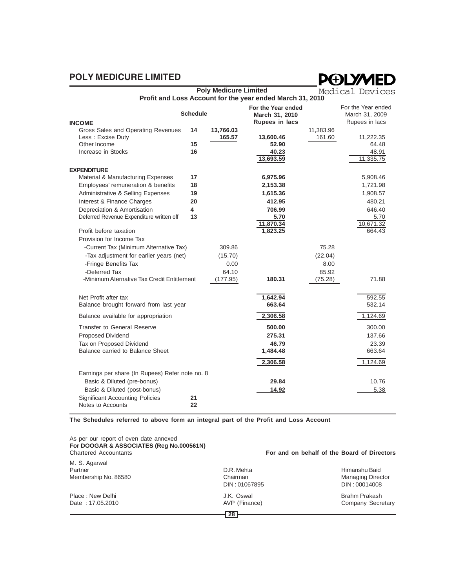# PO



| POLY MEDICURE LIMITED                               |                 |                              |                                                                                                                     |           |                                                        |
|-----------------------------------------------------|-----------------|------------------------------|---------------------------------------------------------------------------------------------------------------------|-----------|--------------------------------------------------------|
|                                                     |                 | <b>Poly Medicure Limited</b> |                                                                                                                     |           | Medical Devices                                        |
|                                                     | <b>Schedule</b> |                              | Profit and Loss Account for the year ended March 31, 2010<br>For the Year ended<br>March 31, 2010<br>Rupees in lacs |           | For the Year ended<br>March 31, 2009<br>Rupees in lacs |
| <b>INCOME</b><br>Gross Sales and Operating Revenues | 14              | 13,766.03                    |                                                                                                                     | 11,383.96 |                                                        |
| Less: Excise Duty                                   |                 | 165.57                       | 13,600.46                                                                                                           | 161.60    | 11,222.35                                              |
| Other Income                                        | 15              |                              | 52.90                                                                                                               |           | 64.48                                                  |
| Increase in Stocks                                  | 16              |                              | 40.23                                                                                                               |           | 48.91                                                  |
|                                                     |                 |                              | 13,693.59                                                                                                           |           | 11,335.75                                              |
| <b>EXPENDITURE</b>                                  |                 |                              |                                                                                                                     |           |                                                        |
| Material & Manufacturing Expenses                   | 17              |                              | 6,975.96                                                                                                            |           | 5,908.46                                               |
| Employees' remuneration & benefits                  | 18              |                              | 2,153.38                                                                                                            |           | 1,721.98                                               |
| Administrative & Selling Expenses                   | 19              |                              | 1,615.36                                                                                                            |           | 1,908.57                                               |
| Interest & Finance Charges                          | 20              |                              | 412.95                                                                                                              |           | 480.21                                                 |
| Depreciation & Amortisation                         | 4               |                              | 706.99                                                                                                              |           | 646.40                                                 |
| Deferred Revenue Expenditure written off            | 13              |                              | 5.70                                                                                                                |           | 5.70                                                   |
|                                                     |                 |                              | 11,870.34                                                                                                           |           | 10,671.32                                              |
| Profit before taxation                              |                 |                              | 1,823.25                                                                                                            |           | 664.43                                                 |
| Provision for Income Tax                            |                 |                              |                                                                                                                     |           |                                                        |
| -Current Tax (Minimum Alternative Tax)              |                 | 309.86                       |                                                                                                                     | 75.28     |                                                        |
| -Tax adjustment for earlier years (net)             |                 | (15.70)                      |                                                                                                                     | (22.04)   |                                                        |
| -Fringe Benefits Tax                                |                 | 0.00                         |                                                                                                                     | 8.00      |                                                        |
| -Deferred Tax                                       |                 | 64.10                        |                                                                                                                     | 85.92     |                                                        |
| -Minimum Aternative Tax Credit Entitlement          |                 | (177.95)                     | 180.31                                                                                                              | (75.28)   | 71.88                                                  |
| Net Profit after tax                                |                 |                              | 1,642.94                                                                                                            |           | 592.55                                                 |
| Balance brought forward from last year              |                 |                              | 663.64                                                                                                              |           | 532.14                                                 |
| Balance available for appropriation                 |                 |                              | 2,306.58                                                                                                            |           | 1,124.69                                               |
| Transfer to General Reserve                         |                 |                              | 500.00                                                                                                              |           | 300.00                                                 |
| <b>Proposed Dividend</b>                            |                 |                              | 275.31                                                                                                              |           | 137.66                                                 |
| Tax on Proposed Dividend                            |                 |                              | 46.79                                                                                                               |           | 23.39                                                  |
| Balance carried to Balance Sheet                    |                 |                              | 1,484.48                                                                                                            |           | 663.64                                                 |
|                                                     |                 |                              | 2,306.58                                                                                                            |           | 1,124.69                                               |
| Earnings per share (In Rupees) Refer note no. 8     |                 |                              |                                                                                                                     |           |                                                        |
| Basic & Diluted (pre-bonus)                         |                 |                              | 29.84                                                                                                               |           | 10.76                                                  |
| Basic & Diluted (post-bonus)                        |                 |                              | 14.92                                                                                                               |           | 5.38                                                   |

**The Schedules referred to above form an integral part of the Profit and Loss Account**

Significant Accounting Policies **21** Notes to Accounts **22**

| As per our report of even date annexed<br>For DOOGAR & ASSOCIATES (Reg No.000561N)<br><b>Chartered Accountants</b> |                                         | For and on behalf of the Board of Directors                |
|--------------------------------------------------------------------------------------------------------------------|-----------------------------------------|------------------------------------------------------------|
| M. S. Agarwal<br>Partner<br>Membership No. 86580                                                                   | D.R. Mehta<br>Chairman<br>DIN: 01067895 | Himanshu Baid<br><b>Managing Director</b><br>DIN: 00014008 |
| Place: New Delhi<br>Date: 17.05.2010                                                                               | J.K. Oswal<br>AVP (Finance)<br>28       | Brahm Prakash<br>Company Secretary                         |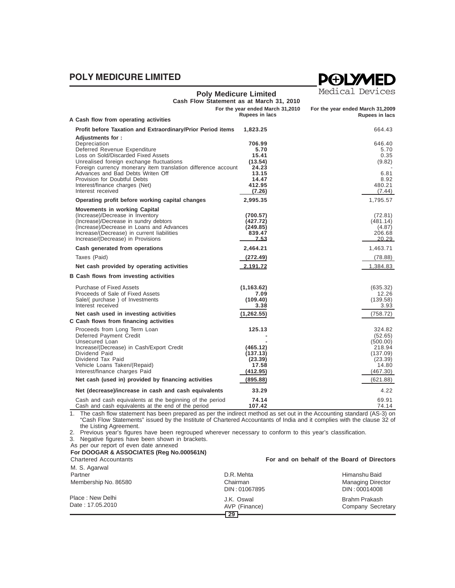

**Poly Medicure Limited Cash Flow Statement as at March 31, 2010**

| A Cash flow from operating activities                                                                                                                                                                                                                                                                                                            | For the year ended March 31,2010<br>Rupees in lacs                                | For the year ended March 31,2009<br><b>Rupees in lacs</b>            |
|--------------------------------------------------------------------------------------------------------------------------------------------------------------------------------------------------------------------------------------------------------------------------------------------------------------------------------------------------|-----------------------------------------------------------------------------------|----------------------------------------------------------------------|
| Profit before Taxation and Extraordinary/Prior Period items                                                                                                                                                                                                                                                                                      | 1,823.25                                                                          | 664.43                                                               |
| Adjustments for:<br>Depreciation<br>Deferred Revenue Expenditure<br>Loss on Sold/Discarded Fixed Assets<br>Unrealised foreign exchange fluctuations<br>Foreign currency monerary item translation difference account<br>Advances and Bad Debts Writen Off<br>Provision for Doubtful Debts<br>Interest/finance charges (Net)<br>Interest received | 706.99<br>5.70<br>15.41<br>(13.54)<br>24.23<br>13.15<br>14.47<br>412.95<br>(7.26) | 646.40<br>5.70<br>0.35<br>(9.82)<br>6.81<br>8.92<br>480.21<br>(7.44) |
| Operating profit before working capital changes                                                                                                                                                                                                                                                                                                  | 2,995.35                                                                          | 1,795.57                                                             |
| <b>Movements in working Capital</b><br>(Increase)/Decrease in Inventory<br>(Increase)/Decrease in sundry debtors<br>(Increase)/Decrease in Loans and Advances<br>Increase/(Decrease) in current liabilities<br>Increase/(Decrease) in Provisions                                                                                                 | (700.57)<br>(427.72)<br>(249.85)<br>839.47<br>7.53                                | (72.81)<br>(481.14)<br>(4.87)<br>206.68<br>20.29                     |
| Cash generated from operations                                                                                                                                                                                                                                                                                                                   | 2,464.21                                                                          | 1,463.71                                                             |
| Taxes (Paid)                                                                                                                                                                                                                                                                                                                                     | (272.49)                                                                          | (78.88)                                                              |
| Net cash provided by operating activities                                                                                                                                                                                                                                                                                                        | 2,191.72                                                                          | 1,384.83                                                             |
| <b>B</b> Cash flows from investing activities                                                                                                                                                                                                                                                                                                    |                                                                                   |                                                                      |
| <b>Purchase of Fixed Assets</b><br>Proceeds of Sale of Fixed Assets<br>Sale/(purchase) of Investments<br>Interest received                                                                                                                                                                                                                       | (1, 163.62)<br>7.09<br>(109.40)<br>3.38                                           | (635.32)<br>12.26<br>(139.58)<br>3.93                                |
| Net cash used in investing activities                                                                                                                                                                                                                                                                                                            | (1, 262.55)                                                                       | (758.72)                                                             |
| C Cash flows from financing activities<br>Proceeds from Long Term Loan<br>Deferred Payment Credit<br>Unsecured Loan<br>Increase/(Decrease) in Cash/Export Credit<br>Dividend Paid                                                                                                                                                                | 125.13<br>(465.12)                                                                | 324.82<br>(52.65)<br>(500.00)<br>218.94                              |
| Dividend Tax Paid<br>Vehicle Loans Taken/(Repaid)<br>Interest/finance charges Paid                                                                                                                                                                                                                                                               | (137.13)<br>(23.39)<br>17.58<br>(412.95)                                          | (137.09)<br>(23.39)<br>14.80<br>(467.30)                             |
| Net cash (used in) provided by financing activities                                                                                                                                                                                                                                                                                              | (895.88)                                                                          | (621.88)                                                             |
| Net (decrease)/increase in cash and cash equivalents                                                                                                                                                                                                                                                                                             | 33.29                                                                             | 4.22                                                                 |
| Cash and cash equivalents at the beginning of the period<br>Cash and cash equivalents at the end of the period                                                                                                                                                                                                                                   | 74.14<br>107.42                                                                   | 69.91<br>74.14                                                       |
| 1. The cash flow statement has been prepared as per the indirect method as set out in the Accounting standard (AS-3) on<br>"Cash Flow Statements" issued by the Institute of Chartered Accountants of India and it complies with the clause 22 of                                                                                                |                                                                                   |                                                                      |

"Cash Flow Statements" issued by the Institute of Chartered Accountants of India and it complies with the clause 32 of the Listing Agreement.

2. Previous year's figures have been regrouped wherever necessary to conform to this year's classification.

3. Negative figures have been shown in brackets.

As per our report of even date annexed

#### **For DOOGAR & ASSOCIATES (Reg No.000561N)** Chartered Accountants **For and on behalf of the Board of Directors**

| M. S. Agarwal                        |                             |                                           |
|--------------------------------------|-----------------------------|-------------------------------------------|
| Partner                              | D.R. Mehta                  | Himanshu Baid                             |
| Membership No. 86580                 | Chairman<br>DIN: 01067895   | <b>Managing Director</b><br>DIN: 00014008 |
| Place: New Delhi<br>Date: 17.05.2010 | J.K. Oswal<br>AVP (Finance) | Brahm Prakash<br>Company Secretary        |
|                                      | $\overline{29}$             |                                           |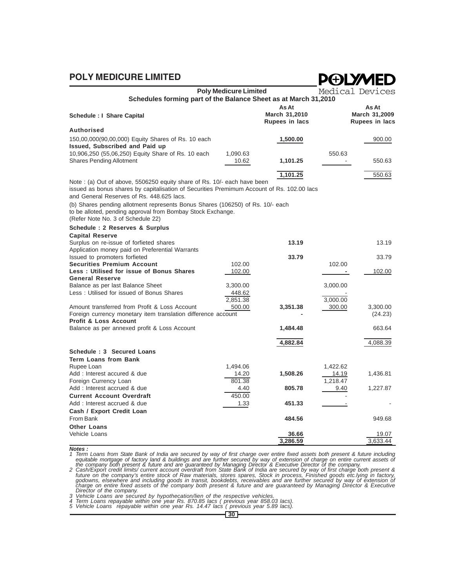

|                                                                                                                                                                                                                    | <b>Poly Medicure Limited</b> |                                          |          | Medical Devices                          |
|--------------------------------------------------------------------------------------------------------------------------------------------------------------------------------------------------------------------|------------------------------|------------------------------------------|----------|------------------------------------------|
| Schedules forming part of the Balance Sheet as at March 31,2010                                                                                                                                                    |                              |                                          |          |                                          |
| <b>Schedule : I Share Capital</b>                                                                                                                                                                                  |                              | As At<br>March 31,2010<br>Rupees in lacs |          | As At<br>March 31,2009<br>Rupees in lacs |
| Authorised                                                                                                                                                                                                         |                              |                                          |          |                                          |
| 150,00,000(90,00,000) Equity Shares of Rs. 10 each<br><b>Issued, Subscribed and Paid up</b>                                                                                                                        |                              | 1,500.00                                 |          | 900.00                                   |
| 10,906,250 (55,06,250) Equity Share of Rs. 10 each<br><b>Shares Pending Allotment</b>                                                                                                                              | 1,090.63<br>10.62            | 1,101.25                                 | 550.63   | 550.63                                   |
|                                                                                                                                                                                                                    |                              | 1,101.25                                 |          | 550.63                                   |
| Note: (a) Out of above, 5506250 equity share of Rs. 10/- each have been<br>issued as bonus shares by capitalisation of Securities Premimum Account of Rs. 102.00 lacs<br>and General Reserves of Rs. 448.625 lacs. |                              |                                          |          |                                          |
| (b) Shares pending allotment represents Bonus Shares (106250) of Rs. 10/- each<br>to be alloted, pending approval from Bombay Stock Exchange.<br>(Refer Note No. 3 of Schedule 22)                                 |                              |                                          |          |                                          |
| Schedule: 2 Reserves & Surplus                                                                                                                                                                                     |                              |                                          |          |                                          |
| <b>Capital Reserve</b>                                                                                                                                                                                             |                              |                                          |          |                                          |
| Surplus on re-issue of forfieted shares<br>Application money paid on Preferential Warrants                                                                                                                         |                              | 13.19                                    |          | 13.19                                    |
| Issued to promoters forfieted                                                                                                                                                                                      |                              | 33.79                                    |          | 33.79                                    |
| <b>Securities Premium Account</b><br>Less: Utilised for issue of Bonus Shares                                                                                                                                      | 102.00<br>102.00             |                                          | 102.00   | 102.00                                   |
| <b>General Reserve</b>                                                                                                                                                                                             |                              |                                          |          |                                          |
| Balance as per last Balance Sheet                                                                                                                                                                                  | 3,300.00                     |                                          | 3,000.00 |                                          |
| Less: Utilised for issued of Bonus Shares                                                                                                                                                                          | 448.62                       |                                          |          |                                          |
|                                                                                                                                                                                                                    | 2,851.38                     |                                          | 3,000.00 |                                          |
| Amount transferred from Profit & Loss Account<br>Foreign currency monetary item translation difference account<br><b>Profit &amp; Loss Account</b>                                                                 | 500.00                       | 3,351.38                                 | 300.00   | 3,300.00<br>(24.23)                      |
| Balance as per annexed profit & Loss Account                                                                                                                                                                       |                              | 1,484.48                                 |          | 663.64                                   |
|                                                                                                                                                                                                                    |                              | 4,882.84                                 |          | 4,088.39                                 |
| Schedule: 3 Secured Loans                                                                                                                                                                                          |                              |                                          |          |                                          |
| <b>Term Loans from Bank</b>                                                                                                                                                                                        |                              |                                          |          |                                          |
| Rupee Loan                                                                                                                                                                                                         | 1,494.06                     |                                          | 1,422.62 |                                          |
| Add: Interest accured & due                                                                                                                                                                                        | 14.20                        | 1,508.26                                 | 14.19    | 1,436.81                                 |
| Foreign Currency Loan                                                                                                                                                                                              | 801.38                       |                                          | 1,218.47 |                                          |
| Add: Interest accrued & due                                                                                                                                                                                        | 4.40<br>450.00               | 805.78                                   | 9.40     | 1,227.87                                 |
| <b>Current Account Overdraft</b><br>Add: Interest accrued & due                                                                                                                                                    | 1.33                         | 451.33                                   |          |                                          |
| Cash / Export Credit Loan                                                                                                                                                                                          |                              |                                          |          |                                          |
| From Bank                                                                                                                                                                                                          |                              | 484.56                                   |          | 949.68                                   |
| <b>Other Loans</b>                                                                                                                                                                                                 |                              |                                          |          |                                          |
| Vehicle Loans                                                                                                                                                                                                      |                              | 36.66                                    |          | 19.07                                    |
|                                                                                                                                                                                                                    |                              | 3,286.59                                 |          | 3,633.44                                 |

*Notes :*

1 Term Loans from State Bank of India are secured by way of first charge over entire fixed assets both present & future including<br>equitable mortgage of factory land & buildings and are further secured by way of extension o

the company both present & future and are guaranteed by Managing Director & Executive Director of the company.<br>2 Cash/Export credit limits/ current account overdraft from State Bank of India are secured by way of first cha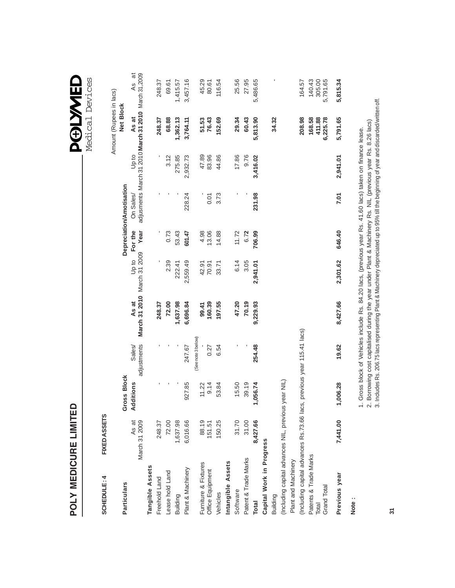| ı            |
|--------------|
|              |
| <b>STATE</b> |
| <b>STATE</b> |

# $\frac{\text{PGUMED}}{\text{Median Poisson}}$ Medical Devices

FIXED ASSETS **SCHEDULE : 4 FIXED ASSETS** SCHEDULE:4

| Particulars                                                           |                        | Gross Block    |                       |                                                                                                                                                                                                                                                    |                                      |                 | Depreciation/Amotisation |          | Amount (Rupees in lacs)<br>Net Block                          |                             |
|-----------------------------------------------------------------------|------------------------|----------------|-----------------------|----------------------------------------------------------------------------------------------------------------------------------------------------------------------------------------------------------------------------------------------------|--------------------------------------|-----------------|--------------------------|----------|---------------------------------------------------------------|-----------------------------|
|                                                                       | As at<br>March 31 2009 | Additions      | adjustments<br>Sales/ | As at                                                                                                                                                                                                                                              | March 31 2010 March 31 2009<br>Up to | For the<br>Year | On Sales/                | Up to    | adjusments March 31 2010 March 31 2010 March 31,2009<br>As at | $\vec{a}$<br>$\overline{4}$ |
| Tangible Assets                                                       |                        |                |                       |                                                                                                                                                                                                                                                    |                                      |                 |                          |          |                                                               |                             |
| Freehold Land                                                         | 248.37                 |                |                       | 248.37                                                                                                                                                                                                                                             |                                      |                 |                          |          | 248.37                                                        | 248.37                      |
| Lease hold Land                                                       | 72.00                  |                |                       | 72.00                                                                                                                                                                                                                                              | 2.39                                 | 0.73            |                          | 3.12     | 68.88                                                         | 69.61                       |
| Building                                                              | 1,637.98               |                |                       | 1,637.98                                                                                                                                                                                                                                           | 222.41                               | 53.43           |                          | 275.85   | 1,362.13                                                      | 1,415.57                    |
| Plant & Machinery                                                     | 6,016.66               | 927.85         | 247.67                | 6,696.84                                                                                                                                                                                                                                           | 2,559.49                             | 601.47          | 228.24                   | 2,932.73 | 3,764.11                                                      | 3,457.16                    |
| Furniture & Fixtures                                                  | 88.19                  | 11.22          | (See note 3 below)    | 99.41                                                                                                                                                                                                                                              | 42.91                                | 4.98            |                          | 47.89    | 51.53                                                         | 45.29                       |
| Office Equipment                                                      | 151.51                 | 9.14           | 0.27                  | 160.39                                                                                                                                                                                                                                             | 70.91                                | 13.06           | 0.01                     | 83.96    | 76.43                                                         | 80.61                       |
| Vehicles                                                              | 50.25                  | 53.84          | 6.54                  | 197.55                                                                                                                                                                                                                                             | 33.71                                | 14.88           | 3.73                     | 44.86    | 152.69                                                        | 116.54                      |
| Intangible Assets                                                     |                        |                |                       |                                                                                                                                                                                                                                                    |                                      |                 |                          |          |                                                               |                             |
| Software                                                              | 31.70                  | 15.50          |                       | 47.20                                                                                                                                                                                                                                              | 6.14                                 | 11.72           |                          | 17.86    | 29.34                                                         | 25.56                       |
| Patent & Trade Marks                                                  | 31.00                  | 39.19          |                       | 70.19                                                                                                                                                                                                                                              | 3.05                                 | 6.72            |                          | 9.76     | 60.43                                                         | 27.95                       |
| <b>Total</b>                                                          | 8,427.66               | 1,056.74       | 254.48                | 9,229.93                                                                                                                                                                                                                                           | 2,941.01                             | 706.99          | 231.98                   | 3,416.02 | 5,813.90                                                      | 5,486.65                    |
| Capital Work in Progress                                              |                        |                |                       |                                                                                                                                                                                                                                                    |                                      |                 |                          |          |                                                               |                             |
| Building                                                              |                        |                |                       |                                                                                                                                                                                                                                                    |                                      |                 |                          |          | 34.32                                                         |                             |
| (Including capital advances NIL, previous                             |                        | year NIL)      |                       |                                                                                                                                                                                                                                                    |                                      |                 |                          |          |                                                               |                             |
| Plant and Machinery                                                   |                        |                |                       |                                                                                                                                                                                                                                                    |                                      |                 |                          |          |                                                               |                             |
| (Including capital advances Rs.73.66 lacs, previous year 115.41 lacs) |                        |                |                       |                                                                                                                                                                                                                                                    |                                      |                 |                          |          | 208.98                                                        | 164.57                      |
| Patents & Trade Marks<br>Total                                        |                        |                |                       |                                                                                                                                                                                                                                                    |                                      |                 |                          |          | 168.58<br>411.88                                              | 140.43<br>305.00            |
| Grand Total                                                           |                        |                |                       |                                                                                                                                                                                                                                                    |                                      |                 |                          |          | 6,225.78                                                      | 5,791.65                    |
| Previous year                                                         | 7,441.00               | 1,006.28       | 19.62                 | 8,427.66                                                                                                                                                                                                                                           | 2,301.62                             | 646.40          | 7.01                     | 2,941.01 | 5,791.65                                                      | 5,815.34                    |
| Note:                                                                 |                        |                |                       |                                                                                                                                                                                                                                                    |                                      |                 |                          |          |                                                               |                             |
|                                                                       |                        | $\overline{a}$ |                       | Gross block of Vehicles include Rs. 84.20 lacs, (previous year Rs. 41.60 lacs) taken on finance lease.                                                                                                                                             |                                      |                 |                          |          |                                                               |                             |
|                                                                       |                        |                |                       | 3. Includes Rs. 206.75 lacs representing Plant & Machinery depreciated up to 95% till the beginning of year and discarded/written off.<br>Borrowing cost capitalised during the year under Plant & Machinery Rs. NIL (previous year Rs. 8.26 lacs) |                                      |                 |                          |          |                                                               |                             |

**31**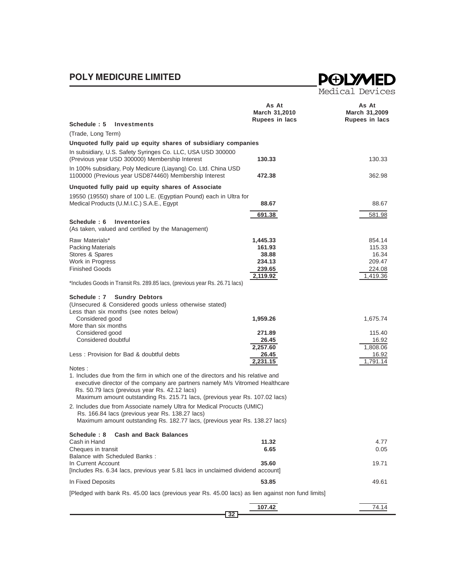

|                                                                                                                                                                                                                                                                                                   | As At<br>March 31,2010<br>Rupees in lacs | As At<br>March 31,2009<br>Rupees in lacs |
|---------------------------------------------------------------------------------------------------------------------------------------------------------------------------------------------------------------------------------------------------------------------------------------------------|------------------------------------------|------------------------------------------|
| Schedule: 5<br>Investments                                                                                                                                                                                                                                                                        |                                          |                                          |
| (Trade, Long Term)                                                                                                                                                                                                                                                                                |                                          |                                          |
| Unquoted fully paid up equity shares of subsidiary companies                                                                                                                                                                                                                                      |                                          |                                          |
| In subsidiary, U.S. Safety Syringes Co. LLC, USA USD 300000<br>(Previous year USD 300000) Membership Interest                                                                                                                                                                                     | 130.33                                   | 130.33                                   |
| In 100% subsidiary, Poly Medicure (Liayang) Co. Ltd. China USD<br>1100000 (Previous year USD874460) Membership Interest                                                                                                                                                                           | 472.38                                   | 362.98                                   |
| Unquoted fully paid up equity shares of Associate                                                                                                                                                                                                                                                 |                                          |                                          |
| 19550 (19550) share of 100 L.E. (Egyptian Pound) each in Ultra for<br>Medical Products (U.M.I.C.) S.A.E., Egypt                                                                                                                                                                                   | 88.67                                    | 88.67                                    |
|                                                                                                                                                                                                                                                                                                   | 691.38                                   | 581.98                                   |
| Schedule: 6<br>Inventories<br>(As taken, valued and certified by the Management)                                                                                                                                                                                                                  |                                          |                                          |
| Raw Materials*                                                                                                                                                                                                                                                                                    | 1,445.33                                 | 854.14                                   |
| <b>Packing Materials</b>                                                                                                                                                                                                                                                                          | 161.93                                   | 115.33                                   |
| Stores & Spares                                                                                                                                                                                                                                                                                   | 38.88                                    | 16.34                                    |
| Work in Progress                                                                                                                                                                                                                                                                                  | 234.13                                   | 209.47                                   |
| <b>Finished Goods</b>                                                                                                                                                                                                                                                                             | 239.65                                   | 224.08                                   |
| *Includes Goods in Transit Rs. 289.85 lacs, (previous year Rs. 26.71 lacs)                                                                                                                                                                                                                        | 2,119.92                                 | 1,419.36                                 |
| Schedule: 7<br><b>Sundry Debtors</b><br>(Unsecured & Considered goods unless otherwise stated)<br>Less than six months (see notes below)                                                                                                                                                          |                                          |                                          |
| Considered good                                                                                                                                                                                                                                                                                   | 1,959.26                                 | 1,675.74                                 |
| More than six months                                                                                                                                                                                                                                                                              |                                          |                                          |
| Considered good                                                                                                                                                                                                                                                                                   | 271.89                                   | 115.40                                   |
| Considered doubtful                                                                                                                                                                                                                                                                               | 26.45                                    | 16.92                                    |
|                                                                                                                                                                                                                                                                                                   | 2,257.60                                 | 1,808.06                                 |
| Less: Provision for Bad & doubtful debts                                                                                                                                                                                                                                                          | 26.45<br>2,231.15                        | 16.92<br>1,791.14                        |
| Notes:                                                                                                                                                                                                                                                                                            |                                          |                                          |
| 1. Includes due from the firm in which one of the directors and his relative and<br>executive director of the company are partners namely M/s Vitromed Healthcare<br>Rs. 50.79 lacs (previous year Rs. 42.12 lacs)<br>Maximum amount outstanding Rs. 215.71 lacs, (previous year Rs. 107.02 lacs) |                                          |                                          |
| 2. Includes due from Associate namely Ultra for Medical Procucts (UMIC)<br>Rs. 166.84 lacs (previous year Rs. 138.27 lacs)<br>Maximum amount outstanding Rs. 182.77 lacs, (previous year Rs. 138.27 lacs)                                                                                         |                                          |                                          |
| Schedule: 8 Cash and Back Balances                                                                                                                                                                                                                                                                |                                          |                                          |
| Cash in Hand                                                                                                                                                                                                                                                                                      | 11.32                                    | 4.77                                     |
| Cheques in transit                                                                                                                                                                                                                                                                                | 6.65                                     | 0.05                                     |
| <b>Balance with Scheduled Banks:</b>                                                                                                                                                                                                                                                              |                                          |                                          |
| In Current Account                                                                                                                                                                                                                                                                                | 35.60                                    | 19.71                                    |
| [Includes Rs. 6.34 lacs, previous year 5.81 lacs in unclaimed dividend account]                                                                                                                                                                                                                   |                                          |                                          |
| In Fixed Deposits                                                                                                                                                                                                                                                                                 | 53.85                                    | 49.61                                    |
| [Pledged with bank Rs. 45.00 lacs (previous year Rs. 45.00 lacs) as lien against non fund limits]                                                                                                                                                                                                 |                                          |                                          |
|                                                                                                                                                                                                                                                                                                   | 107.42                                   | 74.14                                    |

| . <del>.</del> |
|----------------|
|                |
|                |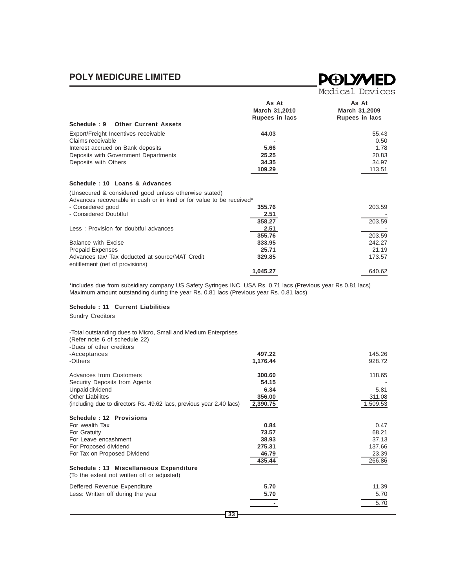

Medical Devices

|                                                                                                                               | As At<br>March 31,2010<br>Rupees in lacs | As At<br>March 31,2009<br>Rupees in lacs |
|-------------------------------------------------------------------------------------------------------------------------------|------------------------------------------|------------------------------------------|
| Schedule: 9 Other Current Assets                                                                                              |                                          |                                          |
| Export/Freight Incentives receivable<br>Claims receivable                                                                     | 44.03                                    | 55.43<br>0.50                            |
| Interest accrued on Bank deposits                                                                                             | 5.66                                     | 1.78                                     |
| Deposits with Government Departments                                                                                          | 25.25                                    | 20.83                                    |
| Deposits with Others                                                                                                          | 34.35<br>109.29                          | 34.97<br>113.51                          |
| Schedule: 10 Loans & Advances                                                                                                 |                                          |                                          |
| (Unsecured & considered good unless otherwise stated)<br>Advances recoverable in cash or in kind or for value to be received* |                                          |                                          |
| - Considered good                                                                                                             | 355.76                                   | 203.59                                   |
| - Considered Doubtful                                                                                                         | 2.51                                     |                                          |
|                                                                                                                               | 358.27                                   | 203.59                                   |
| Less: Provision for doubtful advances                                                                                         | 2.51                                     |                                          |
|                                                                                                                               | 355.76                                   | 203.59                                   |
| <b>Balance with Excise</b>                                                                                                    | 333.95                                   | 242.27                                   |
| <b>Prepaid Expenses</b>                                                                                                       | 25.71                                    | 21.19                                    |
| Advances tax/ Tax deducted at source/MAT Credit<br>entitlement (net of provisions)                                            | 329.85                                   | 173.57                                   |
|                                                                                                                               | 1,045.27                                 | 640.62                                   |

\*includes due from subsidiary company US Safety Syringes INC, USA Rs. 0.71 lacs (Previous year Rs 0.81 lacs) Maximum amount outstanding during the year Rs. 0.81 lacs (Previous year Rs. 0.81 lacs)

# **Schedule : 11 Current Liabilities**

Sundry Creditors

| -Total outstanding dues to Micro, Small and Medium Enterprises<br>(Refer note 6 of schedule 22)<br>-Dues of other creditors |          |          |
|-----------------------------------------------------------------------------------------------------------------------------|----------|----------|
| -Acceptances                                                                                                                | 497.22   | 145.26   |
| -Others                                                                                                                     | 1,176.44 | 928.72   |
| Advances from Customers                                                                                                     | 300.60   | 118.65   |
| Security Deposits from Agents                                                                                               | 54.15    |          |
| Unpaid dividend                                                                                                             | 6.34     | 5.81     |
| <b>Other Liabilites</b>                                                                                                     | 356.00   | 311.08   |
| (including due to directors Rs. 49.62 lacs, previous year 2.40 lacs)                                                        | 2,390.75 | 1,509.53 |
| Schedule: 12 Provisions                                                                                                     |          |          |
| For wealth Tax                                                                                                              | 0.84     | 0.47     |
| For Gratuity                                                                                                                | 73.57    | 68.21    |
| For Leave encashment                                                                                                        | 38.93    | 37.13    |
| For Proposed dividend                                                                                                       | 275.31   | 137.66   |
| For Tax on Proposed Dividend                                                                                                | 46.79    | 23.39    |
|                                                                                                                             | 435.44   | 266.86   |
| Schedule: 13 Miscellaneous Expenditure<br>(To the extent not written off or adjusted)                                       |          |          |
| Deffered Revenue Expenditure                                                                                                | 5.70     | 11.39    |
| Less: Written off during the year                                                                                           | 5.70     | 5.70     |
|                                                                                                                             |          | 5.70     |
|                                                                                                                             |          |          |
|                                                                                                                             |          |          |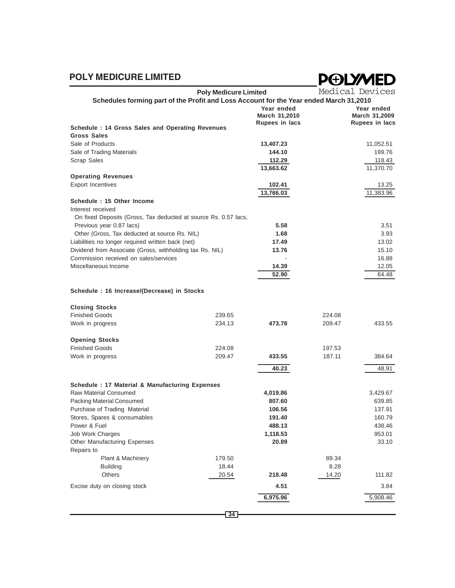

|                                                                                        |        |                             |        | PU <i>u v</i> ied           |
|----------------------------------------------------------------------------------------|--------|-----------------------------|--------|-----------------------------|
| <b>Poly Medicure Limited</b>                                                           |        | Medical Devices             |        |                             |
| Schedules forming part of the Profit and Loss Account for the Year ended March 31,2010 |        |                             |        |                             |
|                                                                                        |        | Year ended<br>March 31,2010 |        | Year ended<br>March 31,2009 |
| Schedule: 14 Gross Sales and Operating Revenues                                        |        | Rupees in lacs              |        | Rupees in lacs              |
| <b>Gross Sales</b>                                                                     |        |                             |        |                             |
| Sale of Products                                                                       |        | 13,407.23                   |        | 11,052.51                   |
| Sale of Trading Materials                                                              |        | 144.10                      |        | 199.76                      |
| <b>Scrap Sales</b>                                                                     |        | 112.29                      |        | 118.43                      |
|                                                                                        |        | 13,663.62                   |        | 11,370.70                   |
| <b>Operating Revenues</b>                                                              |        |                             |        |                             |
| <b>Export Incentives</b>                                                               |        | 102.41                      |        | 13.25                       |
|                                                                                        |        | 13,766.03                   |        | 11,383.96                   |
| Schedule: 15 Other Income                                                              |        |                             |        |                             |
| Interest received                                                                      |        |                             |        |                             |
| On fixed Deposits (Gross, Tax deducted at source Rs. 0.57 lacs,                        |        |                             |        |                             |
| Previous year 0.87 lacs)                                                               |        | 5.58                        |        | 3.51                        |
| Other (Gross, Tax deducted at source Rs. NIL)                                          | 1.68   |                             | 3.93   |                             |
| Liabilities no longer required written back (net)                                      | 17.49  |                             | 13.02  |                             |
| Dividend from Associate (Gross, withholding tax Rs. NIL)                               |        | 13.76                       |        | 15.10                       |
| Commission received on sales/services                                                  |        |                             |        | 16.88                       |
| Miscellaneous Income                                                                   |        | 14.39                       |        | 12.05                       |
|                                                                                        |        | 52.90                       |        | 64.48                       |
| Schedule: 16 Increase/(Decrease) in Stocks                                             |        |                             |        |                             |
|                                                                                        |        |                             |        |                             |
| <b>Closing Stocks</b>                                                                  |        |                             |        |                             |
| <b>Finished Goods</b>                                                                  | 239.65 |                             | 224.08 |                             |
| Work in progress                                                                       | 234.13 | 473.78                      | 209.47 | 433.55                      |
| <b>Opening Stocks</b>                                                                  |        |                             |        |                             |
| <b>Finished Goods</b>                                                                  | 224.08 |                             | 197.53 |                             |
| Work in progress                                                                       | 209.47 | 433.55                      | 187.11 | 384.64                      |
|                                                                                        |        | 40.23                       |        | 48.91                       |
| Schedule: 17 Material & Manufacturing Expenses                                         |        |                             |        |                             |
| <b>Raw Material Consumed</b>                                                           |        | 4,019.86                    |        | 3,429.67                    |
| Packing Material Consumed                                                              |        | 807.60                      |        | 639.85                      |
| Purchase of Trading Material                                                           |        | 106.56                      |        | 137.91                      |
| Stores, Spares & consumables                                                           |        | 191.40                      |        | 160.79                      |
| Power & Fuel                                                                           |        | 488.13                      |        | 438.46                      |
| Job Work Charges                                                                       |        | 1,118.53                    |        | 953.01                      |
| Other Manufacturing Expenses                                                           |        | 20.89                       |        | 33.10                       |
| Repairs to                                                                             |        |                             |        |                             |
| Plant & Machinery                                                                      | 179.50 |                             | 89.34  |                             |
| <b>Building</b>                                                                        | 18.44  |                             | 8.28   |                             |
| <b>Others</b>                                                                          | 20.54  | 218.48                      | 14.20  | 111.82                      |
| Excise duty on closing stock                                                           |        | 4.51                        |        | 3.84                        |
|                                                                                        |        |                             |        |                             |
|                                                                                        |        | 6,975.96                    |        | 5,908.46                    |
|                                                                                        | 34     |                             |        |                             |
|                                                                                        |        |                             |        |                             |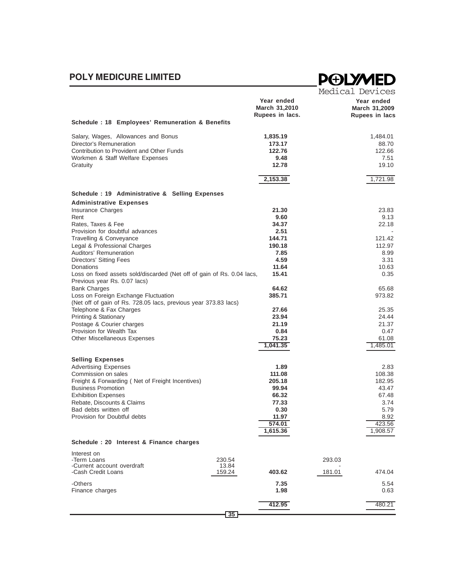

| Year ended<br>Year ended<br>March 31,2010<br>March 31,2009<br>Rupees in lacs.<br>Rupees in lacs<br>Schedule: 18 Employees' Remuneration & Benefits<br>Salary, Wages, Allowances and Bonus<br>1,835.19<br>1,484.01<br>Director's Remuneration<br>173.17<br>88.70<br>Contribution to Provident and Other Funds<br>122.76<br>122.66<br>Workmen & Staff Welfare Expenses<br>9.48<br>7.51<br>12.78<br>19.10<br>Gratuity<br>2,153.38<br>1,721.98<br>Schedule: 19 Administrative & Selling Expenses<br><b>Administrative Expenses</b><br>21.30<br>23.83<br>Insurance Charges<br>9.60<br>9.13<br>Rent<br>34.37<br>Rates, Taxes & Fee<br>22.18<br>Provision for doubtful advances<br>2.51<br>144.71<br>121.42<br>Travelling & Conveyance<br>190.18<br>Legal & Professional Charges<br>112.97<br>Auditors' Remuneration<br>7.85<br>8.99<br>4.59<br>Directors' Sitting Fees<br>3.31<br>11.64<br>10.63<br>Donations<br>15.41<br>0.35<br>Loss on fixed assets sold/discarded (Net off of gain of Rs. 0.04 lacs,<br>Previous year Rs. 0.07 lacs)<br><b>Bank Charges</b><br>64.62<br>65.68<br>385.71<br>Loss on Foreign Exchange Fluctuation<br>973.82<br>(Net off of gain of Rs. 728.05 lacs, previous year 373.83 lacs)<br>27.66<br>25.35<br>Telephone & Fax Charges<br>24.44<br>Printing & Stationary<br>23.94<br>Postage & Courier charges<br>21.19<br>21.37<br>Provision for Wealth Tax<br>0.84<br>0.47<br>75.23<br>Other Miscellaneous Expenses<br>61.08<br>1,041.35<br>1,485.01<br><b>Selling Expenses</b><br>1.89<br>2.83<br><b>Advertising Expenses</b><br>Commission on sales<br>111.08<br>108.38<br>205.18<br>182.95<br>Freight & Forwarding (Net of Freight Incentives)<br><b>Business Promotion</b><br>99.94<br>43.47<br><b>Exhibition Expenses</b><br>66.32<br>67.48<br>Rebate, Discounts & Claims<br>77.33<br>3.74<br>Bad debts written off<br>0.30<br>5.79<br>Provision for Doubtful debts<br>11.97<br>8.92<br>574.01<br>423.56<br>1,615.36<br>1,908.57<br>Schedule: 20 Interest & Finance charges<br>Interest on<br>-Term Loans<br>230.54<br>293.03<br>-Current account overdraft<br>13.84<br>-Cash Credit Loans<br>403.62<br>474.04<br>159.24<br>181.01<br>-Others<br>7.35<br>5.54<br>1.98<br>Finance charges<br>0.63<br>412.95<br>480.21<br>35 |  |  | Medical Devices |
|----------------------------------------------------------------------------------------------------------------------------------------------------------------------------------------------------------------------------------------------------------------------------------------------------------------------------------------------------------------------------------------------------------------------------------------------------------------------------------------------------------------------------------------------------------------------------------------------------------------------------------------------------------------------------------------------------------------------------------------------------------------------------------------------------------------------------------------------------------------------------------------------------------------------------------------------------------------------------------------------------------------------------------------------------------------------------------------------------------------------------------------------------------------------------------------------------------------------------------------------------------------------------------------------------------------------------------------------------------------------------------------------------------------------------------------------------------------------------------------------------------------------------------------------------------------------------------------------------------------------------------------------------------------------------------------------------------------------------------------------------------------------------------------------------------------------------------------------------------------------------------------------------------------------------------------------------------------------------------------------------------------------------------------------------------------------------------------------------------------------------------------------------------------------------------------------------------------------------------------------------|--|--|-----------------|
|                                                                                                                                                                                                                                                                                                                                                                                                                                                                                                                                                                                                                                                                                                                                                                                                                                                                                                                                                                                                                                                                                                                                                                                                                                                                                                                                                                                                                                                                                                                                                                                                                                                                                                                                                                                                                                                                                                                                                                                                                                                                                                                                                                                                                                                    |  |  |                 |
|                                                                                                                                                                                                                                                                                                                                                                                                                                                                                                                                                                                                                                                                                                                                                                                                                                                                                                                                                                                                                                                                                                                                                                                                                                                                                                                                                                                                                                                                                                                                                                                                                                                                                                                                                                                                                                                                                                                                                                                                                                                                                                                                                                                                                                                    |  |  |                 |
|                                                                                                                                                                                                                                                                                                                                                                                                                                                                                                                                                                                                                                                                                                                                                                                                                                                                                                                                                                                                                                                                                                                                                                                                                                                                                                                                                                                                                                                                                                                                                                                                                                                                                                                                                                                                                                                                                                                                                                                                                                                                                                                                                                                                                                                    |  |  |                 |
|                                                                                                                                                                                                                                                                                                                                                                                                                                                                                                                                                                                                                                                                                                                                                                                                                                                                                                                                                                                                                                                                                                                                                                                                                                                                                                                                                                                                                                                                                                                                                                                                                                                                                                                                                                                                                                                                                                                                                                                                                                                                                                                                                                                                                                                    |  |  |                 |
|                                                                                                                                                                                                                                                                                                                                                                                                                                                                                                                                                                                                                                                                                                                                                                                                                                                                                                                                                                                                                                                                                                                                                                                                                                                                                                                                                                                                                                                                                                                                                                                                                                                                                                                                                                                                                                                                                                                                                                                                                                                                                                                                                                                                                                                    |  |  |                 |
|                                                                                                                                                                                                                                                                                                                                                                                                                                                                                                                                                                                                                                                                                                                                                                                                                                                                                                                                                                                                                                                                                                                                                                                                                                                                                                                                                                                                                                                                                                                                                                                                                                                                                                                                                                                                                                                                                                                                                                                                                                                                                                                                                                                                                                                    |  |  |                 |
|                                                                                                                                                                                                                                                                                                                                                                                                                                                                                                                                                                                                                                                                                                                                                                                                                                                                                                                                                                                                                                                                                                                                                                                                                                                                                                                                                                                                                                                                                                                                                                                                                                                                                                                                                                                                                                                                                                                                                                                                                                                                                                                                                                                                                                                    |  |  |                 |
|                                                                                                                                                                                                                                                                                                                                                                                                                                                                                                                                                                                                                                                                                                                                                                                                                                                                                                                                                                                                                                                                                                                                                                                                                                                                                                                                                                                                                                                                                                                                                                                                                                                                                                                                                                                                                                                                                                                                                                                                                                                                                                                                                                                                                                                    |  |  |                 |
|                                                                                                                                                                                                                                                                                                                                                                                                                                                                                                                                                                                                                                                                                                                                                                                                                                                                                                                                                                                                                                                                                                                                                                                                                                                                                                                                                                                                                                                                                                                                                                                                                                                                                                                                                                                                                                                                                                                                                                                                                                                                                                                                                                                                                                                    |  |  |                 |
|                                                                                                                                                                                                                                                                                                                                                                                                                                                                                                                                                                                                                                                                                                                                                                                                                                                                                                                                                                                                                                                                                                                                                                                                                                                                                                                                                                                                                                                                                                                                                                                                                                                                                                                                                                                                                                                                                                                                                                                                                                                                                                                                                                                                                                                    |  |  |                 |
|                                                                                                                                                                                                                                                                                                                                                                                                                                                                                                                                                                                                                                                                                                                                                                                                                                                                                                                                                                                                                                                                                                                                                                                                                                                                                                                                                                                                                                                                                                                                                                                                                                                                                                                                                                                                                                                                                                                                                                                                                                                                                                                                                                                                                                                    |  |  |                 |
|                                                                                                                                                                                                                                                                                                                                                                                                                                                                                                                                                                                                                                                                                                                                                                                                                                                                                                                                                                                                                                                                                                                                                                                                                                                                                                                                                                                                                                                                                                                                                                                                                                                                                                                                                                                                                                                                                                                                                                                                                                                                                                                                                                                                                                                    |  |  |                 |
|                                                                                                                                                                                                                                                                                                                                                                                                                                                                                                                                                                                                                                                                                                                                                                                                                                                                                                                                                                                                                                                                                                                                                                                                                                                                                                                                                                                                                                                                                                                                                                                                                                                                                                                                                                                                                                                                                                                                                                                                                                                                                                                                                                                                                                                    |  |  |                 |
|                                                                                                                                                                                                                                                                                                                                                                                                                                                                                                                                                                                                                                                                                                                                                                                                                                                                                                                                                                                                                                                                                                                                                                                                                                                                                                                                                                                                                                                                                                                                                                                                                                                                                                                                                                                                                                                                                                                                                                                                                                                                                                                                                                                                                                                    |  |  |                 |
|                                                                                                                                                                                                                                                                                                                                                                                                                                                                                                                                                                                                                                                                                                                                                                                                                                                                                                                                                                                                                                                                                                                                                                                                                                                                                                                                                                                                                                                                                                                                                                                                                                                                                                                                                                                                                                                                                                                                                                                                                                                                                                                                                                                                                                                    |  |  |                 |
|                                                                                                                                                                                                                                                                                                                                                                                                                                                                                                                                                                                                                                                                                                                                                                                                                                                                                                                                                                                                                                                                                                                                                                                                                                                                                                                                                                                                                                                                                                                                                                                                                                                                                                                                                                                                                                                                                                                                                                                                                                                                                                                                                                                                                                                    |  |  |                 |
|                                                                                                                                                                                                                                                                                                                                                                                                                                                                                                                                                                                                                                                                                                                                                                                                                                                                                                                                                                                                                                                                                                                                                                                                                                                                                                                                                                                                                                                                                                                                                                                                                                                                                                                                                                                                                                                                                                                                                                                                                                                                                                                                                                                                                                                    |  |  |                 |
|                                                                                                                                                                                                                                                                                                                                                                                                                                                                                                                                                                                                                                                                                                                                                                                                                                                                                                                                                                                                                                                                                                                                                                                                                                                                                                                                                                                                                                                                                                                                                                                                                                                                                                                                                                                                                                                                                                                                                                                                                                                                                                                                                                                                                                                    |  |  |                 |
|                                                                                                                                                                                                                                                                                                                                                                                                                                                                                                                                                                                                                                                                                                                                                                                                                                                                                                                                                                                                                                                                                                                                                                                                                                                                                                                                                                                                                                                                                                                                                                                                                                                                                                                                                                                                                                                                                                                                                                                                                                                                                                                                                                                                                                                    |  |  |                 |
|                                                                                                                                                                                                                                                                                                                                                                                                                                                                                                                                                                                                                                                                                                                                                                                                                                                                                                                                                                                                                                                                                                                                                                                                                                                                                                                                                                                                                                                                                                                                                                                                                                                                                                                                                                                                                                                                                                                                                                                                                                                                                                                                                                                                                                                    |  |  |                 |
|                                                                                                                                                                                                                                                                                                                                                                                                                                                                                                                                                                                                                                                                                                                                                                                                                                                                                                                                                                                                                                                                                                                                                                                                                                                                                                                                                                                                                                                                                                                                                                                                                                                                                                                                                                                                                                                                                                                                                                                                                                                                                                                                                                                                                                                    |  |  |                 |
|                                                                                                                                                                                                                                                                                                                                                                                                                                                                                                                                                                                                                                                                                                                                                                                                                                                                                                                                                                                                                                                                                                                                                                                                                                                                                                                                                                                                                                                                                                                                                                                                                                                                                                                                                                                                                                                                                                                                                                                                                                                                                                                                                                                                                                                    |  |  |                 |
|                                                                                                                                                                                                                                                                                                                                                                                                                                                                                                                                                                                                                                                                                                                                                                                                                                                                                                                                                                                                                                                                                                                                                                                                                                                                                                                                                                                                                                                                                                                                                                                                                                                                                                                                                                                                                                                                                                                                                                                                                                                                                                                                                                                                                                                    |  |  |                 |
|                                                                                                                                                                                                                                                                                                                                                                                                                                                                                                                                                                                                                                                                                                                                                                                                                                                                                                                                                                                                                                                                                                                                                                                                                                                                                                                                                                                                                                                                                                                                                                                                                                                                                                                                                                                                                                                                                                                                                                                                                                                                                                                                                                                                                                                    |  |  |                 |
|                                                                                                                                                                                                                                                                                                                                                                                                                                                                                                                                                                                                                                                                                                                                                                                                                                                                                                                                                                                                                                                                                                                                                                                                                                                                                                                                                                                                                                                                                                                                                                                                                                                                                                                                                                                                                                                                                                                                                                                                                                                                                                                                                                                                                                                    |  |  |                 |
|                                                                                                                                                                                                                                                                                                                                                                                                                                                                                                                                                                                                                                                                                                                                                                                                                                                                                                                                                                                                                                                                                                                                                                                                                                                                                                                                                                                                                                                                                                                                                                                                                                                                                                                                                                                                                                                                                                                                                                                                                                                                                                                                                                                                                                                    |  |  |                 |
|                                                                                                                                                                                                                                                                                                                                                                                                                                                                                                                                                                                                                                                                                                                                                                                                                                                                                                                                                                                                                                                                                                                                                                                                                                                                                                                                                                                                                                                                                                                                                                                                                                                                                                                                                                                                                                                                                                                                                                                                                                                                                                                                                                                                                                                    |  |  |                 |
|                                                                                                                                                                                                                                                                                                                                                                                                                                                                                                                                                                                                                                                                                                                                                                                                                                                                                                                                                                                                                                                                                                                                                                                                                                                                                                                                                                                                                                                                                                                                                                                                                                                                                                                                                                                                                                                                                                                                                                                                                                                                                                                                                                                                                                                    |  |  |                 |
|                                                                                                                                                                                                                                                                                                                                                                                                                                                                                                                                                                                                                                                                                                                                                                                                                                                                                                                                                                                                                                                                                                                                                                                                                                                                                                                                                                                                                                                                                                                                                                                                                                                                                                                                                                                                                                                                                                                                                                                                                                                                                                                                                                                                                                                    |  |  |                 |
|                                                                                                                                                                                                                                                                                                                                                                                                                                                                                                                                                                                                                                                                                                                                                                                                                                                                                                                                                                                                                                                                                                                                                                                                                                                                                                                                                                                                                                                                                                                                                                                                                                                                                                                                                                                                                                                                                                                                                                                                                                                                                                                                                                                                                                                    |  |  |                 |
|                                                                                                                                                                                                                                                                                                                                                                                                                                                                                                                                                                                                                                                                                                                                                                                                                                                                                                                                                                                                                                                                                                                                                                                                                                                                                                                                                                                                                                                                                                                                                                                                                                                                                                                                                                                                                                                                                                                                                                                                                                                                                                                                                                                                                                                    |  |  |                 |
|                                                                                                                                                                                                                                                                                                                                                                                                                                                                                                                                                                                                                                                                                                                                                                                                                                                                                                                                                                                                                                                                                                                                                                                                                                                                                                                                                                                                                                                                                                                                                                                                                                                                                                                                                                                                                                                                                                                                                                                                                                                                                                                                                                                                                                                    |  |  |                 |
|                                                                                                                                                                                                                                                                                                                                                                                                                                                                                                                                                                                                                                                                                                                                                                                                                                                                                                                                                                                                                                                                                                                                                                                                                                                                                                                                                                                                                                                                                                                                                                                                                                                                                                                                                                                                                                                                                                                                                                                                                                                                                                                                                                                                                                                    |  |  |                 |
|                                                                                                                                                                                                                                                                                                                                                                                                                                                                                                                                                                                                                                                                                                                                                                                                                                                                                                                                                                                                                                                                                                                                                                                                                                                                                                                                                                                                                                                                                                                                                                                                                                                                                                                                                                                                                                                                                                                                                                                                                                                                                                                                                                                                                                                    |  |  |                 |
|                                                                                                                                                                                                                                                                                                                                                                                                                                                                                                                                                                                                                                                                                                                                                                                                                                                                                                                                                                                                                                                                                                                                                                                                                                                                                                                                                                                                                                                                                                                                                                                                                                                                                                                                                                                                                                                                                                                                                                                                                                                                                                                                                                                                                                                    |  |  |                 |
|                                                                                                                                                                                                                                                                                                                                                                                                                                                                                                                                                                                                                                                                                                                                                                                                                                                                                                                                                                                                                                                                                                                                                                                                                                                                                                                                                                                                                                                                                                                                                                                                                                                                                                                                                                                                                                                                                                                                                                                                                                                                                                                                                                                                                                                    |  |  |                 |
|                                                                                                                                                                                                                                                                                                                                                                                                                                                                                                                                                                                                                                                                                                                                                                                                                                                                                                                                                                                                                                                                                                                                                                                                                                                                                                                                                                                                                                                                                                                                                                                                                                                                                                                                                                                                                                                                                                                                                                                                                                                                                                                                                                                                                                                    |  |  |                 |
|                                                                                                                                                                                                                                                                                                                                                                                                                                                                                                                                                                                                                                                                                                                                                                                                                                                                                                                                                                                                                                                                                                                                                                                                                                                                                                                                                                                                                                                                                                                                                                                                                                                                                                                                                                                                                                                                                                                                                                                                                                                                                                                                                                                                                                                    |  |  |                 |
|                                                                                                                                                                                                                                                                                                                                                                                                                                                                                                                                                                                                                                                                                                                                                                                                                                                                                                                                                                                                                                                                                                                                                                                                                                                                                                                                                                                                                                                                                                                                                                                                                                                                                                                                                                                                                                                                                                                                                                                                                                                                                                                                                                                                                                                    |  |  |                 |
|                                                                                                                                                                                                                                                                                                                                                                                                                                                                                                                                                                                                                                                                                                                                                                                                                                                                                                                                                                                                                                                                                                                                                                                                                                                                                                                                                                                                                                                                                                                                                                                                                                                                                                                                                                                                                                                                                                                                                                                                                                                                                                                                                                                                                                                    |  |  |                 |
|                                                                                                                                                                                                                                                                                                                                                                                                                                                                                                                                                                                                                                                                                                                                                                                                                                                                                                                                                                                                                                                                                                                                                                                                                                                                                                                                                                                                                                                                                                                                                                                                                                                                                                                                                                                                                                                                                                                                                                                                                                                                                                                                                                                                                                                    |  |  |                 |
|                                                                                                                                                                                                                                                                                                                                                                                                                                                                                                                                                                                                                                                                                                                                                                                                                                                                                                                                                                                                                                                                                                                                                                                                                                                                                                                                                                                                                                                                                                                                                                                                                                                                                                                                                                                                                                                                                                                                                                                                                                                                                                                                                                                                                                                    |  |  |                 |
|                                                                                                                                                                                                                                                                                                                                                                                                                                                                                                                                                                                                                                                                                                                                                                                                                                                                                                                                                                                                                                                                                                                                                                                                                                                                                                                                                                                                                                                                                                                                                                                                                                                                                                                                                                                                                                                                                                                                                                                                                                                                                                                                                                                                                                                    |  |  |                 |
|                                                                                                                                                                                                                                                                                                                                                                                                                                                                                                                                                                                                                                                                                                                                                                                                                                                                                                                                                                                                                                                                                                                                                                                                                                                                                                                                                                                                                                                                                                                                                                                                                                                                                                                                                                                                                                                                                                                                                                                                                                                                                                                                                                                                                                                    |  |  |                 |
|                                                                                                                                                                                                                                                                                                                                                                                                                                                                                                                                                                                                                                                                                                                                                                                                                                                                                                                                                                                                                                                                                                                                                                                                                                                                                                                                                                                                                                                                                                                                                                                                                                                                                                                                                                                                                                                                                                                                                                                                                                                                                                                                                                                                                                                    |  |  |                 |
|                                                                                                                                                                                                                                                                                                                                                                                                                                                                                                                                                                                                                                                                                                                                                                                                                                                                                                                                                                                                                                                                                                                                                                                                                                                                                                                                                                                                                                                                                                                                                                                                                                                                                                                                                                                                                                                                                                                                                                                                                                                                                                                                                                                                                                                    |  |  |                 |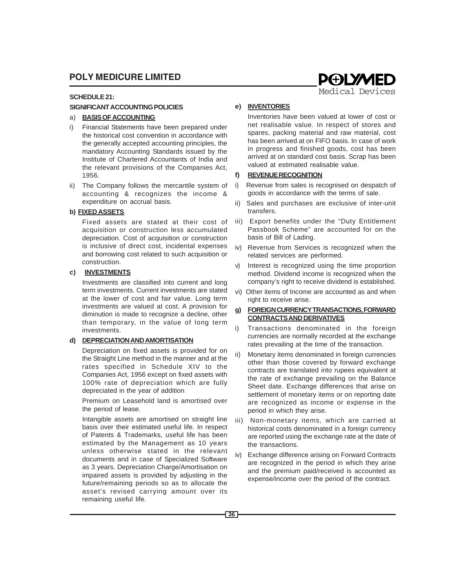#### **SCHEDULE 21:**

#### **SIGNIFICANT ACCOUNTING POLICIES**

#### a) **BASIS OF ACCOUNTING**

- i) Financial Statements have been prepared under the historical cost convention in accordance with the generally accepted accounting principles, the mandatory Accounting Standards issued by the Institute of Chartered Accountants of India and the relevant provisions of the Companies Act, 1956.
- ii) The Company follows the mercantile system of accounting & recognizes the income & expenditure on accrual basis.

### **b) FIXED ASSETS**

Fixed assets are stated at their cost of acquisition or construction less accumulated depreciation. Cost of acquisition or construction is inclusive of direct cost, incidental expenses and borrowing cost related to such acquisition or construction.

#### **c) INVESTMENTS**

Investments are classified into current and long term investments. Current investments are stated at the lower of cost and fair value. Long term investments are valued at cost. A provision for diminution is made to recognize a decline, other than temporary, in the value of long term investments.

#### **d) DEPRECIATION AND AMORTISATION**

Depreciation on fixed assets is provided for on the Straight Line method in the manner and at the rates specified in Schedule XIV to the Companies Act, 1956 except on fixed assets with 100% rate of depreciation which are fully depreciated in the year of addition.

Premium on Leasehold land is amortised over the period of lease.

Intangible assets are amortised on straight line basis over their estimated useful life. In respect of Patents & Trademarks, useful life has been estimated by the Management as 10 years unless otherwise stated in the relevant documents and in case of Specialized Software as 3 years. Depreciation Charge/Amortisation on impaired assets is provided by adjusting in the future/remaining periods so as to allocate the asset's revised carrying amount over its remaining useful life.

### **e) INVENTORIES**

Inventories have been valued at lower of cost or net realisable value. In respect of stores and spares, packing material and raw material, cost has been arrived at on FIFO basis. In case of work in progress and finished goods, cost has been arrived at on standard cost basis. Scrap has been valued at estimated realisable value.

#### **f) REVENUE RECOGNITION**

- i) Revenue from sales is recognised on despatch of goods in accordance with the terms of sale.
- ii) Sales and purchases are exclusive of inter-unit transfers.
- iii) Export benefits under the "Duty Entitlement Passbook Scheme" are accounted for on the basis of Bill of Lading.
- iv) Revenue from Services is recognized when the related services are performed.
- v) Interest is recognized using the time proportion method. Dividend income is recognized when the company's right to receive dividend is established.
- vi) Other items of Income are accounted as and when right to receive arise.

#### **g) FOREIGN CURRENCY TRANSACTIONS, FORWARD CONTRACTS AND DERIVATIVES**

- i) Transactions denominated in the foreign currencies are normally recorded at the exchange rates prevailing at the time of the transaction.
- ii) Monetary items denominated in foreign currencies other than those covered by forward exchange contracts are translated into rupees equivalent at the rate of exchange prevailing on the Balance Sheet date. Exchange differences that arise on settlement of monetary items or on reporting date are recognized as income or expense in the period in which they arise.
- iii) Non-monetary items, which are carried at historical costs denominated in a foreign currency are reported using the exchange rate at the date of the transactions.
- iv) Exchange difference arising on Forward Contracts are recognized in the period in which they arise and the premium paid/received is accounted as expense/income over the period of the contract.

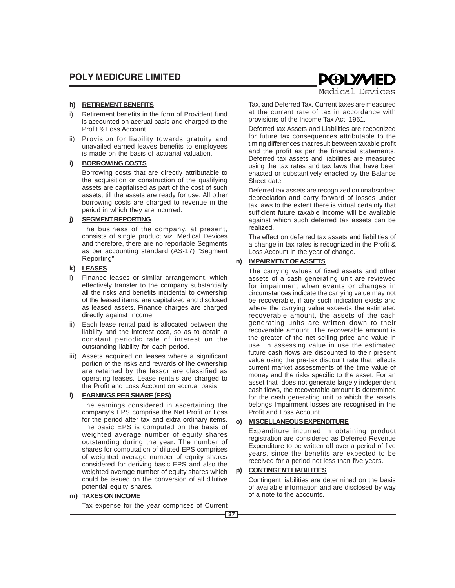#### **h) RETIREMENT BENEFITS**

- i) Retirement benefits in the form of Provident fund is accounted on accrual basis and charged to the Profit & Loss Account.
- ii) Provision for liability towards gratuity and unavailed earned leaves benefits to employees is made on the basis of actuarial valuation.

#### **i) BORROWING COSTS**

Borrowing costs that are directly attributable to the acquisition or construction of the qualifying assets are capitalised as part of the cost of such assets, till the assets are ready for use. All other borrowing costs are charged to revenue in the period in which they are incurred.

#### **j) SEGMENT REPORTING**

The business of the company, at present, consists of single product viz. Medical Devices and therefore, there are no reportable Segments as per accounting standard (AS-17) "Segment Reporting".

#### **k) LEASES**

- i) Finance leases or similar arrangement, which effectively transfer to the company substantially all the risks and benefits incidental to ownership of the leased items, are capitalized and disclosed as leased assets. Finance charges are charged directly against income.
- ii) Each lease rental paid is allocated between the liability and the interest cost, so as to obtain a constant periodic rate of interest on the outstanding liability for each period.
- iii) Assets acquired on leases where a significant portion of the risks and rewards of the ownership are retained by the lessor are classified as operating leases. Lease rentals are charged to the Profit and Loss Account on accrual basis

#### **l) EARNINGS PER SHARE (EPS)**

The earnings considered in ascertaining the company's EPS comprise the Net Profit or Loss for the period after tax and extra ordinary items. The basic EPS is computed on the basis of weighted average number of equity shares outstanding during the year. The number of shares for computation of diluted EPS comprises of weighted average number of equity shares considered for deriving basic EPS and also the weighted average number of equity shares which could be issued on the conversion of all dilutive potential equity shares.

#### **m) TAXES ON INCOME**

Tax expense for the year comprises of Current

**DGDI YMED** Medical Devices

Tax, and Deferred Tax. Current taxes are measured at the current rate of tax in accordance with provisions of the Income Tax Act, 1961.

Deferred tax Assets and Liabilities are recognized for future tax consequences attributable to the timing differences that result between taxable profit and the profit as per the financial statements. Deferred tax assets and liabilities are measured using the tax rates and tax laws that have been enacted or substantively enacted by the Balance Sheet date.

Deferred tax assets are recognized on unabsorbed depreciation and carry forward of losses under tax laws to the extent there is virtual certainty that sufficient future taxable income will be available against which such deferred tax assets can be realized.

The effect on deferred tax assets and liabilities of a change in tax rates is recognized in the Profit & Loss Account in the year of change.

#### **n) IMPAIRMENT OF ASSETS**

The carrying values of fixed assets and other assets of a cash generating unit are reviewed for impairment when events or changes in circumstances indicate the carrying value may not be recoverable, if any such indication exists and where the carrying value exceeds the estimated recoverable amount, the assets of the cash generating units are written down to their recoverable amount. The recoverable amount is the greater of the net selling price and value in use. In assessing value in use the estimated future cash flows are discounted to their present value using the pre-tax discount rate that reflects current market assessments of the time value of money and the risks specific to the asset. For an asset that does not generate largely independent cash flows, the recoverable amount is determined for the cash generating unit to which the assets belongs Impairment losses are recognised in the Profit and Loss Account.

#### **o) MISCELLANEOUS EXPENDITURE**

Expenditure incurred in obtaining product registration are considered as Deferred Revenue Expenditure to be written off over a period of five years, since the benefits are expected to be received for a period not less than five years.

#### **p) CONTINGENT LIABILITIES**

Contingent liabilities are determined on the basis of available information and are disclosed by way of a note to the accounts.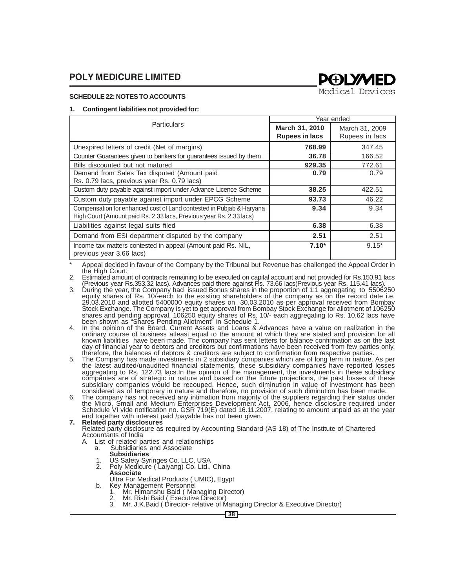**DGDI YMED** 

Medical Devices

#### **SCHEDULE 22: NOTES TO ACCOUNTS**

#### **1. Contingent liabilities not provided for:**

|                                                                                                                                             | Year ended                              |                                  |  |
|---------------------------------------------------------------------------------------------------------------------------------------------|-----------------------------------------|----------------------------------|--|
| <b>Particulars</b>                                                                                                                          | March 31, 2010<br><b>Rupees in lacs</b> | March 31, 2009<br>Rupees in lacs |  |
|                                                                                                                                             |                                         |                                  |  |
| Unexpired letters of credit (Net of margins)                                                                                                | 768.99                                  | 347.45                           |  |
| Counter Guarantees given to bankers for guarantees issued by them                                                                           | 36.78                                   | 166.52                           |  |
| Bills discounted but not matured                                                                                                            | 929.35                                  | 772.61                           |  |
| Demand from Sales Tax disputed (Amount paid                                                                                                 | 0.79                                    | 0.79                             |  |
| Rs. 0.79 lacs, previous year Rs. 0.79 lacs)                                                                                                 |                                         |                                  |  |
| Custom duty payable against import under Advance Licence Scheme                                                                             | 38.25                                   | 422.51                           |  |
| Custom duty payable against import under EPCG Scheme                                                                                        | 93.73                                   | 46.22                            |  |
| Compensation for enhanced cost of Land contested in Pubjab & Haryana<br>High Court (Amount paid Rs. 2.33 lacs, Previous year Rs. 2.33 lacs) | 9.34                                    | 9.34                             |  |
| Liabilities against legal suits filed                                                                                                       | 6.38                                    | 6.38                             |  |
| Demand from ESI department disputed by the company                                                                                          | 2.51                                    | 2.51                             |  |
| Income tax matters contested in appeal (Amount paid Rs. NIL,<br>previous year 3.66 lacs)                                                    | $7.10*$                                 | $9.15*$                          |  |

- Appeal decided in favour of the Company by the Tribunal but Revenue has challenged the Appeal Order in<br>the High Court.<br>2. Estimated amount of contracts remaining to be executed on capital account and not provided for Rs.15 29.03.2010 and allotted 5400000 equity shares on 30.03.2010 as per approval received from Bombay Stock Exchange. The Company is yet to get approval from Bombay Stock Exchange for allotment of 106250 shares and pending approval, 106250 equity shares of Rs. 10/- each aggregating to Rs. 10.62 lacs have
- been shown as "Shares Pending Allotment" in Schedule 1. 4. In the opinion of the Board, Current Assets and Loans & Advances have a value on realization in the ordinary course of business atleast equal to the amount at which they are stated and provision for all known liabilities have been made. The company has sent letters for balance confirmation as on the last day of financial year to debtors and creditors but confirmations have been received from few parties only, therefore, the balances of debtors & creditors are subject to confirmation from respective parties.<br>The Company has made investments in 2 subsidiary companies which are of long term in nature. As per
- 5. The Company has made investments in 2 subsidiary companies which are of long term in nature. As per the latest audited/unaudited financial statements, these subsidiary companies have reported losses aggregating to Rs. 122.73 lacs.In the opinion of the management, the investments in these subsidiary companies are of strategic in nature and based on the future projections, the past losses of these subsidiary companies would be recouped. Hence, such diminution in value of investment has been considered as of temporary in nature and therefore, no provision of such diminution has been made.
- 6. The company has not received any intimation from majority of the suppliers regarding their status under the Micro, Small and Medium Enterprises Development Act, 2006, hence disclosure required under Schedule VI vide notification no. GSR 719(E) dated 16.11.2007, relating to amount unpaid as at the year end together with interest paid /payable has not been given.<br>Related party disclosures

**7. Related party disclosures**<br>Related party disclosure as required by Accounting Standard (AS-18) of The Institute of Chartered Accountants of India

- A. List of related parties and relationships
	- a. Subsidiaries and Associate
		- **Subsidiaries**
	- 1. US Safety Syringes Co. LLC, USA
	- 2. Poly Medicure ( Laiyang) Co. Ltd., China **Associate**
	- Ultra For Medical Products ( UMIC), Egypt
	- b. Key Management Personnel<br>1. Mr. Himanshu Baid ( Managing Director)
		- 2. Mr. Rishi Baid ( Executive Director)
		- 3. Mr. J.K.Baid ( Director- relative of Managing Director & Executive Director)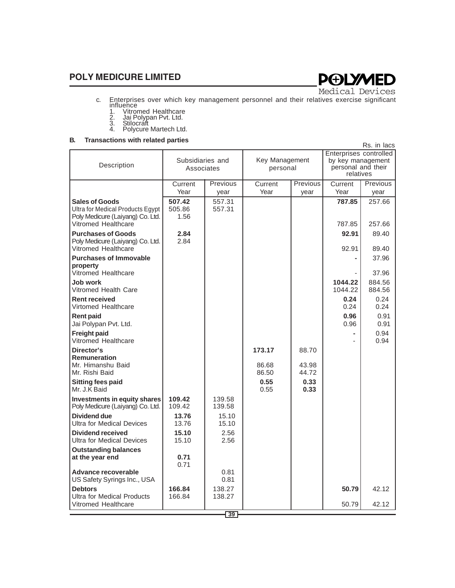# **POLYMED** Medical Devices

- c. Enterprises over which key management personnel and their relatives exercise significant<br>influence
	- 1. Vitromed Healthcare
	- 2. Jai Polypan Pvt. Ltd. 3. Stilocraft
	- 4. Polycure Martech Ltd.

### **B. Transactions with related parties**

| <b>Hansactions</b> with related parties<br>Rs. in lacs                                                               |                                |                          |                |                            |                    |                                                                                       |
|----------------------------------------------------------------------------------------------------------------------|--------------------------------|--------------------------|----------------|----------------------------|--------------------|---------------------------------------------------------------------------------------|
| Description                                                                                                          | Subsidiaries and<br>Associates |                          |                | Key Management<br>personal |                    | <b>Enterprises controlled</b><br>by key management<br>personal and their<br>relatives |
|                                                                                                                      | Current                        | Previous                 | Current        | Previous                   | Current            | Previous                                                                              |
|                                                                                                                      | Year                           | year                     | Year           | year                       | Year               | year                                                                                  |
| <b>Sales of Goods</b><br>Ultra for Medical Products Egypt<br>Poly Medicure (Laiyang) Co. Ltd.<br>Vitromed Healthcare | 507.42<br>505.86<br>1.56       | 557.31<br>557.31         |                |                            | 787.85<br>787.85   | 257.66<br>257.66                                                                      |
| <b>Purchases of Goods</b><br>Poly Medicure (Laiyang) Co. Ltd.<br>Vitromed Healthcare                                 | 2.84<br>2.84                   |                          |                |                            | 92.91<br>92.91     | 89.40<br>89.40                                                                        |
| <b>Purchases of Immovable</b>                                                                                        |                                |                          |                |                            |                    | 37.96                                                                                 |
| property<br>Vitromed Healthcare                                                                                      |                                |                          |                |                            |                    | 37.96                                                                                 |
| Job work<br>Vitromed Health Care                                                                                     |                                |                          |                |                            | 1044.22<br>1044.22 | 884.56<br>884.56                                                                      |
| <b>Rent received</b><br>Virtomed Healthcare                                                                          |                                |                          |                |                            | 0.24<br>0.24       | 0.24<br>0.24                                                                          |
| <b>Rent paid</b><br>Jai Polypan Pvt. Ltd.                                                                            |                                |                          |                |                            | 0.96<br>0.96       | 0.91<br>0.91                                                                          |
| <b>Freight paid</b><br>Vitromed Healthcare                                                                           |                                |                          |                |                            |                    | 0.94<br>0.94                                                                          |
| Director's<br><b>Remuneration</b>                                                                                    |                                |                          | 173.17         | 88.70                      |                    |                                                                                       |
| Mr. Himanshu Baid<br>Mr. Rishi Baid                                                                                  |                                |                          | 86.68<br>86.50 | 43.98<br>44.72             |                    |                                                                                       |
| <b>Sitting fees paid</b><br>Mr. J.K Baid                                                                             |                                |                          | 0.55<br>0.55   | 0.33<br>0.33               |                    |                                                                                       |
| <b>Investments in equity shares</b><br>Poly Medicure (Laiyang) Co. Ltd.                                              | 109.42<br>109.42               | 139.58<br>139.58         |                |                            |                    |                                                                                       |
| <b>Dividend due</b><br><b>Ultra for Medical Devices</b>                                                              | 13.76<br>13.76                 | 15.10<br>15.10           |                |                            |                    |                                                                                       |
| <b>Dividend received</b><br><b>Ultra for Medical Devices</b>                                                         | 15.10<br>15.10                 | 2.56<br>2.56             |                |                            |                    |                                                                                       |
| <b>Outstanding balances</b><br>at the year end                                                                       | 0.71<br>0.71                   |                          |                |                            |                    |                                                                                       |
| Advance recoverable<br>US Safety Syrings Inc., USA                                                                   |                                | 0.81<br>0.81             |                |                            |                    |                                                                                       |
| <b>Debtors</b><br><b>Ultra for Medical Products</b>                                                                  | 166.84<br>166.84               | 138.27<br>138.27         |                |                            | 50.79              | 42.12                                                                                 |
| Vitromed Healthcare                                                                                                  |                                | $\overline{\phantom{a}}$ |                |                            | 50.79              | 42.12                                                                                 |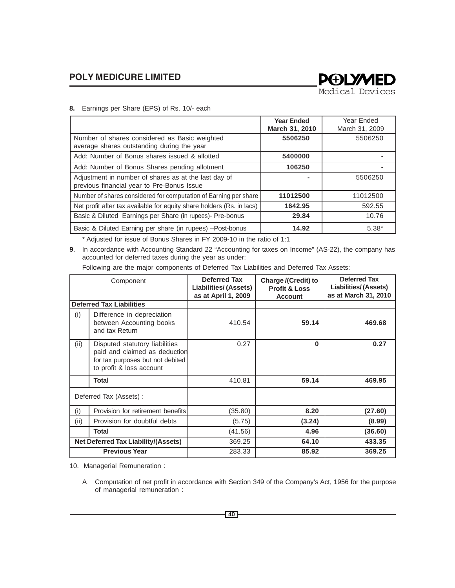**PGILYMED** 

Medical Devices

### **8.** Earnings per Share (EPS) of Rs. 10/- each

|                                                                                                    | <b>Year Ended</b><br>March 31, 2010 | Year Ended<br>March 31, 2009 |
|----------------------------------------------------------------------------------------------------|-------------------------------------|------------------------------|
| Number of shares considered as Basic weighted<br>average shares outstanding during the year        | 5506250                             | 5506250                      |
| Add: Number of Bonus shares issued & allotted                                                      | 5400000                             |                              |
| Add: Number of Bonus Shares pending allotment                                                      | 106250                              |                              |
| Adjustment in number of shares as at the last day of<br>previous financial year to Pre-Bonus Issue |                                     | 5506250                      |
| Number of shares considered for computation of Earning per share                                   | 11012500                            | 11012500                     |
| Net profit after tax available for equity share holders (Rs. in lacs)                              | 1642.95                             | 592.55                       |
| Basic & Diluted Earnings per Share (in rupees)- Pre-bonus                                          | 29.84                               | 10.76                        |
| Basic & Diluted Earning per share (in rupees) - Post-bonus                                         | 14.92                               | $5.38*$                      |

\* Adjusted for issue of Bonus Shares in FY 2009-10 in the ratio of 1:1

**9**. In accordance with Accounting Standard 22 "Accounting for taxes on Income" (AS-22), the company has accounted for deferred taxes during the year as under:

|      | Component                                                                                                                       | <b>Deferred Tax</b><br>Liabilities/ (Assets)<br>as at April 1, 2009 | Charge /(Credit) to<br><b>Profit &amp; Loss</b><br><b>Account</b> | <b>Deferred Tax</b><br><b>Liabilities/ (Assets)</b><br>as at March 31, 2010 |
|------|---------------------------------------------------------------------------------------------------------------------------------|---------------------------------------------------------------------|-------------------------------------------------------------------|-----------------------------------------------------------------------------|
|      | <b>Deferred Tax Liabilities</b>                                                                                                 |                                                                     |                                                                   |                                                                             |
| (i)  | Difference in depreciation<br>between Accounting books<br>and tax Return                                                        | 410.54                                                              | 59.14                                                             | 469.68                                                                      |
| (ii) | Disputed statutory liabilities<br>paid and claimed as deduction<br>for tax purposes but not debited<br>to profit & loss account | 0.27                                                                | $\bf{0}$                                                          | 0.27                                                                        |
|      | <b>Total</b>                                                                                                                    | 410.81                                                              | 59.14                                                             | 469.95                                                                      |
|      | Deferred Tax (Assets) :                                                                                                         |                                                                     |                                                                   |                                                                             |
| (i)  | Provision for retirement benefits                                                                                               | (35.80)                                                             | 8.20                                                              | (27.60)                                                                     |
| (ii) | Provision for doubtful debts                                                                                                    | (5.75)                                                              | (3.24)                                                            | (8.99)                                                                      |
|      | <b>Total</b>                                                                                                                    | (41.56)                                                             | 4.96                                                              | (36.60)                                                                     |
|      | <b>Net Deferred Tax Liability/(Assets)</b>                                                                                      | 369.25                                                              | 64.10                                                             | 433.35                                                                      |
|      | <b>Previous Year</b>                                                                                                            | 283.33                                                              | 85.92                                                             | 369.25                                                                      |

Following are the major components of Deferred Tax Liabilities and Deferred Tax Assets:

10. Managerial Remuneration :

A. Computation of net profit in accordance with Section 349 of the Company's Act, 1956 for the purpose of managerial remuneration :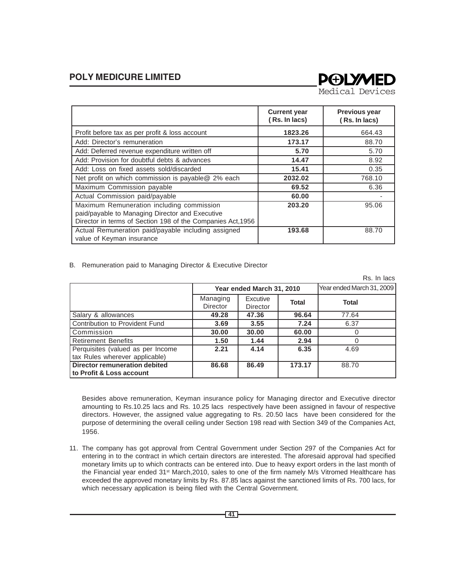**DAI YMFD** 

Medical Devices

|                                                                                                                                                             | <b>Current year</b><br>(Rs. In lacs) | <b>Previous year</b><br>(Rs. In lacs) |
|-------------------------------------------------------------------------------------------------------------------------------------------------------------|--------------------------------------|---------------------------------------|
| Profit before tax as per profit & loss account                                                                                                              | 1823.26                              | 664.43                                |
| Add: Director's remuneration                                                                                                                                | 173.17                               | 88.70                                 |
| Add: Deferred revenue expenditure written off                                                                                                               | 5.70                                 | 5.70                                  |
| Add: Provision for doubtful debts & advances                                                                                                                | 14.47                                | 8.92                                  |
| Add: Loss on fixed assets sold/discarded                                                                                                                    | 15.41                                | 0.35                                  |
| Net profit on which commission is payable@ 2% each                                                                                                          | 2032.02                              | 768.10                                |
| Maximum Commission payable                                                                                                                                  | 69.52                                | 6.36                                  |
| Actual Commission paid/payable                                                                                                                              | 60.00                                |                                       |
| Maximum Remuneration including commission<br>paid/payable to Managing Director and Executive<br>Director in terms of Section 198 of the Companies Act, 1956 | 203.20                               | 95.06                                 |
| Actual Remuneration paid/payable including assigned<br>value of Keyman insurance                                                                            | 193.68                               | 88.70                                 |

B. Remuneration paid to Managing Director & Executive Director

|                                                                     |                             |                             |              | Rs. In lacs               |
|---------------------------------------------------------------------|-----------------------------|-----------------------------|--------------|---------------------------|
|                                                                     |                             | Year ended March 31, 2010   |              | Year ended March 31, 2009 |
|                                                                     | Managing<br><b>Director</b> | Excutive<br><b>Director</b> | <b>Total</b> | <b>Total</b>              |
| Salary & allowances                                                 | 49.28                       | 47.36                       | 96.64        | 77.64                     |
| Contribution to Provident Fund                                      | 3.69                        | 3.55                        | 7.24         | 6.37                      |
| Commission                                                          | 30.00                       | 30.00                       | 60.00        |                           |
| <b>Retirement Benefits</b>                                          | 1.50                        | 1.44                        | 2.94         | O                         |
| Perquisites (valued as per Income<br>tax Rules wherever applicable) | 2.21                        | 4.14                        | 6.35         | 4.69                      |
| <b>Director remuneration debited</b>                                | 86.68                       | 86.49                       | 173.17       | 88.70                     |
| to Profit & Loss account                                            |                             |                             |              |                           |

Besides above remuneration, Keyman insurance policy for Managing director and Executive director amounting to Rs.10.25 lacs and Rs. 10.25 lacs respectively have been assigned in favour of respective directors. However, the assigned value aggregating to Rs. 20.50 lacs have been considered for the purpose of determining the overall ceiling under Section 198 read with Section 349 of the Companies Act, 1956.

11. The company has got approval from Central Government under Section 297 of the Companies Act for entering in to the contract in which certain directors are interested. The aforesaid approval had specified monetary limits up to which contracts can be entered into. Due to heavy export orders in the last month of the Financial year ended 31<sup>st</sup> March, 2010, sales to one of the firm namely M/s Vitromed Healthcare has exceeded the approved monetary limits by Rs. 87.85 lacs against the sanctioned limits of Rs. 700 lacs, for which necessary application is being filed with the Central Government.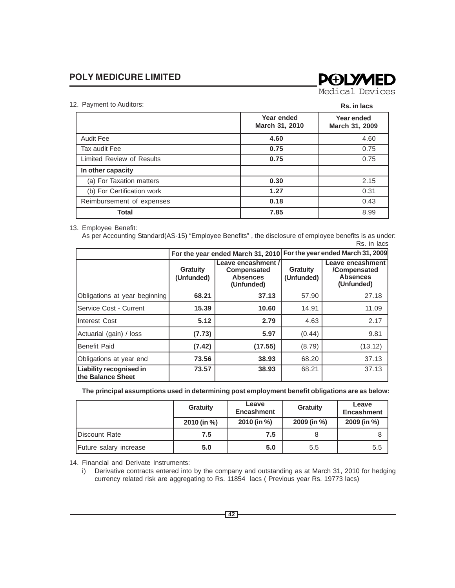

12. Payment to Auditors:

Medical Devices

| 2. Payment to Auditors:          |                              | Rs. in lacs                  |
|----------------------------------|------------------------------|------------------------------|
|                                  | Year ended<br>March 31, 2010 | Year ended<br>March 31, 2009 |
| <b>Audit Fee</b>                 | 4.60                         | 4.60                         |
| Tax audit Fee                    | 0.75                         | 0.75                         |
| <b>Limited Review of Results</b> | 0.75                         | 0.75                         |
| In other capacity                |                              |                              |
| (a) For Taxation matters         | 0.30                         | 2.15                         |
| (b) For Certification work       | 1.27                         | 0.31                         |
| Reimbursement of expenses        | 0.18                         | 0.43                         |
| Total                            | 7.85                         | 8.99                         |

13. Employee Benefit:

As per Accounting Standard(AS-15) "Employee Benefits" , the disclosure of employee benefits is as under: Rs. in lacs

|                                              | For the year ended March 31, 2010 For the year ended March 31, 2009 |                                                                           |                        |                                                                   |
|----------------------------------------------|---------------------------------------------------------------------|---------------------------------------------------------------------------|------------------------|-------------------------------------------------------------------|
|                                              | <b>Gratuity</b><br>(Unfunded)                                       | Leave encashment /<br><b>Compensated</b><br><b>Absences</b><br>(Unfunded) | Gratuity<br>(Unfunded) | Leave encashment<br>/Compensated<br><b>Absences</b><br>(Unfunded) |
| Obligations at year beginning                | 68.21                                                               | 37.13                                                                     | 57.90                  | 27.18                                                             |
| Service Cost - Current                       | 15.39                                                               | 10.60                                                                     | 14.91                  | 11.09                                                             |
| Interest Cost                                | 5.12                                                                | 2.79                                                                      | 4.63                   | 2.17                                                              |
| Actuarial (gain) / loss                      | (7.73)                                                              | 5.97                                                                      | (0.44)                 | 9.81                                                              |
| <b>Benefit Paid</b>                          | (7.42)                                                              | (17.55)                                                                   | (8.79)                 | (13.12)                                                           |
| Obligations at year end                      | 73.56                                                               | 38.93                                                                     | 68.20                  | 37.13                                                             |
| Liability recognised in<br>the Balance Sheet | 73.57                                                               | 38.93                                                                     | 68.21                  | 37.13                                                             |

**The principal assumptions used in determining post employment benefit obligations are as below:**

|                        | <b>Gratuity</b> | Leave<br><b>Encashment</b> | <b>Gratuity</b> | Leave<br><b>Encashment</b> |
|------------------------|-----------------|----------------------------|-----------------|----------------------------|
|                        | 2010 (in %)     | 2010 (in %)                | 2009 (in %)     | 2009 (in %)                |
| <b>IDiscount Rate</b>  | 7.5             | 7.5                        |                 |                            |
| Future salary increase | 5.0             | 5.0                        | 5.5             | 5.5                        |

14. Financial and Derivate Instruments:

i) Derivative contracts entered into by the company and outstanding as at March 31, 2010 for hedging currency related risk are aggregating to Rs. 11854 lacs ( Previous year Rs. 19773 lacs)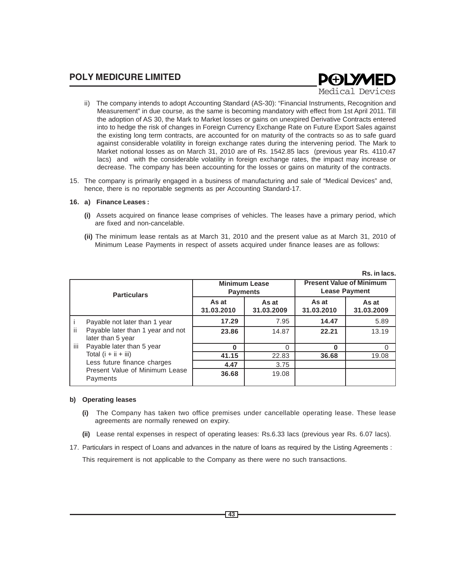

Medical Devices

- ii) The company intends to adopt Accounting Standard (AS-30): "Financial Instruments, Recognition and Measurement" in due course, as the same is becoming mandatory with effect from 1st April 2011. Till the adoption of AS 30, the Mark to Market losses or gains on unexpired Derivative Contracts entered into to hedge the risk of changes in Foreign Currency Exchange Rate on Future Export Sales against the existing long term contracts, are accounted for on maturity of the contracts so as to safe guard against considerable volatility in foreign exchange rates during the intervening period. The Mark to Market notional losses as on March 31, 2010 are of Rs. 1542.85 lacs (previous year Rs. 4110.47 lacs) and with the considerable volatility in foreign exchange rates, the impact may increase or decrease. The company has been accounting for the losses or gains on maturity of the contracts.
- 15. The company is primarily engaged in a business of manufacturing and sale of "Medical Devices" and, hence, there is no reportable segments as per Accounting Standard-17.

#### **16. a) Finance Leases :**

- **(i)** Assets acquired on finance lease comprises of vehicles. The leases have a primary period, which are fixed and non-cancelable.
- **(ii)** The minimum lease rentals as at March 31, 2010 and the present value as at March 31, 2010 of Minimum Lease Payments in respect of assets acquired under finance leases are as follows:

|                    |                                                        |                                         |                     |                                                         | Rs. in lacs. |
|--------------------|--------------------------------------------------------|-----------------------------------------|---------------------|---------------------------------------------------------|--------------|
| <b>Particulars</b> |                                                        | <b>Minimum Lease</b><br><b>Payments</b> |                     | <b>Present Value of Minimum</b><br><b>Lease Payment</b> |              |
|                    |                                                        | As at<br>31.03.2010                     | As at<br>31.03.2009 | As at<br>As at<br>31.03.2010<br>31.03.2009              |              |
|                    | Payable not later than 1 year                          | 17.29                                   | 7.95                | 14.47                                                   | 5.89         |
| ii                 | Payable later than 1 year and not<br>later than 5 year | 23.86                                   | 14.87               | 22.21                                                   | 13.19        |
| iii                | Payable later than 5 year                              | 0                                       | $\Omega$            | $\Omega$                                                | 0            |
|                    | Total $(i + ii + iii)$                                 | 41.15                                   | 22.83               | 36.68                                                   | 19.08        |
|                    | Less future finance charges                            | 4.47                                    | 3.75                |                                                         |              |
|                    | Present Value of Minimum Lease<br>Payments             | 36.68                                   | 19.08               |                                                         |              |

#### **b) Operating leases**

- **(i)** The Company has taken two office premises under cancellable operating lease. These lease agreements are normally renewed on expiry.
- **(ii)** Lease rental expenses in respect of operating leases: Rs.6.33 lacs (previous year Rs. 6.07 lacs).
- 17. Particulars in respect of Loans and advances in the nature of loans as required by the Listing Agreements :

This requirement is not applicable to the Company as there were no such transactions.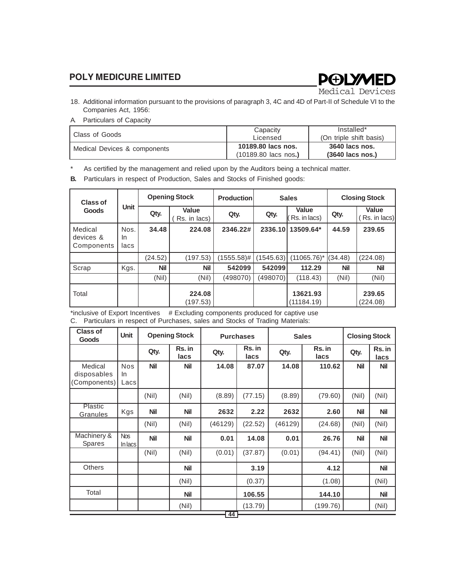

Medical Devices

- 18. Additional information pursuant to the provisions of paragraph 3, 4C and 4D of Part-II of Schedule VI to the Companies Act, 1956:
- A. Particulars of Capacity

|                              | Capacity                       | Installed*                 |
|------------------------------|--------------------------------|----------------------------|
| Class of Goods               | Licensed                       | (On triple shift basis)    |
| Medical Devices & components | 10189.80 lacs nos.             | 3640 lacs nos.             |
|                              | $(10189.80 \text{ lacs nos.})$ | $(3640 \text{ lacs nos.})$ |

\* As certified by the management and relied upon by the Auditors being a technical matter.

**B.** Particulars in respect of Production, Sales and Stocks of Finished goods:

| Class of                           |                    |            | <b>Opening Stock</b>  | Production | <b>Sales</b> |                        | <b>Closing Stock</b> |                       |
|------------------------------------|--------------------|------------|-----------------------|------------|--------------|------------------------|----------------------|-----------------------|
| Goods                              | <b>Unit</b>        | Qty.       | Value<br>Rs. in lacs) | Qty.       | Qty.         | Value<br>Rs. in lacs)  | Qty.                 | Value<br>Rs. in lacs) |
| Medical<br>devices &<br>Components | Nos.<br>In<br>lacs | 34.48      | 224.08                | 2346.22#   | 2336.10      | 13509.64*              | 44.59                | 239.65                |
|                                    |                    | (24.52)    | (197.53)              | (1555.58)# | (1545.63)    | $(11065.76)^*$         | (34.48)              | (224.08)              |
| Scrap                              | Kgs.               | <b>Nil</b> | Nil                   | 542099     | 542099       | 112.29                 | <b>Nil</b>           | <b>Nil</b>            |
|                                    |                    | (Nil)      | (Nil)                 | (498070)   | (498070)     | (118.43)               | (Nil)                | (Nil)                 |
| Total                              |                    |            | 224.08<br>(197.53)    |            |              | 13621.93<br>(11184.19) |                      | 239.65<br>(224.08)    |

\*inclusive of Export Incentives # Excluding components produced for captive use C. Particulars in respect of Purchases, sales and Stocks of Trading Materials:

| <b>Class of</b><br>Goods               | <b>Unit</b>               |            | <b>Opening Stock</b> | <b>Purchases</b>         |                | <b>Sales</b> |                |            | <b>Closing Stock</b> |  |
|----------------------------------------|---------------------------|------------|----------------------|--------------------------|----------------|--------------|----------------|------------|----------------------|--|
|                                        |                           | Qty.       | Rs. in<br>lacs       | Qty.                     | Rs. in<br>lacs | Qty.         | Rs. in<br>lacs | Qty.       | Rs. in<br>lacs       |  |
| Medical<br>disposables<br>(Components) | <b>Nos</b><br>In.<br>Lacs | <b>Nil</b> | <b>Nil</b>           | 14.08                    | 87.07          | 14.08        | 110.62         | <b>Nil</b> | <b>Nil</b>           |  |
|                                        |                           | (Nil)      | (Nil)                | (8.89)                   | (77.15)        | (8.89)       | (79.60)        | (Nil)      | (Nil)                |  |
| Plastic<br>Granules                    | Kgs                       | <b>Nil</b> | <b>Nil</b>           | 2632                     | 2.22           | 2632         | 2.60           | <b>Nil</b> | <b>Nil</b>           |  |
|                                        |                           | (Nil)      | (Nil)                | (46129)                  | (22.52)        | (46129)      | (24.68)        | (Nil)      | (Nil)                |  |
| Machinery &<br>Spares                  | <b>Nos</b><br>$ln$ lacs   | <b>Nil</b> | <b>Nil</b>           | 0.01                     | 14.08          | 0.01         | 26.76          | <b>Nil</b> | <b>Nil</b>           |  |
|                                        |                           | (Nil)      | (Nil)                | (0.01)                   | (37.87)        | (0.01)       | (94.41)        | (Nil)      | (Nil)                |  |
| <b>Others</b>                          |                           |            | <b>Nil</b>           |                          | 3.19           |              | 4.12           |            | <b>Nil</b>           |  |
|                                        |                           |            | (Nil)                |                          | (0.37)         |              | (1.08)         |            | (Nil)                |  |
| Total                                  |                           |            | <b>Nil</b>           |                          | 106.55         |              | 144.10         |            | <b>Nil</b>           |  |
|                                        |                           |            | (Nil)                | $\overline{\phantom{a}}$ | (13.79)        |              | (199.76)       |            | (Nil)                |  |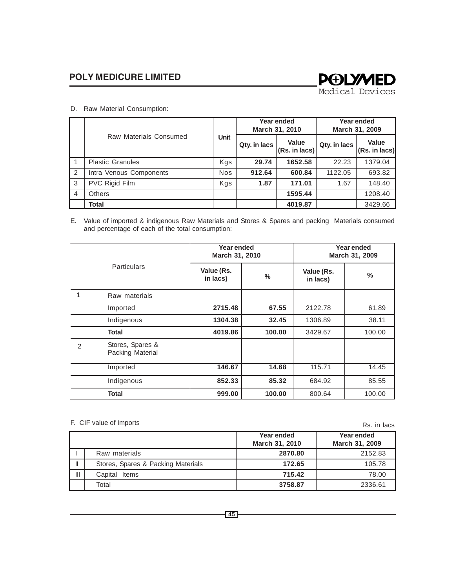**POLYMED** Medical Devices

D. Raw Material Consumption:

|                | Raw Materials Consumed  |            |              | Year ended<br>March 31, 2010 | Year ended<br>March 31, 2009 |                          |  |
|----------------|-------------------------|------------|--------------|------------------------------|------------------------------|--------------------------|--|
|                |                         |            | Qty. in lacs | Value<br>(Rs. in lacs)       | Qty. in lacs                 | Value<br>$(Rs. in lacs)$ |  |
|                | <b>Plastic Granules</b> | Kgs        | 29.74        | 1652.58                      | 22.23                        | 1379.04                  |  |
| $\overline{2}$ | Intra Venous Components | <b>Nos</b> | 912.64       | 600.84                       | 1122.05                      | 693.82                   |  |
| 3              | <b>PVC Rigid Film</b>   | Kgs        | 1.87         | 171.01                       | 1.67                         | 148.40                   |  |
| $\overline{4}$ | <b>Others</b>           |            |              | 1595.44                      |                              | 1208.40                  |  |
|                | <b>Total</b>            |            |              | 4019.87                      |                              | 3429.66                  |  |

E. Value of imported & indigenous Raw Materials and Stores & Spares and packing Materials consumed and percentage of each of the total consumption:

| <b>Particulars</b> |                                      | Year ended<br>March 31, 2010 |        | Year ended<br>March 31, 2009 |        |  |
|--------------------|--------------------------------------|------------------------------|--------|------------------------------|--------|--|
|                    |                                      | Value (Rs.<br>in lacs)       | $\%$   | Value (Rs.<br>in lacs)       | $\%$   |  |
| 1                  | Raw materials                        |                              |        |                              |        |  |
|                    | Imported                             | 2715.48                      | 67.55  | 2122.78                      | 61.89  |  |
|                    | Indigenous                           | 1304.38                      | 32.45  | 1306.89                      | 38.11  |  |
|                    | <b>Total</b>                         | 4019.86                      | 100.00 | 3429.67                      | 100.00 |  |
| $\overline{2}$     | Stores, Spares &<br>Packing Material |                              |        |                              |        |  |
|                    | Imported                             | 146.67                       | 14.68  | 115.71                       | 14.45  |  |
|                    | Indigenous                           | 852.33                       | 85.32  | 684.92                       | 85.55  |  |
|                    | <b>Total</b>                         | 999.00                       | 100.00 | 800.64                       | 100.00 |  |

### F. CIF value of Imports

Rs. in lacs

|   |                                    | Year ended<br>March 31, 2010 | Year ended<br>March 31, 2009 |
|---|------------------------------------|------------------------------|------------------------------|
|   | Raw materials                      | 2870.80                      | 2152.83                      |
|   | Stores, Spares & Packing Materials | 172.65                       | 105.78                       |
| Ш | Capital Items                      | 715.42                       | 78.00                        |
|   | Total                              | 3758.87                      | 2336.61                      |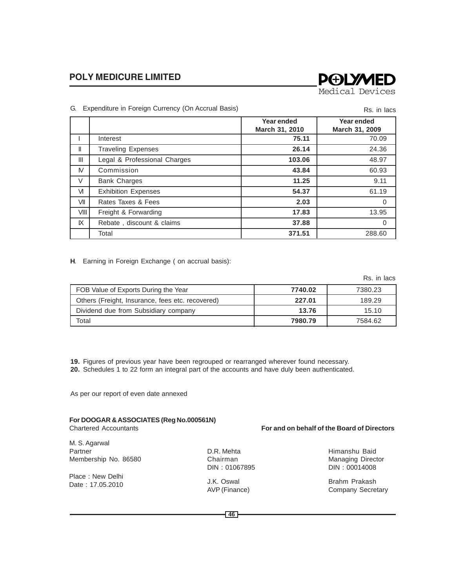**POLYMED** Medical Devices

Rs. in lacs

|  |  | G. Expenditure in Foreign Currency (On Accrual Basis) |
|--|--|-------------------------------------------------------|
|  |  |                                                       |

|      |                              | Year ended<br>March 31, 2010 | Year ended<br>March 31, 2009 |
|------|------------------------------|------------------------------|------------------------------|
|      | Interest                     | 75.11                        | 70.09                        |
| Ш    | <b>Traveling Expenses</b>    | 26.14                        | 24.36                        |
| III  | Legal & Professional Charges | 103.06                       | 48.97                        |
| M    | Commission                   | 43.84                        | 60.93                        |
| V    | <b>Bank Charges</b>          | 11.25                        | 9.11                         |
| VI   | <b>Exhibition Expenses</b>   | 54.37                        | 61.19                        |
| VII  | Rates Taxes & Fees           | 2.03                         | 0                            |
| VIII | Freight & Forwarding         | 17.83                        | 13.95                        |
| IX   | Rebate, discount & claims    | 37.88                        | $\Omega$                     |
|      | Total                        | 371.51                       | 288.60                       |

**H**. Earning in Foreign Exchange ( on accrual basis):

Rs. in lacs

| FOB Value of Exports During the Year             | 7740.02 | 7380.23 |
|--------------------------------------------------|---------|---------|
| Others (Freight, Insurance, fees etc. recovered) | 227.01  | 189.29  |
| Dividend due from Subsidiary company             | 13.76   | 15.10   |
| Total                                            | 7980.79 | 7584.62 |

**19.** Figures of previous year have been regrouped or rearranged wherever found necessary.

**20.** Schedules 1 to 22 form an integral part of the accounts and have duly been authenticated.

As per our report of even date annexed

### **For DOOGAR & ASSOCIATES (Reg No.000561N)**

M. S. Agarwal Partner **Marting Community** Communist D.R. Mehta Himanshu Baid Himanshu Baid

Place : New Delhi Date : 17.05.2010

Chartered Accountants **For and on behalf of the Board of Directors**

Membership No. 86580 Chairman Chairman Managing Director Managing Director Chairman Managing Director Chairman DIN : 00014008

> J.K. Oswal **Brahm Prakash** AVP (Finance) Company Secretary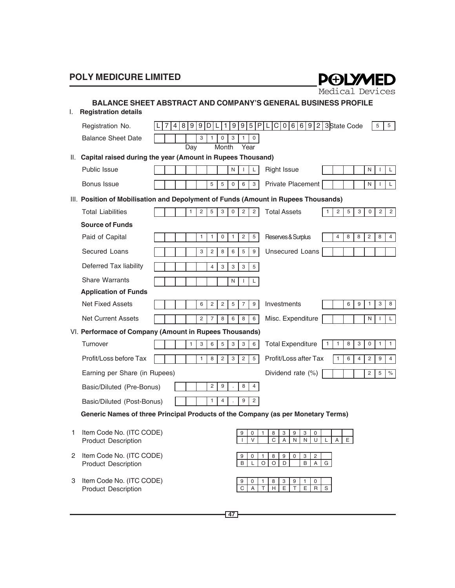

# **BALANCE SHEET ABSTRACT AND COMPANY'S GENERAL BUSINESS PROFILE**

# I. **Registration details**

|                      | Registration No.                                       | 5 PLC066923State Code<br>8<br>l 9<br>9 <sup>°</sup><br>D L 1 9 9<br>7<br>4<br>5<br>L                                                                                        | 5              |
|----------------------|--------------------------------------------------------|-----------------------------------------------------------------------------------------------------------------------------------------------------------------------------|----------------|
|                      | <b>Balance Sheet Date</b>                              | 3<br>$\mathbf{1}$<br>$\mathbf 0$<br>$\mathbf{1}$<br>$\mathbf 0$<br>3                                                                                                        |                |
|                      |                                                        | Day<br>Month<br>Year                                                                                                                                                        |                |
|                      |                                                        | II. Capital raised during the year (Amount in Rupees Thousand)                                                                                                              |                |
|                      | Public Issue                                           | $\mathsf N$<br>N<br>Г<br>$\mathbf{I}$<br><b>Right Issue</b><br>$\mathbf{I}$                                                                                                 | L              |
|                      | <b>Bonus Issue</b>                                     | 5<br>5<br>6<br>3<br><b>Private Placement</b><br>N<br>$\mathsf{O}\xspace$<br>$\mathbf{I}$                                                                                    | $\mathsf L$    |
|                      |                                                        | III. Position of Mobilisation and Depolyment of Funds (Amount in Rupees Thousands)                                                                                          |                |
|                      | <b>Total Liabilities</b>                               | $\mathbf{1}$<br>$\overline{2}$<br>5<br>3<br>$\mathsf{O}$<br>$\overline{2}$<br>$\overline{2}$<br><b>Total Assets</b><br>$\mathsf{O}$<br>$\overline{2}$<br>5<br>3<br>2<br>1   | $\overline{c}$ |
|                      | <b>Source of Funds</b>                                 |                                                                                                                                                                             |                |
|                      | Paid of Capital                                        | $\mathbf{1}$<br>$\mathbf{1}$<br>$\mathsf 0$<br>$\mathbf{1}$<br>$\overline{c}$<br>5<br>Reserves & Surplus<br>$\overline{4}$<br>8<br>8<br>2<br>8                              | $\overline{4}$ |
|                      | Secured Loans                                          | <b>Unsecured Loans</b><br>$\overline{c}$<br>8<br>6<br>5<br>9<br>3                                                                                                           |                |
|                      | Deferred Tax liability                                 | $\overline{4}$<br>3<br>3<br>3<br>5                                                                                                                                          |                |
|                      | <b>Share Warrants</b>                                  | ${\sf N}$<br>$\mathsf{I}$<br>L                                                                                                                                              |                |
|                      | <b>Application of Funds</b>                            |                                                                                                                                                                             |                |
|                      | <b>Net Fixed Assets</b>                                | $\overline{c}$<br>$\overline{c}$<br>$\overline{7}$<br>6<br>9<br>$\mathbf{1}$<br>3<br>6<br>5<br>9<br>Investments                                                             | 8              |
|                      | <b>Net Current Assets</b>                              | $\overline{c}$<br>$\overline{7}$<br>8<br>6<br>Misc. Expenditure<br>N<br>6<br>8<br>I                                                                                         | L              |
|                      |                                                        | VI. Performace of Company (Amount in Rupees Thousands)                                                                                                                      |                |
|                      | Turnover                                               | $\mathbf{1}$<br>3<br>6<br>5<br>3<br>3<br><b>Total Expenditure</b><br>$\mathbf{1}$<br>8<br>3<br>0<br>$\mathbf{1}$<br>6<br>1                                                  | $\mathbf{1}$   |
|                      | Profit/Loss before Tax                                 | 8<br>Profit/Loss after Tax<br>$\mathbf{1}$<br>6<br>$\overline{4}$<br>$\mathbf{2}$<br>9<br>$\mathbf{1}$<br>2<br>3<br>$\mathbf{2}$<br>$5\overline{)}$                         | $\overline{4}$ |
|                      | Earning per Share (in Rupees)                          | Dividend rate (%)<br>$\overline{2}$<br>5                                                                                                                                    | $\%$           |
|                      | Basic/Diluted (Pre-Bonus)                              | $\overline{c}$<br>8<br>9<br>$\overline{4}$                                                                                                                                  |                |
|                      | Basic/Diluted (Post-Bonus)                             | 4<br>9<br>$\mathbf{2}$<br>$\mathbf{1}$                                                                                                                                      |                |
|                      |                                                        | Generic Names of three Principal Products of the Company (as per Monetary Terms)                                                                                            |                |
| 1.                   | Item Code No. (ITC CODE)<br><b>Product Description</b> | 9<br>0<br>1<br>8<br>3<br>9<br>3<br>0<br>V<br>C<br>A<br>N<br>N<br>U<br>E<br>A<br>L                                                                                           |                |
| $\mathbf{2}^{\circ}$ | Item Code No. (ITC CODE)<br><b>Product Description</b> | 8<br>0<br>3<br>9<br>0<br>1<br>9<br>$\overline{c}$<br>$\overline{B}$<br>$\overline{O}$<br>$\overline{\circ}$<br>$\overline{D}$<br>$\overline{B}$<br>$\overline{A}$<br>L<br>G |                |
| 3                    | Item Code No. (ITC CODE)<br><b>Product Description</b> | 8<br>9<br>9<br>0<br>1<br>3<br>1<br>0<br>Η<br>T<br>E<br>Ć<br>A<br>T<br>E<br>$\mathsf{R}$<br>S                                                                                |                |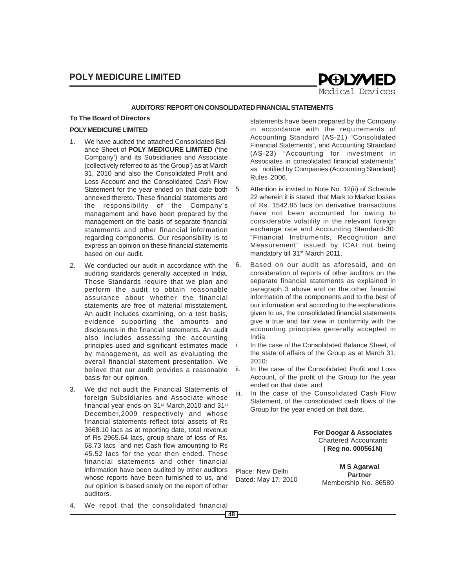**DAI YMED** Medical Devices

#### **AUDITORS' REPORT ON CONSOLIDATED FINANCIAL STATEMENTS**

### **To The Board of Directors**

#### **POLY MEDICURE LIMITED**

- 1. We have audited the attached Consolidated Balance Sheet of **POLY MEDICURE LIMITED** ('the Company') and its Subsidiaries and Associate (collectively referred to as 'the Group') as at March 31, 2010 and also the Consolidated Profit and Loss Account and the Consolidated Cash Flow Statement for the year ended on that date both annexed thereto. These financial statements are the responsibility of the Company's management and have been prepared by the management on the basis of separate financial statements and other financial information regarding components. Our responsibility is to express an opinion on these financial statements based on our audit.
- 2. We conducted our audit in accordance with the auditing standards generally accepted in India. Those Standards require that we plan and perform the audit to obtain reasonable assurance about whether the financial statements are free of material misstatement. An audit includes examining, on a test basis, evidence supporting the amounts and disclosures in the financial statements. An audit also includes assessing the accounting principles used and significant estimates made by management, as well as evaluating the overall financial statement presentation. We believe that our audit provides a reasonable ii. basis for our opinion.
- 3. We did not audit the Financial Statements of foreign Subsidiaries and Associate whose financial year ends on 31<sup>st</sup> March, 2010 and 31<sup>st</sup> December,2009 respectively and whose financial statements reflect total assets of Rs 3668.10 lacs as at reporting date, total revenue of Rs 2965.64 lacs, group share of loss of Rs. 68.73 lacs and net Cash flow amounting to Rs 45.52 lacs for the year then ended. These financial statements and other financial information have been audited by other auditors whose reports have been furnished to us, and our opinion is based solely on the report of other auditors.

4. We repot that the consolidated financial

statements have been prepared by the Company in accordance with the requirements of Accounting Standard (AS-21) "Consolidated Financial Statements", and Accounting Strandard (AS-23) "Accounting for investment in Associates in consolidated financial statements" as notified by Companies (Accounting Standard) Rules 2006.

- 5. Attention is invited to Note No. 12(ii) of Schedule 22 wherein it is stated that Mark to Market losses of Rs. 1542.85 lacs on derivative transactions have not been accounted for owing to considerable volatility in the relevant foreign exchange rate and Accounting Standard-30: "Financial Instruments, Recognition and Measurement" issued by ICAI not being mandatory till 31<sup>st</sup> March 2011.
- 6. Based on our audit as aforesaid, and on consideration of reports of other auditors on the separate financial statements as explained in paragraph 3 above and on the other financial information of the components and to the best of our information and according to the explanations given to us, the consolidated financial statements give a true and fair view in conformity with the accounting principles generally accepted in India:
- i. In the case of the Consolidated Balance Sheet, of the state of affairs of the Group as at March 31, 2010;
- In the case of the Consolidated Profit and Loss Account, of the profit of the Group for the year ended on that date; and
- iii. In the case of the Consolidated Cash Flow Statement, of the consolidated cash flows of the Group for the year ended on that date.

**For Doogar & Associates** Chartered Accountants **( Reg no. 000561N)**

Place: New Delhi Dated: May 17, 2010

**M S Agarwal Partner** Membership No. 86580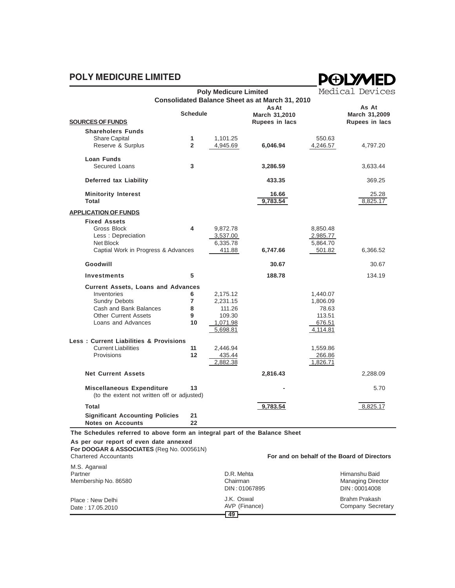

|                                                                                 | <b>Poly Medicure Limited</b><br>Consolidated Balance Sheet as at March 31, 2010 |          |                        |          | Medical Devices        |
|---------------------------------------------------------------------------------|---------------------------------------------------------------------------------|----------|------------------------|----------|------------------------|
|                                                                                 |                                                                                 |          |                        |          |                        |
|                                                                                 | <b>Schedule</b>                                                                 |          | As At<br>March 31,2010 |          | As At<br>March 31,2009 |
| <b>SOURCES OF FUNDS</b>                                                         |                                                                                 |          | Rupees in lacs         |          | <b>Rupees in lacs</b>  |
|                                                                                 |                                                                                 |          |                        |          |                        |
| <b>Shareholers Funds</b>                                                        |                                                                                 |          |                        |          |                        |
| <b>Share Capital</b>                                                            | 1<br>$\overline{2}$                                                             | 1,101.25 |                        | 550.63   |                        |
| Reserve & Surplus                                                               |                                                                                 | 4,945.69 | 6,046.94               | 4,246.57 | 4,797.20               |
| <b>Loan Funds</b>                                                               |                                                                                 |          |                        |          |                        |
| Secured Loans                                                                   | 3                                                                               |          | 3,286.59               |          | 3,633.44               |
|                                                                                 |                                                                                 |          |                        |          |                        |
| <b>Deferred tax Liability</b>                                                   |                                                                                 |          | 433.35                 |          | 369.25                 |
| <b>Minitority Interest</b>                                                      |                                                                                 |          | 16.66                  |          | 25.28                  |
| Total                                                                           |                                                                                 |          | 9,783.54               |          | 8,825.17               |
| <b>APPLICATION OF FUNDS</b>                                                     |                                                                                 |          |                        |          |                        |
| <b>Fixed Assets</b>                                                             |                                                                                 |          |                        |          |                        |
| Gross Block                                                                     | 4                                                                               | 9,872.78 |                        | 8,850.48 |                        |
| Less: Depreciation                                                              |                                                                                 | 3,537.00 |                        | 2.985.77 |                        |
| Net Block                                                                       |                                                                                 | 6,335.78 |                        | 5,864.70 |                        |
|                                                                                 |                                                                                 |          |                        |          |                        |
| Captial Work in Progress & Advances                                             |                                                                                 | 411.88   | 6,747.66               | 501.82   | 6,366.52               |
| Goodwill                                                                        |                                                                                 |          | 30.67                  |          | 30.67                  |
| <b>Investments</b>                                                              | 5                                                                               |          | 188.78                 |          | 134.19                 |
| <b>Current Assets, Loans and Advances</b>                                       |                                                                                 |          |                        |          |                        |
| Inventories                                                                     | 6                                                                               | 2,175.12 |                        | 1,440.07 |                        |
| <b>Sundry Debots</b>                                                            | 7                                                                               | 2,231.15 |                        | 1,806.09 |                        |
| Cash and Bank Balances                                                          | 8                                                                               | 111.26   |                        | 78.63    |                        |
| <b>Other Current Assets</b>                                                     | 9                                                                               | 109.30   |                        | 113.51   |                        |
| Loans and Advances                                                              | 10                                                                              | 1,071.98 |                        | 676.51   |                        |
|                                                                                 |                                                                                 | 5,698.81 |                        | 4,114.81 |                        |
| <b>Less: Current Liabilities &amp; Provisions</b>                               |                                                                                 |          |                        |          |                        |
| <b>Current Liabilities</b>                                                      | 11                                                                              | 2,446.94 |                        | 1,559.86 |                        |
| Provisions                                                                      | 12                                                                              | 435.44   |                        | 266.86   |                        |
|                                                                                 |                                                                                 | 2,882.38 |                        | 1,826.71 |                        |
| <b>Net Current Assets</b>                                                       |                                                                                 |          | 2,816.43               |          | 2,288.09               |
| <b>Miscellaneous Expenditure</b><br>(to the extent not written off or adjusted) | 13                                                                              |          |                        |          | 5.70                   |
| <b>Total</b>                                                                    |                                                                                 |          | 9,783.54               |          | 8,825.17               |
| <b>Significant Accounting Policies</b>                                          | 21                                                                              |          |                        |          |                        |
| <b>Notes on Accounts</b>                                                        | 22                                                                              |          |                        |          |                        |

**The Schedules referred to above form an integral part of the Balance Sheet**

**As per our report of even date annexed For DOOGAR & ASSOCIATES** (Reg No. 000561N)

#### Chartered Accountants **For and on behalf of the Board of Directors**

| M.S. Agarwal                         | D.R. Mehta                                 | Himanshu Baid                      |
|--------------------------------------|--------------------------------------------|------------------------------------|
| Partner                              | Chairman                                   | <b>Managing Director</b>           |
| Membership No. 86580                 | DIN: 01067895                              | DIN: 00014008                      |
| Place: New Delhi<br>Date: 17.05.2010 | J.K. Oswal<br>AVP (Finance)<br>$\sqrt{49}$ | Brahm Prakash<br>Company Secretary |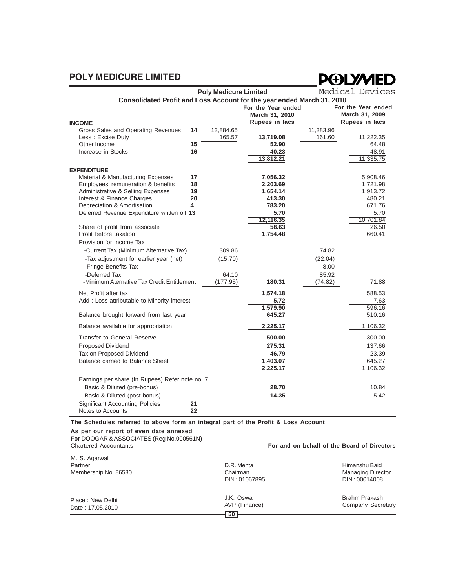

|                                                                        |    |                              |                    |           | 77                 |
|------------------------------------------------------------------------|----|------------------------------|--------------------|-----------|--------------------|
|                                                                        |    | <b>Poly Medicure Limited</b> |                    |           | Medical Devices    |
| Consolidated Profit and Loss Account for the year ended March 31, 2010 |    |                              |                    |           |                    |
|                                                                        |    |                              | For the Year ended |           | For the Year ended |
|                                                                        |    |                              | March 31, 2010     |           | March 31, 2009     |
| <b>INCOME</b>                                                          |    |                              | Rupees in lacs     |           | Rupees in lacs     |
| Gross Sales and Operating Revenues                                     | 14 | 13,884.65                    |                    | 11,383.96 |                    |
| Less: Excise Duty<br>Other Income                                      | 15 | 165.57                       | 13,719.08          | 161.60    | 11,222.35          |
| Increase in Stocks                                                     | 16 |                              | 52.90<br>40.23     |           | 64.48<br>48.91     |
|                                                                        |    |                              | 13,812.21          |           | 11,335.75          |
| <b>EXPENDITURE</b>                                                     |    |                              |                    |           |                    |
| Material & Manufacturing Expenses                                      | 17 |                              | 7,056.32           |           | 5,908.46           |
| Employees' remuneration & benefits                                     | 18 |                              | 2,203.69           |           | 1,721.98           |
| Administrative & Selling Expenses                                      | 19 |                              | 1,654.14           |           | 1,913.72           |
| Interest & Finance Charges                                             | 20 |                              | 413.30             |           | 480.21             |
| Depreciation & Amortisation                                            | 4  |                              | 783.20             |           | 671.76             |
| Deferred Revenue Expenditure written off 13                            |    |                              | 5.70               |           | 5.70               |
|                                                                        |    |                              | 12,116.35          |           | 10.701.84          |
| Share of profit from associate                                         |    |                              | 58.63              |           | 26.50              |
| Profit before taxation                                                 |    |                              | 1,754.48           |           | 660.41             |
| Provision for Income Tax                                               |    |                              |                    |           |                    |
| -Current Tax (Minimum Alternative Tax)                                 |    | 309.86                       |                    | 74.82     |                    |
| -Tax adjustment for earlier year (net)                                 |    | (15.70)                      |                    | (22.04)   |                    |
|                                                                        |    |                              |                    | 8.00      |                    |
| -Fringe Benefits Tax                                                   |    |                              |                    |           |                    |
| -Deferred Tax                                                          |    | 64.10                        |                    | 85.92     |                    |
| -Minimum Aternative Tax Credit Entitlement                             |    | (177.95)                     | 180.31             | (74.82)   | 71.88              |
| Net Profit after tax                                                   |    |                              | 1,574.18           |           | 588.53             |
| Add : Loss attributable to Minority interest                           |    |                              | 5.72               |           | 7.63               |
|                                                                        |    |                              | 1,579.90           |           | 596.16             |
| Balance brought forward from last year                                 |    |                              | 645.27             |           | 510.16             |
| Balance available for appropriation                                    |    |                              | 2,225.17           |           | 1,106.32           |
| Transfer to General Reserve                                            |    |                              | 500.00             |           | 300.00             |
| Proposed Dividend                                                      |    |                              | 275.31             |           | 137.66             |
| Tax on Proposed Dividend                                               |    |                              | 46.79              |           | 23.39              |
| Balance carried to Balance Sheet                                       |    |                              | 1,403.07           |           | 645.27             |
|                                                                        |    |                              | 2,225.17           |           | 1,106.32           |
| Earnings per share (In Rupees) Refer note no. 7                        |    |                              |                    |           |                    |
| Basic & Diluted (pre-bonus)                                            |    |                              | 28.70              |           | 10.84              |
| Basic & Diluted (post-bonus)                                           |    |                              | 14.35              |           | 5.42               |
| <b>Significant Accounting Policies</b>                                 | 21 |                              |                    |           |                    |
| Notes to Accounts                                                      | 22 |                              |                    |           |                    |

**The Schedules referred to above form an integral part of the Profit & Loss Account**

**As per our report of even date annexed For** DOOGAR & ASSOCIATES (Reg No.000561N)

| <b>Chartered Accountants</b> | For and on behalf of the Board of Directors |
|------------------------------|---------------------------------------------|
| .                            |                                             |

|               | Himanshu Baid            |
|---------------|--------------------------|
| Chairman      | <b>Managing Director</b> |
| DIN: 01067895 | DIN: 00014008            |
| J.K. Oswal    | Brahm Prakash            |
| AVP (Finance) | Company Secretary        |
| 50            |                          |
|               | D.R. Mehta               |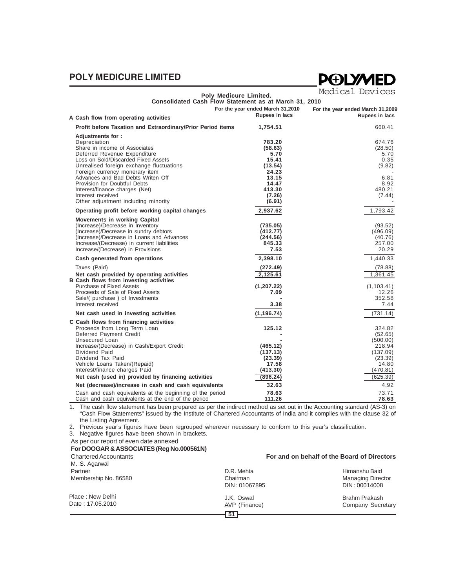

Medical Devices

| <b>Poly Medicure Limited.</b>                         |            |
|-------------------------------------------------------|------------|
| Consolidated Cash Flow Statement as at March 31, 2010 |            |
| For the year ended March 31 2010                      | <b>For</b> |

| A Cash flow from operating activities                                                                                                                                                                                                                                                                                                              | For the year ended March 31,2010<br>Rupees in lacs                                           | For the year ended March 31,2009<br>Rupees in lacs                              |
|----------------------------------------------------------------------------------------------------------------------------------------------------------------------------------------------------------------------------------------------------------------------------------------------------------------------------------------------------|----------------------------------------------------------------------------------------------|---------------------------------------------------------------------------------|
| Profit before Taxation and Extraordinary/Prior Period items                                                                                                                                                                                                                                                                                        | 1,754.51                                                                                     | 660.41                                                                          |
| Adjustments for:<br>Depreciation<br>Share in income of Associates<br>Deferred Revenue Expenditure<br>Loss on Sold/Discarded Fixed Assets<br>Unrealised foreign exchange fluctuations<br>Foreign currency monerary item<br>Advances and Bad Debts Writen Off<br>Provision for Doubtful Debts<br>Interest/finance charges (Net)<br>Interest received | 783.20<br>(58.63)<br>5.70<br>15.41<br>(13.54)<br>24.23<br>13.15<br>14.47<br>413.30<br>(7.26) | 674.76<br>(28.50)<br>5.70<br>0.35<br>(9.82)<br>6.81<br>8.92<br>480.21<br>(7.44) |
| Other adjustment including minority                                                                                                                                                                                                                                                                                                                | (6.91)                                                                                       |                                                                                 |
| Operating profit before working capital changes                                                                                                                                                                                                                                                                                                    | 2,937.62                                                                                     | 1,793.42                                                                        |
| Movements in working Capital<br>(Increase)/Decrease in Inventory<br>(Increase)/Decrease in sundry debtors<br>(Increase)/Decrease in Loans and Advances<br>Increase/(Decrease) in current liabilities<br>Increase/(Decrease) in Provisions                                                                                                          | (735.05)<br>(412.77)<br>(244.56)<br>845.33<br>7.53                                           | (93.52)<br>(496.09)<br>(40.76)<br>257.00<br>20.29                               |
| Cash generated from operations                                                                                                                                                                                                                                                                                                                     | 2,398.10                                                                                     | 1,440.33                                                                        |
| Taxes (Paid)<br>Net cash provided by operating activities<br><b>B</b> Cash flows from investing activities                                                                                                                                                                                                                                         | (272.49)<br>2,125.61                                                                         | (78.88)<br>1,361.45                                                             |
| Purchase of Fixed Assets<br>Proceeds of Sale of Fixed Assets<br>Sale/(purchase) of Investments<br>Interest received                                                                                                                                                                                                                                | (1, 207.22)<br>7.09<br>3.38                                                                  | (1, 103.41)<br>12.26<br>352.58<br>7.44                                          |
| Net cash used in investing activities                                                                                                                                                                                                                                                                                                              | (1, 196.74)                                                                                  | (731.14)                                                                        |
| C Cash flows from financing activities<br>Proceeds from Long Term Loan<br>Deferred Payment Credit<br>Unsecured Loan<br>Increase/(Decrease) in Cash/Export Credit<br>Dividend Paid                                                                                                                                                                  | 125.12<br>(465.12)<br>(137.13)                                                               | 324.82<br>(52.65)<br>(500.00)<br>218.94<br>(137.09)                             |
| Dividend Tax Paid<br>Vehicle Loans Taken/(Repaid)<br>Interest/finance charges Paid<br>Net cash (used in) provided by financing activities                                                                                                                                                                                                          | (23.39)<br>17.58<br>(413.30)<br>(896.24)                                                     | (23.39)<br>14.80<br>(470.81)<br>(625.39)                                        |
| Net (decrease)/increase in cash and cash equivalents                                                                                                                                                                                                                                                                                               | 32.63                                                                                        | 4.92                                                                            |
| Cash and cash equivalents at the beginning of the period<br>Cash and cash equivalents at the end of the period                                                                                                                                                                                                                                     | 78.63<br>111.26                                                                              | 73.71<br>78.63                                                                  |

1. The cash flow statement has been prepared as per the indirect method as set out in the Accounting standard (AS-3) on "Cash Flow Statements" issued by the Institute of Chartered Accountants of India and it complies with the clause 32 of the Listing Agreement.

2. Previous year's figures have been regrouped wherever necessary to conform to this year's classification.

3. Negative figures have been shown in brackets.

| As per our report of even date annexed<br>For DOOGAR & ASSOCIATES (Reg No.000561N)<br><b>Chartered Accountants</b><br>M. S. Agarwal |                                         | For and on behalf of the Board of Directors                |
|-------------------------------------------------------------------------------------------------------------------------------------|-----------------------------------------|------------------------------------------------------------|
| Partner<br>Membership No. 86580                                                                                                     | D.R. Mehta<br>Chairman<br>DIN: 01067895 | Himanshu Baid<br><b>Managing Director</b><br>DIN: 00014008 |
| Place: New Delhi<br>Date: 17.05.2010                                                                                                | J.K. Oswal<br>AVP (Finance)<br>51       | <b>Brahm Prakash</b><br>Company Secretary                  |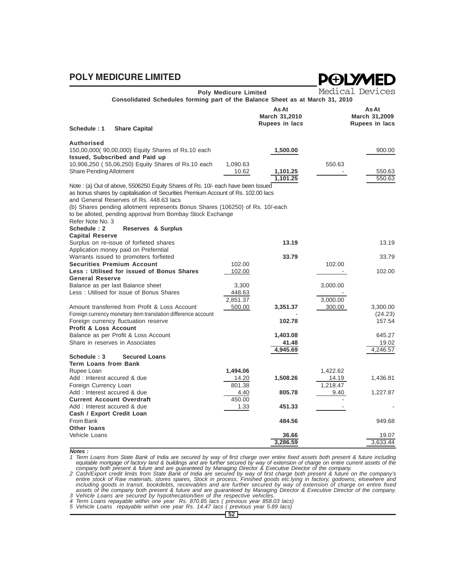**Issued, Subscribed and Paid up**



lacs

**1,101.25** 550.63

#### **Poly Medicure Limited Consolidated Schedules forming part of the Balance Sheet as at March 31, 2010**

10,906,250 ( 55,06,250) Equity Shares of Rs.10 each 1,090.63 550.63

|                                                    | As At          | As At                 |
|----------------------------------------------------|----------------|-----------------------|
|                                                    | March 31,2010  | March 31,2009         |
| Schedule: 1<br><b>Share Capital</b>                | Rupees in lacs | <b>Rupees in lacs</b> |
| Authorised                                         |                |                       |
| 150,00,000 (90,00,000) Equity Shares of Rs.10 each | 1.500.00       | 900.00                |

Share Pending Allotment 10.62 **1,101.25** - 550.63

Note : (a) Out of above, 5506250 Equity Shares of Rs. 10/- each have been Issued as bonus shares by capitalisation of Securities Premium Account of Rs. 102.00 lacs

and General Reserves of Rs. 448.63 lacs (b) Shares pending allotment represents Bonus Shares (106250) of Rs. 10/-each

to be alloted, pending approval from Bombay Stock Exchange

Refer Note No. 3<br>Schedule: 2 **Schedule : 2 Reserves & Surplus Capital Reserve** Surplus on re-issue of forfieted shares **13.19** 13.19 13.19 Application money paid on Preferntial Warrants issued to promoters forfieted **33.79** 33.79 **Securities Premium Account** 102.00 102.00 102.00 **Less : Utilised for issued of Bonus Shares** 102.00 102.00 102.00 **General Reserve** Balance as per last Balance sheet 3,300 3,300 3,000.00 Less: Utilised for issue of Bonus Shares 448.63 2,851.37 3,000.00 Amount transferred from Profit & Loss Account  $\qquad 500.00$   $\qquad 3,351.37$   $\qquad 300.00$  3,300.00 Foreign currency monetary item translation difference account<br>
Foreign currency fluctuation reserve the serve account **102.78** 157.54 157.54 Foreign currency fluctuation reserve **102.78** 157.54 **Profit & Loss Account** Balance as per Profit & Loss Account **1,403.08 1,403.08** 645.27 Share in reserves in Associates **19.02** 19.02 **4,945.69** 4,246.57 **Schedule : 3 Secured Loans Term Loans from Bank** Rupee Loan **1,494.06** 1,422.62 Add : Interest accured & due 14.20 **1,508.26** 14.19 1,436.81 Foreign Currency Loan 801.38 1,218.47 Add : Interest accured & due 4.40 **805.78** 9.40 1,227.87 **Current Account Overdraft** 450.00 Add : Interest accured & due 1.33 **451.33 Cash / Export Credit Loan** From Bank **484.56** 949.68 **Other loans** Vehicle Loans **36.66** 19.07 **3,286.59** 3,633.44

*Notes :*

1 Term Loans from State Bank of India are secured by way of first charge over entire fixed assets both present & future including<br>equitable mortgage of factory land & buildings and are further secured by way of extension o

2 Cash/Export credit limits from State Bank of India are secured by way of first charge both present & future on the company's<br>entire stock of Raw materials, stores spares, Stock in process, Finished goods etc.lying in fac

*4 Term Loans repayable within one year Rs. 870.85 lacs ( previous year 858.03 lacs) 5 Vehicle Loans repayable within one year Rs. 14.47 lacs ( previous year 5.89 lacs)*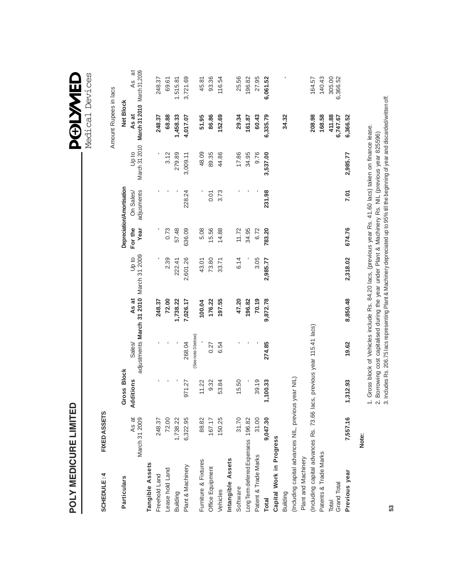| <b>POLY MEDICURE LIMITED</b>                                           |                        |             |                    |          |                                                  |                 |                                  |                        | POUVALE               |                                         |
|------------------------------------------------------------------------|------------------------|-------------|--------------------|----------|--------------------------------------------------|-----------------|----------------------------------|------------------------|-----------------------|-----------------------------------------|
|                                                                        |                        |             |                    |          |                                                  |                 |                                  |                        | Medical Devices       |                                         |
| SCHEDULE: 4                                                            | FIXED ASSETS           |             |                    |          |                                                  |                 |                                  |                        | Amount Rupees in lacs |                                         |
| <b>Particulars</b>                                                     |                        | Gross Block |                    |          |                                                  |                 | <b>Depreciation/Amortisation</b> |                        | <b>Net Block</b>      |                                         |
|                                                                        | March 31 2009<br>As at | Additions   | Sales/             | As at    | adjustments March 31 2010 March 31 2009<br>Up to | For the<br>Year | adjusments<br>On Sales/          | March 31 2010<br>Up to | As at                 | ta<br>March 31 2010 March 31,2009<br>45 |
| Tangible Assets                                                        |                        |             |                    |          |                                                  |                 |                                  |                        |                       |                                         |
| Freehold Land                                                          | 248.37                 |             |                    | 248.37   |                                                  |                 |                                  |                        | 248.37                | 248.37                                  |
| Lease hold Land                                                        | 72.00                  |             |                    | 72.00    | 2.39                                             | 0.73            |                                  | 3.12                   | 68.88                 | 69.61                                   |
| Building                                                               | 1,738.22               |             |                    | 1,738.22 | 222.41                                           | 57.48           |                                  | 279.89                 | 1,458.33              | 1.515.81                                |
| Plant & Machinery                                                      | 6,322.95               | 971.27      | 268.04             | 7,026.17 | 2,601.26                                         | 636.09          | 228.24                           | 3,009.11               | 4,017.07              | 3,721.69                                |
| Furniture & Fixtures                                                   | 88.82                  | 11.22       | (See note 3 below) | 100.04   | 43.01                                            | 5.08            |                                  | 48.09                  | 51.95                 | 45.81                                   |
| Office Equipment                                                       | 167.17                 | 9.32        | 0.27               | 176.22   | 73.80                                            | 15.56           | 0.01                             | 89.35                  | 86.86                 | 93.36                                   |
| Vehicles                                                               | 150.25                 | 53.84       | 6.54               | 197.55   | 33.71                                            | 14.88           | 3.73                             | 44.86                  | 152.69                | 116.54                                  |
| Intangible Assets                                                      |                        |             |                    |          |                                                  |                 |                                  |                        |                       |                                         |
| Software                                                               | 31.70                  | 15.50       |                    | 47.20    | 6.14                                             | 11.72           |                                  | 17.86                  | 29.34                 | 25.56                                   |
| Long Term deferred Expensess 196.82                                    |                        |             |                    | 196.82   |                                                  | 34.95           |                                  | 34.95                  | 161.87                | 196.82                                  |
| Patent & Trade Marks                                                   | 31.00                  | 39.19       |                    | 70.19    | 3.05                                             | 6.72            |                                  | 9.76                   | 60.43                 | 27.95                                   |
| <b>Total</b>                                                           | 9,047.30               | 1,100.33    | 274.85             | 9,872.78 | 2,985.77                                         | 783.20          | 231.98                           | 3,537.00               | 6,335.79              | 6,061.52                                |
| Capital Work in Progress                                               |                        |             |                    |          |                                                  |                 |                                  |                        |                       |                                         |
| Building                                                               |                        |             |                    |          |                                                  |                 |                                  |                        | 34.32                 |                                         |
| (Including capital advances NIL, previous year NIL)                    |                        |             |                    |          |                                                  |                 |                                  |                        |                       |                                         |
| Plant and Machinery                                                    |                        |             |                    |          |                                                  |                 |                                  |                        |                       |                                         |
| (Including capital advances Rs. 73.66 lacs, previous year 115.41 lacs) |                        |             |                    |          |                                                  |                 |                                  |                        | 208.98                | 164.57                                  |
| Patents & Trade Marks                                                  |                        |             |                    |          |                                                  |                 |                                  |                        | 168.58                | 140.43                                  |
| Grand Total<br>Total                                                   |                        |             |                    |          |                                                  |                 |                                  |                        | 411.88<br>6,747.67    | 305.00<br>6,366.52                      |
| Previous year                                                          | 7,557.16               | ,312.93     | 19.62              | 8,850.48 | 2,318.02                                         | 674.76          | 7.01                             | 2,985.77               | 6,366.52              |                                         |

2. Borrowing cost capitalised during the year under Plant & Machinery Rs. NIL (previous year 825596)<br>3. Indudes Rs. 206.75 lacs representing Plant & Machinery depreciated up to 95% till the beginning of year and discarded/ 3. Includes Rs. 206.75 lacs representing Plant & Machinery depreciated up to 95% till the beginning of year and discarded/written off. 2. Borrowing cost capitalised during the year under Plant & Machinery Rs. NIL (previous year 825596)

1. Gross block of Vehicles include Rs. 84.20 lacs, (previous year Rs. 41.60 lacs) taken on finance lease.

1. Gross block of Vehicles include Rs. 84.20 lacs, (previous year Rs. 41.60 lacs) taken on finance lease.

ices **POLYMED** Medical Devices

**Previous year 7,557.16 1,312.93 19.62 8,850.48 2,318.02 674.76 7.01 2,985.77 6,366.52** Previous year

 **Note:**

Note:

**53**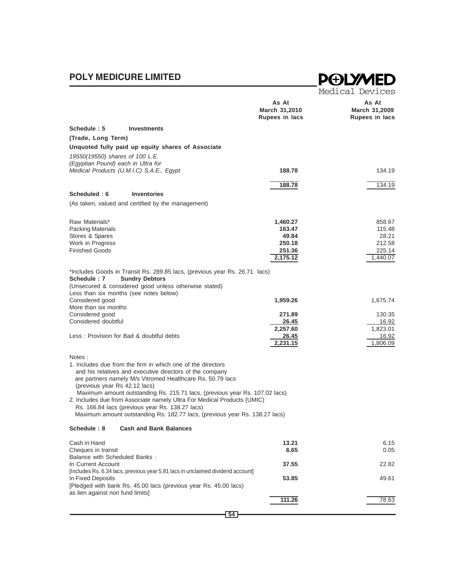

|                                                                                                              | As At                           | As At                                  |
|--------------------------------------------------------------------------------------------------------------|---------------------------------|----------------------------------------|
|                                                                                                              | March 31,2010<br>Rupees in lacs | March 31,2009<br><b>Rupees in lacs</b> |
| Schedule: 5<br><b>Investments</b>                                                                            |                                 |                                        |
| (Trade, Long Term)                                                                                           |                                 |                                        |
| Unquoted fully paid up equity shares of Associate                                                            |                                 |                                        |
|                                                                                                              |                                 |                                        |
| 19550(19550) shares of 100 L.E.<br>(Egyptian Pound) each in Ultra for                                        |                                 |                                        |
| Medical Products (U.M.I.C) S.A.E., Egypt                                                                     | 188.78                          | 134.19                                 |
|                                                                                                              |                                 |                                        |
|                                                                                                              | 188.78                          | 134.19                                 |
| Scheduled: 6<br><b>Inventories</b>                                                                           |                                 |                                        |
| (As taken, valued and certified by the management)                                                           |                                 |                                        |
| Raw Materials*                                                                                               | 1,460.27                        | 858.67                                 |
| <b>Packing Materials</b>                                                                                     | 163.47                          | 115.48                                 |
| Stores & Spares                                                                                              | 49.84                           | 28.21                                  |
| Work in Progress                                                                                             | 250.18                          | 212.58                                 |
| <b>Finished Goods</b>                                                                                        | 251.36                          | 225.14                                 |
|                                                                                                              | 2,175.12                        | 1,440.07                               |
| *Includes Goods in Transit Rs. 289.85 lacs, (previous year Rs. 26.71 lacs)                                   |                                 |                                        |
| Schedule: 7<br><b>Sundry Debtors</b>                                                                         |                                 |                                        |
| (Unsecured & considered good unless otherwise stated)                                                        |                                 |                                        |
| Less than six months (see notes below)<br>Considered good                                                    | 1,959.26                        | 1,675.74                               |
| More than six months                                                                                         |                                 |                                        |
| Considered good                                                                                              | 271.89                          | 130.35                                 |
| Considered doubtful                                                                                          | <u>26.45</u>                    | <u>16.92</u>                           |
|                                                                                                              | 2,257.60                        | 1,823.01                               |
| Less: Provision for Bad & doubtful debts                                                                     | 26.45                           | 16.92                                  |
|                                                                                                              | 2,231.15                        | 1,806.09                               |
| Notes:                                                                                                       |                                 |                                        |
| 1. Includes due from the firm in which one of the directors                                                  |                                 |                                        |
| and his relatives and executive directors of the company                                                     |                                 |                                        |
| are partners namely M/s Vitromed Healthcare Rs. 50.79 lacs                                                   |                                 |                                        |
| (previous year Rs 42.12 lacs)<br>Maximum amount outstanding Rs. 215.71 lacs, (previous year Rs. 107.02 lacs) |                                 |                                        |
| 2. Includes due from Associate namely Ultra For Medical Products (UMIC)                                      |                                 |                                        |
| Rs. 166.84 lacs (previous year Rs. 138.27 lacs)                                                              |                                 |                                        |
| Maximum amount outstanding Rs. 182.77 lacs, (previous year Rs. 138.27 lacs)                                  |                                 |                                        |
| Schedule: 8<br><b>Cash and Bank Balances</b>                                                                 |                                 |                                        |
| Cash in Hand                                                                                                 | 13.21                           | 6.15                                   |
| Cheques in transit                                                                                           | 6.65                            | 0.05                                   |
| Balance with Scheduled Banks:                                                                                |                                 |                                        |
| In Current Account                                                                                           | 37.55                           | 22.82                                  |
| [Includes Rs. 6.34 lacs, previous year 5.81 lacs in unclaimed dividend account]                              |                                 |                                        |
| In Fixed Deposits<br>[Pledged with bank Rs. 45.00 lacs (previous year Rs. 45.00 lacs)                        | 53.85                           | 49.61                                  |
| as lien against non fund limits]                                                                             |                                 |                                        |
|                                                                                                              | 111.26                          | 78.63                                  |
|                                                                                                              |                                 |                                        |
|                                                                                                              | 54                              |                                        |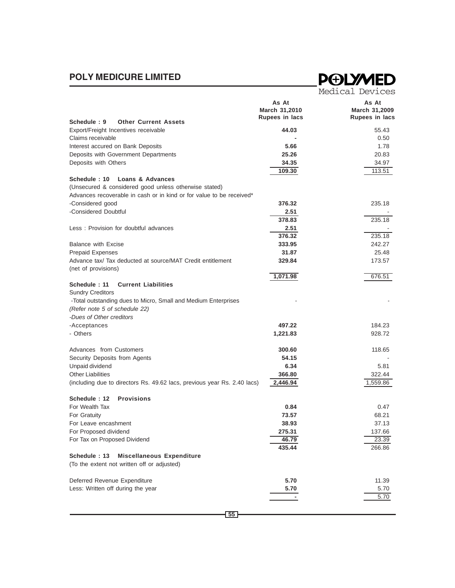

|                                                                          | As At<br>March 31,2010<br>Rupees in lacs | As At<br>March 31,2009<br>Rupees in lacs |
|--------------------------------------------------------------------------|------------------------------------------|------------------------------------------|
| <b>Other Current Assets</b><br>Schedule: 9                               |                                          |                                          |
| Export/Freight Incentives receivable                                     | 44.03                                    | 55.43                                    |
| Claims receivable                                                        |                                          | 0.50                                     |
| Interest accured on Bank Deposits                                        | 5.66                                     | 1.78                                     |
| Deposits with Government Departments                                     | 25.26                                    | 20.83                                    |
| Deposits with Others                                                     | 34.35                                    | 34.97                                    |
|                                                                          | 109.30                                   | 113.51                                   |
| <b>Loans &amp; Advances</b><br>Schedule: 10                              |                                          |                                          |
| (Unsecured & considered good unless otherwise stated)                    |                                          |                                          |
| Advances recoverable in cash or in kind or for value to be received*     |                                          |                                          |
| -Considered good                                                         | 376.32                                   | 235.18                                   |
| -Considered Doubtful                                                     | 2.51                                     |                                          |
|                                                                          | 378.83                                   | 235.18                                   |
| Less: Provision for doubtful advances                                    | 2.51                                     |                                          |
|                                                                          | 376.32                                   | 235.18                                   |
| <b>Balance with Excise</b>                                               | 333.95                                   | 242.27                                   |
| <b>Prepaid Expenses</b>                                                  | 31.87                                    | 25.48                                    |
| Advance tax/ Tax deducted at source/MAT Credit entitlement               | 329.84                                   | 173.57                                   |
| (net of provisions)                                                      |                                          |                                          |
|                                                                          | 1,071.98                                 | 676.51                                   |
| Schedule: 11<br><b>Current Liabilities</b>                               |                                          |                                          |
| <b>Sundry Creditors</b>                                                  |                                          |                                          |
| -Total outstanding dues to Micro, Small and Medium Enterprises           |                                          |                                          |
| (Refer note 5 of schedule 22)                                            |                                          |                                          |
| -Dues of Other creditors                                                 |                                          |                                          |
|                                                                          | 497.22                                   |                                          |
| -Acceptances<br>- Others                                                 |                                          | 184.23                                   |
|                                                                          | 1,221.83                                 | 928.72                                   |
| Advances from Customers                                                  | 300.60                                   | 118.65                                   |
| Security Deposits from Agents                                            | 54.15                                    |                                          |
| Unpaid dividend                                                          | 6.34                                     | 5.81                                     |
| <b>Other Liabilities</b>                                                 | 366.80                                   | 322.44                                   |
| (including due to directors Rs. 49.62 lacs, previous year Rs. 2.40 lacs) | 2,446.94                                 | 1,559.86                                 |
|                                                                          |                                          |                                          |
| Schedule: 12<br><b>Provisions</b>                                        |                                          |                                          |
| For Wealth Tax                                                           | 0.84                                     | 0.47                                     |
| For Gratuity                                                             | 73.57                                    | 68.21                                    |
| For Leave encashment                                                     | 38.93                                    | 37.13                                    |
| For Proposed dividend                                                    | 275.31                                   | 137.66                                   |
| For Tax on Proposed Dividend                                             | 46.79                                    | 23.39                                    |
|                                                                          | 435.44                                   | 266.86                                   |
| Schedule: 13<br><b>Miscellaneous Expenditure</b>                         |                                          |                                          |
| (To the extent not written off or adjusted)                              |                                          |                                          |
|                                                                          |                                          |                                          |
| Deferred Revenue Expenditure                                             | 5.70                                     | 11.39                                    |
| Less: Written off during the year                                        | 5.70                                     | 5.70                                     |
|                                                                          |                                          | 5.70                                     |
|                                                                          |                                          |                                          |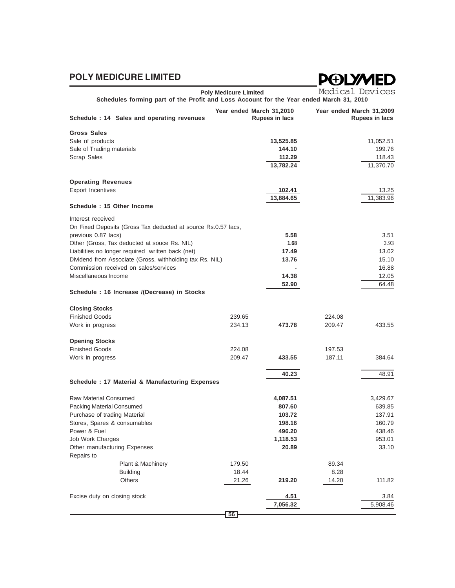

| Schedules forming part of the Profit and Loss Account for the Year ended March 31, 2010 | <b>Poly Medicure Limited</b> |                       |        | Medical Devices                            |
|-----------------------------------------------------------------------------------------|------------------------------|-----------------------|--------|--------------------------------------------|
| Schedule: 14 Sales and operating revenues                                               | Year ended March 31,2010     | <b>Rupees in lacs</b> |        | Year ended March 31,2009<br>Rupees in lacs |
| <b>Gross Sales</b>                                                                      |                              |                       |        |                                            |
| Sale of products                                                                        |                              | 13,525.85             |        | 11,052.51                                  |
| Sale of Trading materials                                                               |                              | 144.10                |        | 199.76                                     |
| Scrap Sales                                                                             |                              | 112.29                |        | 118.43                                     |
|                                                                                         |                              | 13,782.24             |        | 11,370.70                                  |
| <b>Operating Revenues</b>                                                               |                              |                       |        |                                            |
| <b>Export Incentives</b>                                                                |                              | 102.41                |        | 13.25                                      |
|                                                                                         |                              | 13,884.65             |        | 11,383.96                                  |
| Schedule: 15 Other Income                                                               |                              |                       |        |                                            |
| Interest received                                                                       |                              |                       |        |                                            |
| On Fixed Deposits (Gross Tax deducted at source Rs.0.57 lacs,                           |                              |                       |        |                                            |
| previous 0.87 lacs)                                                                     |                              | 5.58                  |        | 3.51                                       |
| Other (Gross, Tax deducted at souce Rs. NIL)                                            |                              | 1.68                  |        | 3.93                                       |
| Liabilities no longer required written back (net)                                       |                              | 17.49                 |        | 13.02                                      |
| Dividend from Associate (Gross, withholding tax Rs. NIL)                                |                              | 13.76                 |        | 15.10                                      |
| Commission received on sales/services                                                   |                              |                       |        | 16.88                                      |
| Miscellaneous Income                                                                    |                              | 14.38                 |        | 12.05                                      |
| Schedule: 16 Increase /(Decrease) in Stocks                                             |                              | 52.90                 |        | 64.48                                      |
| <b>Closing Stocks</b>                                                                   |                              |                       |        |                                            |
| <b>Finished Goods</b>                                                                   | 239.65                       |                       | 224.08 |                                            |
| Work in progress                                                                        | 234.13                       | 473.78                | 209.47 | 433.55                                     |
|                                                                                         |                              |                       |        |                                            |
| <b>Opening Stocks</b>                                                                   |                              |                       |        |                                            |
| <b>Finished Goods</b>                                                                   | 224.08                       |                       | 197.53 |                                            |
| Work in progress                                                                        | 209.47                       | 433.55                | 187.11 | 384.64                                     |
|                                                                                         |                              | 40.23                 |        | 48.91                                      |
| Schedule: 17 Material & Manufacturing Expenses                                          |                              |                       |        |                                            |
| <b>Raw Material Consumed</b>                                                            |                              | 4,087.51              |        | 3,429.67                                   |
| Packing Material Consumed                                                               |                              | 807.60                |        | 639.85                                     |
| Purchase of trading Material                                                            |                              | 103.72                |        | 137.91                                     |
| Stores, Spares & consumables                                                            |                              | 198.16                |        | 160.79                                     |
| Power & Fuel                                                                            |                              | 496.20                |        | 438.46                                     |
| <b>Job Work Charges</b>                                                                 |                              | 1,118.53              |        | 953.01                                     |
| Other manufacturing Expenses                                                            |                              | 20.89                 |        | 33.10                                      |
| Repairs to                                                                              |                              |                       |        |                                            |
| Plant & Machinery                                                                       | 179.50                       |                       | 89.34  |                                            |
| <b>Building</b>                                                                         | 18.44                        |                       | 8.28   |                                            |
| Others                                                                                  | 21.26                        | 219.20                | 14.20  | 111.82                                     |
| Excise duty on closing stock                                                            |                              | 4.51                  |        | 3.84                                       |
|                                                                                         |                              | 7,056.32              |        | 5,908.46                                   |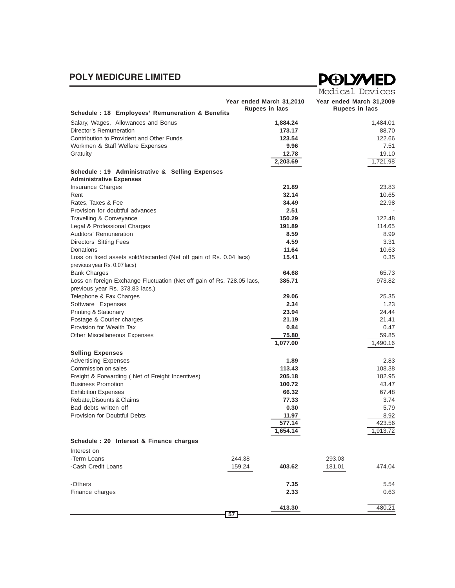

|                                                                        |                          | Medical Devices          |
|------------------------------------------------------------------------|--------------------------|--------------------------|
|                                                                        | Year ended March 31,2010 | Year ended March 31,2009 |
|                                                                        | <b>Rupees in lacs</b>    | <b>Rupees in lacs</b>    |
| Schedule: 18 Employees' Remuneration & Benefits                        |                          |                          |
| Salary, Wages, Allowances and Bonus                                    | 1,884.24                 | 1,484.01                 |
| Director's Remuneration                                                | 173.17                   | 88.70                    |
| Contribution to Provident and Other Funds                              | 123.54                   | 122.66                   |
| Workmen & Staff Welfare Expenses                                       | 9.96                     | 7.51                     |
| Gratuity                                                               | 12.78                    | 19.10                    |
|                                                                        | 2,203.69                 | 1,721.98                 |
| Schedule: 19 Administrative & Selling Expenses                         |                          |                          |
| <b>Administrative Expenses</b>                                         |                          |                          |
| <b>Insurance Charges</b>                                               | 21.89                    | 23.83                    |
| Rent                                                                   | 32.14                    | 10.65                    |
| Rates, Taxes & Fee                                                     | 34.49                    | 22.98                    |
| Provision for doubtful advances                                        | 2.51                     |                          |
| Travelling & Conveyance                                                | 150.29                   | 122.48                   |
| Legal & Professional Charges                                           | 191.89                   | 114.65                   |
| Auditors' Remuneration                                                 | 8.59                     | 8.99                     |
| <b>Directors' Sitting Fees</b>                                         | 4.59                     | 3.31                     |
| Donations                                                              | 11.64                    | 10.63                    |
| Loss on fixed assets sold/discarded (Net off gain of Rs. 0.04 lacs)    | 15.41                    | 0.35                     |
| previous year Rs. 0.07 lacs)                                           |                          |                          |
| <b>Bank Charges</b>                                                    | 64.68                    | 65.73                    |
| Loss on foreign Exchange Fluctuation (Net off gain of Rs. 728.05 lacs, | 385.71                   | 973.82                   |
| previous year Rs. 373.83 lacs.)                                        |                          |                          |
| Telephone & Fax Charges                                                | 29.06                    | 25.35                    |
| Software Expenses                                                      | 2.34                     | 1.23                     |
| Printing & Stationary                                                  | 23.94                    | 24.44                    |
| Postage & Courier charges                                              | 21.19                    | 21.41                    |
| Provision for Wealth Tax                                               | 0.84                     | 0.47                     |
| Other Miscellaneous Expenses                                           | 75.80                    | 59.85                    |
|                                                                        | 1,077.00                 | 1,490.16                 |
| <b>Selling Expenses</b>                                                |                          |                          |
| <b>Advertising Expenses</b>                                            | 1.89                     | 2.83                     |
| Commission on sales                                                    | 113.43                   | 108.38                   |
| Freight & Forwarding (Net of Freight Incentives)                       | 205.18                   | 182.95                   |
| <b>Business Promotion</b>                                              | 100.72                   | 43.47                    |
| <b>Exhibition Expenses</b>                                             | 66.32                    | 67.48                    |
| Rebate, Disounts & Claims                                              | 77.33                    | 3.74                     |
| Bad debts written off                                                  | 0.30                     | 5.79                     |
| Provision for Doubtful Debts                                           | 11.97                    | 8.92                     |
|                                                                        | 577.14                   | 423.56                   |
|                                                                        | 1,654.14                 | 1,913.72                 |
| Schedule: 20 Interest & Finance charges                                |                          |                          |
| Interest on                                                            |                          |                          |
| -Term Loans                                                            | 244.38                   | 293.03                   |
| -Cash Credit Loans                                                     | 159.24<br>403.62         | 181.01<br>474.04         |
|                                                                        |                          |                          |
|                                                                        |                          |                          |
| -Others                                                                | 7.35                     | 5.54                     |
| Finance charges                                                        | 2.33                     | 0.63                     |
|                                                                        | 413.30                   | 480.21                   |
|                                                                        | 57                       |                          |
|                                                                        |                          |                          |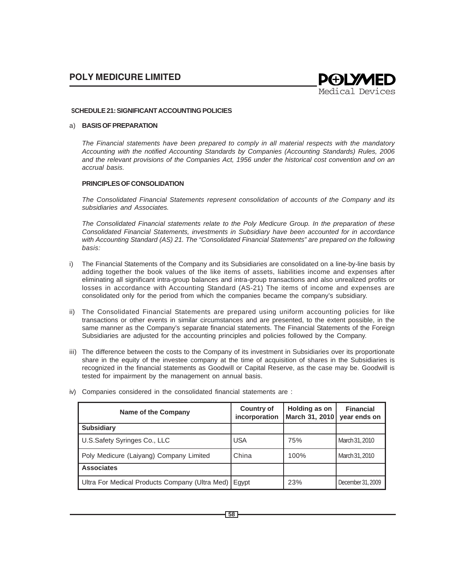

#### **SCHEDULE 21: SIGNIFICANT ACCOUNTING POLICIES**

#### a) **BASIS OF PREPARATION**

*The Financial statements have been prepared to comply in all material respects with the mandatory Accounting with the notified Accounting Standards by Companies (Accounting Standards) Rules, 2006 and the relevant provisions of the Companies Act, 1956 under the historical cost convention and on an accrual basis.*

### **PRINCIPLES OF CONSOLIDATION**

*The Consolidated Financial Statements represent consolidation of accounts of the Company and its subsidiaries and Associates.*

*The Consolidated Financial statements relate to the Poly Medicure Group. In the preparation of these Consolidated Financial Statements, investments in Subsidiary have been accounted for in accordance with Accounting Standard (AS) 21. The "Consolidated Financial Statements" are prepared on the following basis:*

- i) The Financial Statements of the Company and its Subsidiaries are consolidated on a line-by-line basis by adding together the book values of the like items of assets, liabilities income and expenses after eliminating all significant intra-group balances and intra-group transactions and also unrealized profits or losses in accordance with Accounting Standard (AS-21) The items of income and expenses are consolidated only for the period from which the companies became the company's subsidiary.
- ii) The Consolidated Financial Statements are prepared using uniform accounting policies for like transactions or other events in similar circumstances and are presented, to the extent possible, in the same manner as the Company's separate financial statements. The Financial Statements of the Foreign Subsidiaries are adjusted for the accounting principles and policies followed by the Company.
- iii) The difference between the costs to the Company of its investment in Subsidiaries over its proportionate share in the equity of the investee company at the time of acquisition of shares in the Subsidiaries is recognized in the financial statements as Goodwill or Capital Reserve, as the case may be. Goodwill is tested for impairment by the management on annual basis.

| Name of the Company                            | <b>Country of</b><br>incorporation | Holding as on<br>March 31, 2010 year ends on | <b>Financial</b>  |
|------------------------------------------------|------------------------------------|----------------------------------------------|-------------------|
| <b>Subsidiary</b>                              |                                    |                                              |                   |
| U.S.Safety Syringes Co., LLC                   | USA                                | 75%                                          | March 31, 2010    |
| Poly Medicure (Laiyang) Company Limited        | China                              | 100%                                         | March 31, 2010    |
| <b>Associates</b>                              |                                    |                                              |                   |
| Ultra For Medical Products Company (Ultra Med) | Eqypt                              | 23%                                          | December 31, 2009 |

iv) Companies considered in the consolidated financial statements are :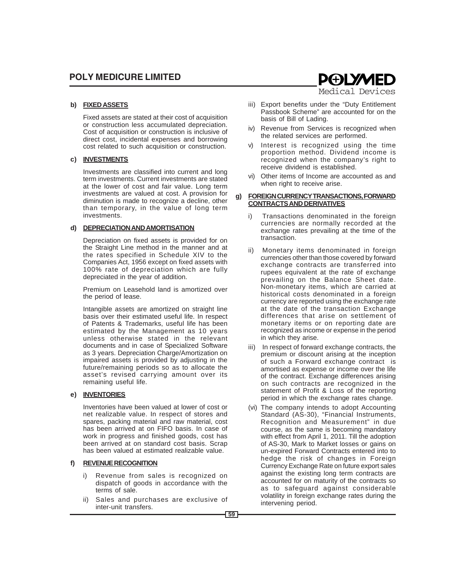#### **b) FIXED ASSETS**

Fixed assets are stated at their cost of acquisition or construction less accumulated depreciation. Cost of acquisition or construction is inclusive of direct cost, incidental expenses and borrowing cost related to such acquisition or construction.

#### **c) INVESTMENTS**

Investments are classified into current and long term investments. Current investments are stated at the lower of cost and fair value. Long term investments are valued at cost. A provision for diminution is made to recognize a decline, other than temporary, in the value of long term investments.

#### **d) DEPRECIATION AND AMORTISATION**

Depreciation on fixed assets is provided for on the Straight Line method in the manner and at the rates specified in Schedule XIV to the Companies Act, 1956 except on fixed assets with 100% rate of depreciation which are fully depreciated in the year of addition.

Premium on Leasehold land is amortized over the period of lease.

Intangible assets are amortized on straight line basis over their estimated useful life. In respect of Patents & Trademarks, useful life has been estimated by the Management as 10 years unless otherwise stated in the relevant documents and in case of Specialized Software as 3 years. Depreciation Charge/Amortization on impaired assets is provided by adjusting in the future/remaining periods so as to allocate the asset's revised carrying amount over its remaining useful life.

#### **e) INVENTORIES**

Inventories have been valued at lower of cost or net realizable value. In respect of stores and spares, packing material and raw material, cost has been arrived at on FIFO basis. In case of work in progress and finished goods, cost has been arrived at on standard cost basis. Scrap has been valued at estimated realizable value.

#### **f) REVENUE RECOGNITION**

- i) Revenue from sales is recognized on dispatch of goods in accordance with the terms of sale.
- ii) Sales and purchases are exclusive of inter-unit transfers.



iii) Export benefits under the "Duty Entitlement Passbook Scheme" are accounted for on the basis of Bill of Lading.

- iv) Revenue from Services is recognized when the related services are performed.
- Interest is recognized using the time proportion method. Dividend income is recognized when the company's right to receive dividend is established.
- vi) Other items of Income are accounted as and when right to receive arise.

#### **g) FOREIGN CURRENCY TRANSACTIONS, FORWARD CONTRACTS AND DERIVATIVES**

- i) Transactions denominated in the foreign currencies are normally recorded at the exchange rates prevailing at the time of the transaction.
- ii) Monetary items denominated in foreign currencies other than those covered by forward exchange contracts are transferred into rupees equivalent at the rate of exchange prevailing on the Balance Sheet date. Non-monetary items, which are carried at historical costs denominated in a foreign currency are reported using the exchange rate at the date of the transaction Exchange differences that arise on settlement of monetary items or on reporting date are recognized as income or expense in the period in which they arise.
- iii) In respect of forward exchange contracts, the premium or discount arising at the inception of such a Forward exchange contract is amortised as expense or income over the life of the contract. Exchange differences arising on such contracts are recognized in the statement of Profit & Loss of the reporting period in which the exchange rates change.
- (vi) The company intends to adopt Accounting Standard (AS-30), "Financial Instruments, Recognition and Measurement" in due course, as the same is becoming mandatory with effect from April 1, 2011. Till the adoption of AS-30, Mark to Market losses or gains on un-expired Forward Contracts entered into to hedge the risk of changes in Foreign Currency Exchange Rate on future export sales against the existing long term contracts are accounted for on maturity of the contracts so as to safeguard against considerable volatility in foreign exchange rates during the intervening period.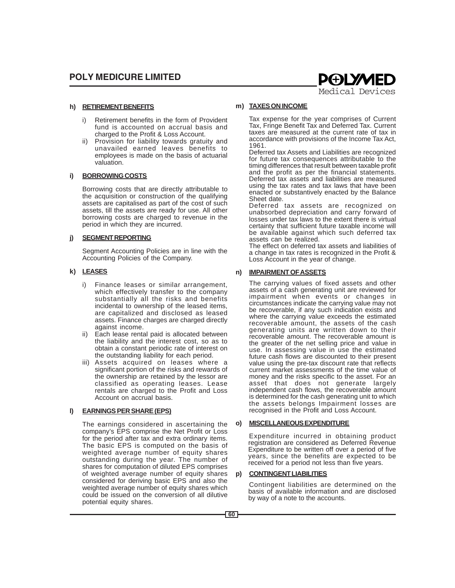#### **h) RETIREMENT BENEFITS**

- Retirement benefits in the form of Provident fund is accounted on accrual basis and charged to the Profit & Loss Account.
- ii) Provision for liability towards gratuity and unavailed earned leaves benefits to employees is made on the basis of actuarial valuation.

#### **i) BORROWING COSTS**

Borrowing costs that are directly attributable to the acquisition or construction of the qualifying assets are capitalised as part of the cost of such assets, till the assets are ready for use. All other borrowing costs are charged to revenue in the period in which they are incurred.

#### **j) SEGMENT REPORTING**

Segment Accounting Policies are in line with the Accounting Policies of the Company.

#### **k) LEASES**

- i) Finance leases or similar arrangement, which effectively transfer to the company substantially all the risks and benefits incidental to ownership of the leased items, are capitalized and disclosed as leased assets. Finance charges are charged directly against income.
- ii) Each lease rental paid is allocated between the liability and the interest cost, so as to obtain a constant periodic rate of interest on the outstanding liability for each period.
- iii) Assets acquired on leases where a significant portion of the risks and rewards of the ownership are retained by the lessor are classified as operating leases. Lease rentals are charged to the Profit and Loss Account on accrual basis.

#### **l) EARNINGS PER SHARE (EPS)**

The earnings considered in ascertaining the company's EPS comprise the Net Profit or Loss for the period after tax and extra ordinary items. The basic EPS is computed on the basis of weighted average number of equity shares outstanding during the year. The number of shares for computation of diluted EPS comprises of weighted average number of equity shares considered for deriving basic EPS and also the weighted average number of equity shares which could be issued on the conversion of all dilutive potential equity shares.



#### **m) TAXES ON INCOME**

Tax expense for the year comprises of Current Tax, Fringe Benefit Tax and Deferred Tax. Current taxes are measured at the current rate of tax in accordance with provisions of the Income Tax Act, 1961.

Deferred tax Assets and Liabilities are recognized for future tax consequences attributable to the timing differences that result between taxable profit and the profit as per the financial statements. Deferred tax assets and liabilities are measured using the tax rates and tax laws that have been enacted or substantively enacted by the Balance Sheet date.

Deferred tax assets are recognized on unabsorbed depreciation and carry forward of losses under tax laws to the extent there is virtual certainty that sufficient future taxable income will be available against which such deferred tax assets can be realized.

The effect on deferred tax assets and liabilities of a change in tax rates is recognized in the Profit & Loss Account in the year of change.

#### **n) IMPAIRMENT OF ASSETS**

The carrying values of fixed assets and other assets of a cash generating unit are reviewed for impairment when events or changes in circumstances indicate the carrying value may not be recoverable, if any such indication exists and where the carrying value exceeds the estimated recoverable amount, the assets of the cash generating units are written down to their recoverable amount. The recoverable amount is the greater of the net selling price and value in use. In assessing value in use the estimated future cash flows are discounted to their present value using the pre-tax discount rate that reflects current market assessments of the time value of money and the risks specific to the asset. For an asset that does not generate largely independent cash flows, the recoverable amount is determined for the cash generating unit to which the assets belongs Impairment losses are recognised in the Profit and Loss Account.

#### **o) MISCELLANEOUS EXPENDITURE**

Expenditure incurred in obtaining product registration are considered as Deferred Revenue Expenditure to be written off over a period of five years, since the benefits are expected to be received for a period not less than five years.

#### **p) CONTINGENT LIABILITIES**

Contingent liabilities are determined on the basis of available information and are disclosed by way of a note to the accounts.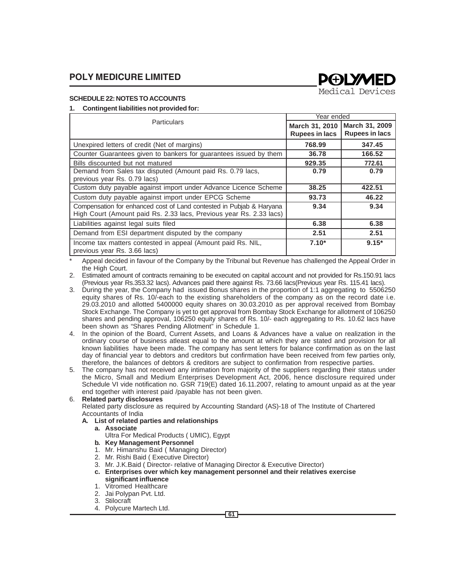**DGDI YMED** 

Medical Devices

#### **SCHEDULE 22: NOTES TO ACCOUNTS**

#### **1. Contingent liabilities not provided for:**

|                                                                                                                                             | Year ended                              |                                         |
|---------------------------------------------------------------------------------------------------------------------------------------------|-----------------------------------------|-----------------------------------------|
| <b>Particulars</b>                                                                                                                          | March 31, 2010<br><b>Rupees in lacs</b> | March 31, 2009<br><b>Rupees in lacs</b> |
|                                                                                                                                             |                                         |                                         |
| Unexpired letters of credit (Net of margins)                                                                                                | 768.99                                  | 347.45                                  |
| Counter Guarantees given to bankers for guarantees issued by them                                                                           | 36.78                                   | 166.52                                  |
| Bills discounted but not matured                                                                                                            | 929.35                                  | 772.61                                  |
| Demand from Sales tax disputed (Amount paid Rs. 0.79 lacs,                                                                                  | 0.79                                    | 0.79                                    |
| previous year Rs. 0.79 lacs)                                                                                                                |                                         |                                         |
| Custom duty payable against import under Advance Licence Scheme                                                                             | 38.25                                   | 422.51                                  |
| Custom duty payable against import under EPCG Scheme                                                                                        | 93.73                                   | 46.22                                   |
| Compensation for enhanced cost of Land contested in Pubjab & Haryana<br>High Court (Amount paid Rs. 2.33 lacs, Previous year Rs. 2.33 lacs) | 9.34                                    | 9.34                                    |
| Liabilities against legal suits filed                                                                                                       | 6.38                                    | 6.38                                    |
| Demand from ESI department disputed by the company                                                                                          | 2.51                                    | 2.51                                    |
| Income tax matters contested in appeal (Amount paid Rs. NIL,<br>previous year Rs. 3.66 lacs)                                                | $7.10*$                                 | $9.15*$                                 |

Appeal decided in favour of the Company by the Tribunal but Revenue has challenged the Appeal Order in the High Court.

2. Estimated amount of contracts remaining to be executed on capital account and not provided for Rs.150.91 lacs (Previous year Rs.353.32 lacs). Advances paid there against Rs. 73.66 lacs(Previous year Rs. 115.41 lacs).

- 3. During the year, the Company had issued Bonus shares in the proportion of 1:1 aggregating to 5506250 equity shares of Rs. 10/-each to the existing shareholders of the company as on the record date i.e. 29.03.2010 and allotted 5400000 equity shares on 30.03.2010 as per approval received from Bombay Stock Exchange. The Company is yet to get approval from Bombay Stock Exchange for allotment of 106250 shares and pending approval, 106250 equity shares of Rs. 10/- each aggregating to Rs. 10.62 lacs have been shown as "Shares Pending Allotment" in Schedule 1.
- 4. In the opinion of the Board, Current Assets, and Loans & Advances have a value on realization in the ordinary course of business atleast equal to the amount at which they are stated and provision for all known liabilities have been made. The company has sent letters for balance confirmation as on the last day of financial year to debtors and creditors but confirmation have been received from few parties only, therefore, the balances of debtors & creditors are subject to confirmation from respective parties.
- 5. The company has not received any intimation from majority of the suppliers regarding their status under the Micro, Small and Medium Enterprises Development Act, 2006, hence disclosure required under Schedule VI vide notification no. GSR 719(E) dated 16.11.2007, relating to amount unpaid as at the year end together with interest paid /payable has not been given.

### 6. **Related party disclosures**

Related party disclosure as required by Accounting Standard (AS)-18 of The Institute of Chartered Accountants of India

### **A. List of related parties and relationships**

- **a. Associate**
	- Ultra For Medical Products ( UMIC), Egypt
- **b. Key Management Personnel**
- 1. Mr. Himanshu Baid ( Managing Director)
- 2. Mr. Rishi Baid ( Executive Director)
- 3. Mr. J.K.Baid ( Director- relative of Managing Director & Executive Director)
- **c. Enterprises over which key management personnel and their relatives exercise**
- **significant influence** 1. Vitromed Healthcare
- 2. Jai Polypan Pvt. Ltd.
- 3. Stilocraft
- 4. Polycure Martech Ltd.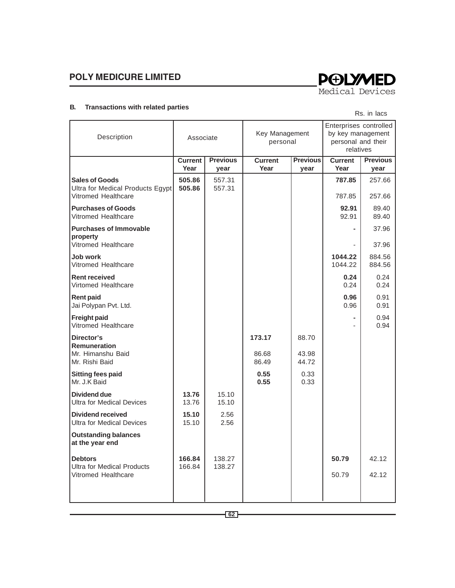### **B. Transactions with related parties**

| Description                                                                      | Associate              |                         | Key Management<br>personal |                         | Enterprises controlled<br>by key management<br>personal and their<br>relatives |                         |
|----------------------------------------------------------------------------------|------------------------|-------------------------|----------------------------|-------------------------|--------------------------------------------------------------------------------|-------------------------|
|                                                                                  | <b>Current</b><br>Year | <b>Previous</b><br>year | <b>Current</b><br>Year     | <b>Previous</b><br>year | <b>Current</b><br>Year                                                         | <b>Previous</b><br>year |
| <b>Sales of Goods</b><br>Ultra for Medical Products Egypt<br>Vitromed Healthcare | 505.86<br>505.86       | 557.31<br>557.31        |                            |                         | 787.85<br>787.85                                                               | 257.66<br>257.66        |
| <b>Purchases of Goods</b><br>Vitromed Healthcare                                 |                        |                         |                            |                         | 92.91<br>92.91                                                                 | 89.40<br>89.40          |
| <b>Purchases of Immovable</b><br>property                                        |                        |                         |                            |                         |                                                                                | 37.96                   |
| Vitromed Healthcare                                                              |                        |                         |                            |                         |                                                                                | 37.96                   |
| Job work<br>Vitromed Healthcare                                                  |                        |                         |                            |                         | 1044.22<br>1044.22                                                             | 884.56<br>884.56        |
| <b>Rent received</b><br>Virtomed Healthcare                                      |                        |                         |                            |                         | 0.24<br>0.24                                                                   | 0.24<br>0.24            |
| <b>Rent paid</b><br>Jai Polypan Pvt. Ltd.                                        |                        |                         |                            |                         | 0.96<br>0.96                                                                   | 0.91<br>0.91            |
| <b>Freight paid</b><br>Vitromed Healthcare                                       |                        |                         |                            |                         |                                                                                | 0.94<br>0.94            |
| Director's<br><b>Remuneration</b>                                                |                        |                         | 173.17                     | 88.70                   |                                                                                |                         |
| Mr. Himanshu Baid<br>Mr. Rishi Baid                                              |                        |                         | 86.68<br>86.49             | 43.98<br>44.72          |                                                                                |                         |
| <b>Sitting fees paid</b><br>Mr. J.K Baid                                         |                        |                         | 0.55<br>0.55               | 0.33<br>0.33            |                                                                                |                         |
| Dividend due<br><b>Ultra for Medical Devices</b>                                 | 13.76<br>13.76         | 15.10<br>15.10          |                            |                         |                                                                                |                         |
| Dividend received<br><b>Ultra for Medical Devices</b>                            | 15.10<br>15.10         | 2.56<br>2.56            |                            |                         |                                                                                |                         |
| <b>Outstanding balances</b><br>at the year end                                   |                        |                         |                            |                         |                                                                                |                         |
| <b>Debtors</b>                                                                   | 166.84                 | 138.27                  |                            |                         | 50.79                                                                          | 42.12                   |
| <b>Ultra for Medical Products</b><br>Vitromed Healthcare                         | 166.84                 | 138.27                  |                            |                         | 50.79                                                                          | 42.12                   |
|                                                                                  |                        |                         |                            |                         |                                                                                |                         |

Rs. in lacs

Medical Devices

**POLYMED** 

**62**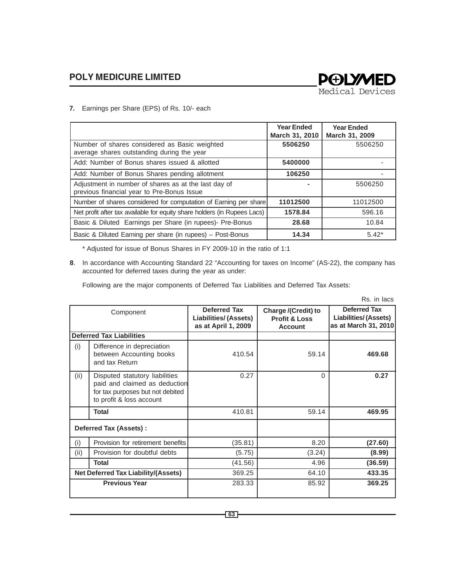**PGUWED** Medical Devices

**7.** Earnings per Share (EPS) of Rs. 10/- each

|                                                                                                    | <b>Year Ended</b><br>March 31, 2010 | <b>Year Ended</b><br>March 31, 2009 |
|----------------------------------------------------------------------------------------------------|-------------------------------------|-------------------------------------|
| Number of shares considered as Basic weighted<br>average shares outstanding during the year        | 5506250                             | 5506250                             |
| Add: Number of Bonus shares issued & allotted                                                      | 5400000                             |                                     |
| Add: Number of Bonus Shares pending allotment                                                      | 106250                              |                                     |
| Adjustment in number of shares as at the last day of<br>previous financial year to Pre-Bonus Issue |                                     | 5506250                             |
| Number of shares considered for computation of Earning per share                                   | 11012500                            | 11012500                            |
| Net profit after tax available for equity share holders (in Rupees Lacs)                           | 1578.84                             | 596.16                              |
| Basic & Diluted Earnings per Share (in rupees)- Pre-Bonus                                          | 28.68                               | 10.84                               |
| Basic & Diluted Earning per share (in rupees) - Post-Bonus                                         | 14.34                               | $5.42*$                             |

\* Adjusted for issue of Bonus Shares in FY 2009-10 in the ratio of 1:1

**8**. In accordance with Accounting Standard 22 "Accounting for taxes on Income" (AS-22), the company has accounted for deferred taxes during the year as under:

Following are the major components of Deferred Tax Liabilities and Deferred Tax Assets:

|      |                                                                                                                                 |                                                              |                                                                   | Rs. in lacs                                                                 |
|------|---------------------------------------------------------------------------------------------------------------------------------|--------------------------------------------------------------|-------------------------------------------------------------------|-----------------------------------------------------------------------------|
|      | Component                                                                                                                       | Deferred Tax<br>Liabilities/ (Assets)<br>as at April 1, 2009 | Charge /(Credit) to<br><b>Profit &amp; Loss</b><br><b>Account</b> | <b>Deferred Tax</b><br><b>Liabilities/ (Assets)</b><br>as at March 31, 2010 |
|      | <b>Deferred Tax Liabilities</b>                                                                                                 |                                                              |                                                                   |                                                                             |
| (i)  | Difference in depreciation<br>between Accounting books<br>and tax Return                                                        | 410.54                                                       | 59.14                                                             | 469.68                                                                      |
| (ii) | Disputed statutory liabilities<br>paid and claimed as deduction<br>for tax purposes but not debited<br>to profit & loss account | 0.27                                                         | $\Omega$                                                          | 0.27                                                                        |
|      | <b>Total</b>                                                                                                                    | 410.81                                                       | 59.14                                                             | 469.95                                                                      |
|      | Deferred Tax (Assets) :                                                                                                         |                                                              |                                                                   |                                                                             |
| (i)  | Provision for retirement benefits                                                                                               | (35.81)                                                      | 8.20                                                              | (27.60)                                                                     |
| (ii) | Provision for doubtful debts                                                                                                    | (5.75)                                                       | (3.24)                                                            | (8.99)                                                                      |
|      | Total                                                                                                                           | (41.56)                                                      | 4.96                                                              | (36.59)                                                                     |
|      | <b>Net Deferred Tax Liability/(Assets)</b>                                                                                      | 369.25                                                       | 64.10                                                             | 433.35                                                                      |
|      | <b>Previous Year</b>                                                                                                            | 283.33                                                       | 85.92                                                             | 369.25                                                                      |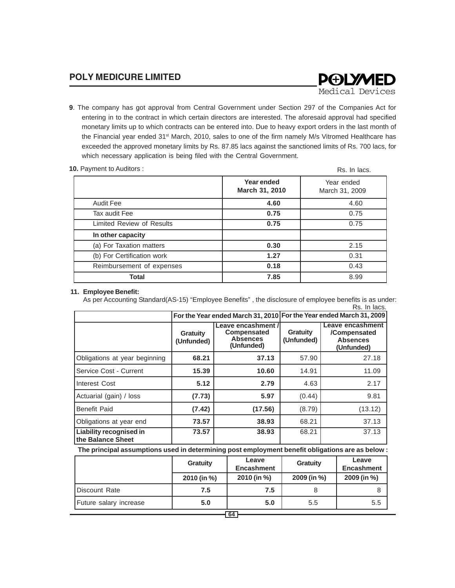

**9**. The company has got approval from Central Government under Section 297 of the Companies Act for entering in to the contract in which certain directors are interested. The aforesaid approval had specified monetary limits up to which contracts can be entered into. Due to heavy export orders in the last month of the Financial year ended 31<sup>st</sup> March, 2010, sales to one of the firm namely M/s Vitromed Healthcare has exceeded the approved monetary limits by Rs. 87.85 lacs against the sanctioned limits of Rs. 700 lacs, for which necessary application is being filed with the Central Government.

|  | <b>10.</b> Payment to Auditors : |  |
|--|----------------------------------|--|
|--|----------------------------------|--|

| <b>0.</b> Payment to Auditors : |                              | Rs. In lacs.                 |
|---------------------------------|------------------------------|------------------------------|
|                                 | Year ended<br>March 31, 2010 | Year ended<br>March 31, 2009 |
| Audit Fee                       | 4.60                         | 4.60                         |
| Tax audit Fee                   | 0.75                         | 0.75                         |
| Limited Review of Results       | 0.75                         | 0.75                         |
| In other capacity               |                              |                              |
| (a) For Taxation matters        | 0.30                         | 2.15                         |
| (b) For Certification work      | 1.27                         | 0.31                         |
| Reimbursement of expenses       | 0.18                         | 0.43                         |
| <b>Total</b>                    | 7.85                         | 8.99                         |

#### **11. Employee Benefit:**

As per Accounting Standard(AS-15) "Employee Benefits" , the disclosure of employee benefits is as under: Rs. In lacs.

|                                              |                               | For the Year ended March 31, 2010 For the Year ended March 31, 2009       |                        |                                                                   |
|----------------------------------------------|-------------------------------|---------------------------------------------------------------------------|------------------------|-------------------------------------------------------------------|
|                                              | <b>Gratuity</b><br>(Unfunded) | Leave encashment /<br><b>Compensated</b><br><b>Absences</b><br>(Unfunded) | Gratuity<br>(Unfunded) | Leave encashment<br>/Compensated<br><b>Absences</b><br>(Unfunded) |
| Obligations at year beginning                | 68.21                         | 37.13                                                                     | 57.90                  | 27.18                                                             |
| Service Cost - Current                       | 15.39                         | 10.60                                                                     | 14.91                  | 11.09                                                             |
| Interest Cost                                | 5.12                          | 2.79                                                                      | 4.63                   | 2.17                                                              |
| Actuarial (gain) / loss                      | (7.73)                        | 5.97                                                                      | (0.44)                 | 9.81                                                              |
| <b>Benefit Paid</b>                          | (7.42)                        | (17.56)                                                                   | (8.79)                 | (13.12)                                                           |
| Obligations at year end                      | 73.57                         | 38.93                                                                     | 68.21                  | 37.13                                                             |
| Liability recognised in<br>the Balance Sheet | 73.57                         | 38.93                                                                     | 68.21                  | 37.13                                                             |

**The principal assumptions used in determining post employment benefit obligations are as below :**

|                        | <b>Gratuity</b> | Leave<br><b>Encashment</b> | <b>Gratuity</b> | Leave<br><b>Encashment</b> |
|------------------------|-----------------|----------------------------|-----------------|----------------------------|
|                        | 2010 (in %)     | 2010 (in %)                | 2009 (in %)     | 2009 (in %)                |
| Discount Rate          | 7.5             | 7.5                        |                 |                            |
| Future salary increase | 5.0             | 5.0                        | 5.5             | 5.5                        |
| 64                     |                 |                            |                 |                            |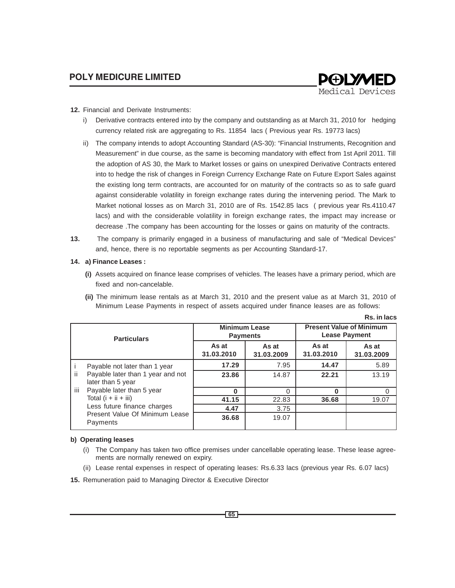

**Rs. in lacs**

#### **12.** Financial and Derivate Instruments:

- i) Derivative contracts entered into by the company and outstanding as at March 31, 2010 for hedging currency related risk are aggregating to Rs. 11854 lacs ( Previous year Rs. 19773 lacs)
- ii) The company intends to adopt Accounting Standard (AS-30): "Financial Instruments, Recognition and Measurement" in due course, as the same is becoming mandatory with effect from 1st April 2011. Till the adoption of AS 30, the Mark to Market losses or gains on unexpired Derivative Contracts entered into to hedge the risk of changes in Foreign Currency Exchange Rate on Future Export Sales against the existing long term contracts, are accounted for on maturity of the contracts so as to safe guard against considerable volatility in foreign exchange rates during the intervening period. The Mark to Market notional losses as on March 31, 2010 are of Rs. 1542.85 lacs ( previous year Rs.4110.47 lacs) and with the considerable volatility in foreign exchange rates, the impact may increase or decrease .The company has been accounting for the losses or gains on maturity of the contracts.
- **13.** The company is primarily engaged in a business of manufacturing and sale of "Medical Devices" and, hence, there is no reportable segments as per Accounting Standard-17.

#### **14. a) Finance Leases :**

- **(i)** Assets acquired on finance lease comprises of vehicles. The leases have a primary period, which are fixed and non-cancelable.
- **(ii)** The minimum lease rentals as at March 31, 2010 and the present value as at March 31, 2010 of Minimum Lease Payments in respect of assets acquired under finance leases are as follows:

|                    |                                                        |                                         |                     |                                                         | 113. 111 1463       |
|--------------------|--------------------------------------------------------|-----------------------------------------|---------------------|---------------------------------------------------------|---------------------|
| <b>Particulars</b> |                                                        | <b>Minimum Lease</b><br><b>Payments</b> |                     | <b>Present Value of Minimum</b><br><b>Lease Payment</b> |                     |
|                    |                                                        | As at<br>31.03.2010                     | As at<br>31.03.2009 | As at<br>31.03.2010                                     | As at<br>31.03.2009 |
|                    | Payable not later than 1 year                          | 17.29                                   | 7.95                | 14.47                                                   | 5.89                |
| ii.                | Payable later than 1 year and not<br>later than 5 year | 23.86                                   | 14.87               | 22.21                                                   | 13.19               |
| iii                | Payable later than 5 year                              | U                                       | O                   | O                                                       | 0                   |
|                    | Total $(i + ii + iii)$                                 | 41.15                                   | 22.83               | 36.68                                                   | 19.07               |
|                    | Less future finance charges                            | 4.47                                    | 3.75                |                                                         |                     |
|                    | Present Value Of Minimum Lease<br>Payments             | 36.68                                   | 19.07               |                                                         |                     |

#### **b) Operating leases**

- (i) The Company has taken two office premises under cancellable operating lease. These lease agreements are normally renewed on expiry.
- (ii) Lease rental expenses in respect of operating leases: Rs.6.33 lacs (previous year Rs. 6.07 lacs)

**15.** Remuneration paid to Managing Director & Executive Director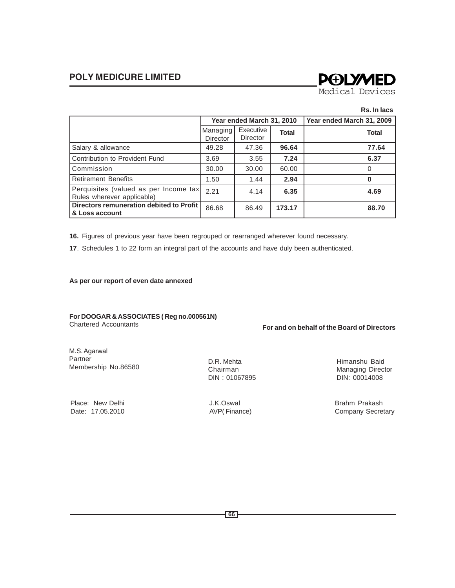**POLYMED** 

Medical Devices

**Rs. In lacs**

|                                                                      |                             | Year ended March 31, 2010    |              | Year ended March 31, 2009 |
|----------------------------------------------------------------------|-----------------------------|------------------------------|--------------|---------------------------|
|                                                                      | Managing<br><b>Director</b> | Executive<br><b>Director</b> | <b>Total</b> | <b>Total</b>              |
| Salary & allowance                                                   | 49.28                       | 47.36                        | 96.64        | 77.64                     |
| Contribution to Provident Fund                                       | 3.69                        | 3.55                         | 7.24         | 6.37                      |
| Commission                                                           | 30.00                       | 30.00                        | 60.00        | 0                         |
| <b>Retirement Benefits</b>                                           | 1.50                        | 1.44                         | 2.94         |                           |
| Perquisites (valued as per Income tax)<br>Rules wherever applicable) | 2.21                        | 4.14                         | 6.35         | 4.69                      |
| Directors remuneration debited to Profit<br>& Loss account           | 86.68                       | 86.49                        | 173.17       | 88.70                     |

**16.** Figures of previous year have been regrouped or rearranged wherever found necessary.

**17**. Schedules 1 to 22 form an integral part of the accounts and have duly been authenticated.

**As per our report of even date annexed**

### **For DOOGAR & ASSOCIATES ( Reg no.000561N)**

Chartered Accountants **For and on behalf of the Board of Directors**

M.S. Agarwal Partner Membership No.86580

D.R. Mehta Chairman DIN : 01067895

Place: New Delhi Date: 17.05.2010

J.K.Oswal AVP( Finance)

Himanshu Baid Managing Director DIN: 00014008

Brahm Prakash Company Secretary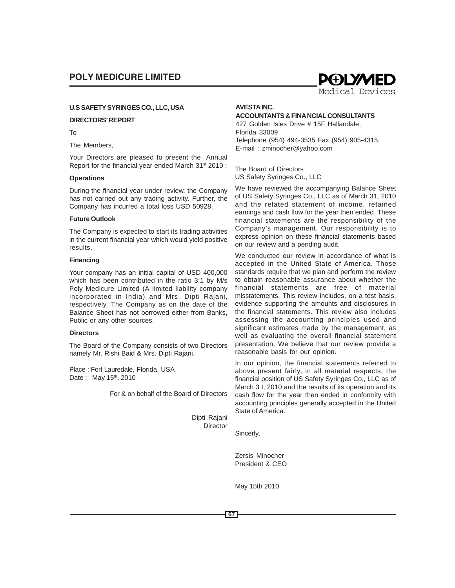

#### **DIRECTORS' REPORT**

To

The Members,

Your Directors are pleased to present the Annual Report for the financial year ended March 31<sup>st</sup> 2010 :

#### **Operations**

During the financial year under review, the Company has not carried out any trading activity. Further, the Company has incurred a total loss USD 50928.

#### **Future Outlook**

The Company is expected to start its trading activities in the current financial year which would yield positive results.

#### **Financing**

Your company has an initial capital of USD 400,000 which has been contributed in the ratio 3:1 by M/s Poly Medicure Limited (A limited liability company incorporated in India) and Mrs. Dipti Rajani, respectively. The Company as on the date of the Balance Sheet has not borrowed either from Banks, Public or any other sources.

#### **Directors**

The Board of the Company consists of two Directors namely Mr. Rishi Baid & Mrs. Dipti Rajani.

Place : Fort Lauredale, Florida, USA Date: May 15<sup>th</sup>, 2010

For & on behalf of the Board of Directors

Dipti Rajani Director

#### **AVESTA INC.**

#### **ACCOUNTANTS & FINA NCIAL CONSULTANTS**

Medical Devices

DAI YMED

427 Golden Isles Drive # 15F Hallandale, Florida 33009 Telepbone (954) 494-3535 Fax (954) 905-4315, E-mail : zminocher@yahoo.com

The Board of Directors US Safety Syringes Co., LLC

We have reviewed the accompanying Balance Sheet of US Safety Syringes Co., LLC as of March 31, 2010 and the related statement of income, retained earnings and cash flow for the year then ended. These financial statements are the responsibility of the Company's management. Our responsibility is to express opinion on these financial statements based on our review and a pending audit.

We conducted our review in accordance of what is accepted in the United State of America. Those standards require that we plan and perform the review to obtain reasonable assurance about whether the financial statements are free of material misstatements. This review includes, on a test basis, evidence supporting the amounts and disclosures in the financial statements. This review also includes assessing the accounting principles used and significant estimates made by the management, as well as evaluating the overall financial statement presentation. We believe that our review provide a reasonable basis for our opinion.

In our opinion, the financial statements referred to above present fairly, in all material respects, the financial position of US Safety Syringes Co., LLC as of March 3 I, 2010 and the results of its operation and its cash flow for the year then ended in conformity with accounting principles generally accepted in the United State of America.

Sincerly,

Zersis Minocher President & CEO

May 15th 2010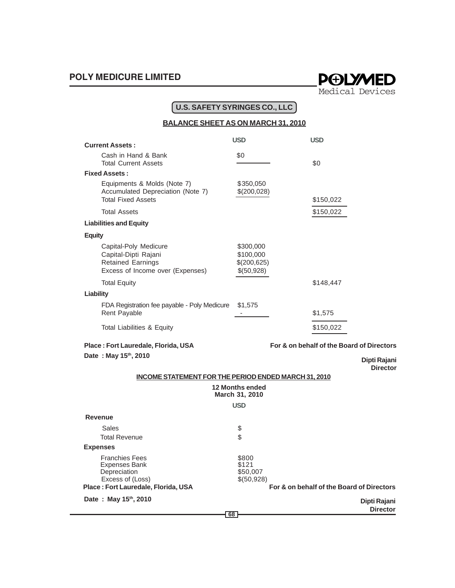

**U.S. SAFETY SYRINGES CO., LLC**

### **BALANCE SHEET AS ON MARCH 31, 2010**

| <b>Current Assets:</b>                                                                                            | <b>USD</b>                                          | <b>USD</b>                                |
|-------------------------------------------------------------------------------------------------------------------|-----------------------------------------------------|-------------------------------------------|
| Cash in Hand & Bank                                                                                               | \$0                                                 |                                           |
| <b>Total Current Assets</b>                                                                                       |                                                     | \$0                                       |
| <b>Fixed Assets:</b>                                                                                              |                                                     |                                           |
| Equipments & Molds (Note 7)<br>Accumulated Depreciation (Note 7)<br><b>Total Fixed Assets</b>                     | \$350,050<br>\$(200,028)                            | \$150,022                                 |
| <b>Total Assets</b>                                                                                               |                                                     | \$150,022                                 |
| <b>Liabilities and Equity</b>                                                                                     |                                                     |                                           |
| <b>Equity</b>                                                                                                     |                                                     |                                           |
| Capital-Poly Medicure<br>Capital-Dipti Rajani<br><b>Retained Earnings</b><br>Excess of Income over (Expenses)     | \$300,000<br>\$100,000<br>\$(200,625)<br>\$(50,928) |                                           |
| <b>Total Equity</b>                                                                                               |                                                     | \$148,447                                 |
| <b>Liability</b>                                                                                                  |                                                     |                                           |
| FDA Registration fee payable - Poly Medicure<br>Rent Payable                                                      | \$1,575                                             | \$1,575                                   |
| Total Liabilities & Equity                                                                                        |                                                     | \$150,022                                 |
| Place: Fort Lauredale, Florida, USA                                                                               |                                                     | For & on behalf of the Board of Directors |
| Date: May 15th, 2010                                                                                              |                                                     | Dipti Rajani<br><b>Director</b>           |
| INCOME STATEMENT FOR THE PERIOD ENDED MARCH 31, 2010                                                              |                                                     |                                           |
|                                                                                                                   | <b>12 Months ended</b><br>March 31, 2010            |                                           |
|                                                                                                                   | <b>USD</b>                                          |                                           |
| <b>Revenue</b>                                                                                                    |                                                     |                                           |
| Sales                                                                                                             | \$                                                  |                                           |
| <b>Total Revenue</b>                                                                                              | \$                                                  |                                           |
| <b>Expenses</b>                                                                                                   |                                                     |                                           |
| <b>Franchies Fees</b><br>Expenses Bank<br>Depreciation<br>Excess of (Loss)<br>Place: Fort Lauredale, Florida, USA | \$800<br>\$121<br>\$50,007<br>\$(50,928)            | For & on behalf of the Board of Directors |
| Date: May 15th, 2010                                                                                              | 68                                                  | Dipti Rajani<br><b>Director</b>           |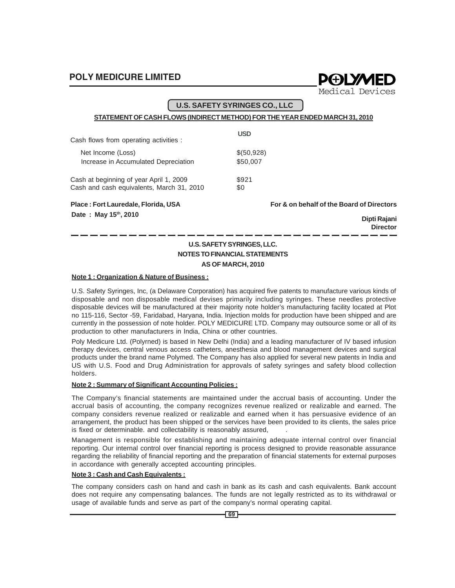

### **U.S. SAFETY SYRINGES CO., LLC**

#### **STATEMENT OF CASH FLOWS (INDIRECT METHOD) FOR THE YEAR ENDED MARCH 31, 2010**

| $\overline{11}$ CAFFTV CVDINCFC $\overline{11}$ C                                    |                                           |  |  |
|--------------------------------------------------------------------------------------|-------------------------------------------|--|--|
| Date: May $15^{th}$ , 2010                                                           | Dipti Rajani<br><b>Director</b>           |  |  |
| Place: Fort Lauredale, Florida, USA                                                  | For & on behalf of the Board of Directors |  |  |
| Cash at beginning of year April 1, 2009<br>Cash and cash equivalents, March 31, 2010 | \$921<br>\$0                              |  |  |
| Net Income (Loss)<br>Increase in Accumulated Depreciation                            | \$(50,928)<br>\$50,007                    |  |  |
| Cash flows from operating activities :                                               | <b>USD</b>                                |  |  |

### **U.S. SAFETY SYRINGES, LLC. NOTES TO FINANCIAL STATEMENTS AS OF MARCH, 2010**

#### **Note 1 : Organization & Nature of Business :**

U.S. Safety Syringes, Inc, (a Delaware Corporation) has acquired five patents to manufacture various kinds of disposable and non disposable medical devises primarily including syringes. These needles protective disposable devices will be manufactured at their majority note holder's manufacturing facility located at Plot no 115-116, Sector -59, Faridabad, Haryana, India. Injection molds for production have been shipped and are currently in the possession of note holder. POLY MEDICURE LTD. Company may outsource some or all of its production to other manufacturers in India, China or other countries.

Poly Medicure Ltd. (Polyrned) is based in New Delhi (India) and a leading manufacturer of IV based infusion therapy devices, central venous access catheters, anesthesia and blood management devices and surgical products under the brand name Polymed. The Company has also applied for several new patents in India and US with U.S. Food and Drug Administration for approvals of safety syringes and safety blood collection holders.

#### **Note 2 : Summary of Significant Accounting Policies :**

The Company's financial statements are maintained under the accrual basis of accounting. Under the accrual basis of accounting, the company recognizes revenue realized or realizable and earned. The company considers revenue realized or realizable and earned when it has persuasive evidence of an arrangement, the product has been shipped or the services have been provided to its clients, the sales price is fixed or determinable. and collectability is reasonably assured,

Management is responsible for establishing and maintaining adequate internal control over financial reporting. Our internal control over financial reporting is process designed to provide reasonable assurance regarding the reliability of financial reporting and the preparation of financial statements for external purposes in accordance with generally accepted accounting principles.

#### **Note 3 : Cash and Cash Equivalents :**

The company considers cash on hand and cash in bank as its cash and cash equivalents. Bank account does not require any compensating balances. The funds are not legally restricted as to its withdrawal or usage of available funds and serve as part of the company's normal operating capital.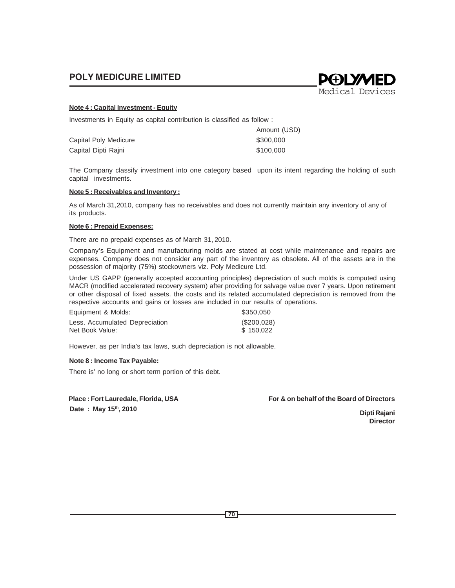

#### **Note 4 : Capital Investment - Equity**

Investments in Equity as capital contribution is classified as follow :

| Capital Poly Medicure | \$300,000 |
|-----------------------|-----------|
| Capital Dipti Rajni   | \$100,000 |

The Company classify investment into one category based upon its intent regarding the holding of such capital investments.

Amount (USD)

#### **Note 5 : Receivables and Inventory :**

As of March 31,2010, company has no receivables and does not currently maintain any inventory of any of its products.

#### **Note 6 : Prepaid Expenses:**

There are no prepaid expenses as of March 31, 2010.

Company's Equipment and manufacturing molds are stated at cost while maintenance and repairs are expenses. Company does not consider any part of the inventory as obsolete. All of the assets are in the possession of majority (75%) stockowners viz. Poly Medicure Ltd.

Under US GAPP (generally accepted accounting principles) depreciation of such molds is computed using MACR (modified accelerated recovery system) after providing for salvage value over 7 years. Upon retirement or other disposal of fixed assets. the costs and its related accumulated depreciation is removed from the respective accounts and gains or losses are included in our results of operations.

| Equipment & Molds:             | \$350.050   |
|--------------------------------|-------------|
| Less. Accumulated Depreciation | (\$200,028) |
| Net Book Value:                | \$150,022   |

However, as per India's tax laws, such depreciation is not allowable.

#### **Note 8 : Income Tax Payable:**

There is' no long or short term portion of this debt.

**Date : May 15th, 2010**

Place : Fort Lauredale, Florida, USA **For Board of the Board of Directors** 

**Dipti Rajani Director**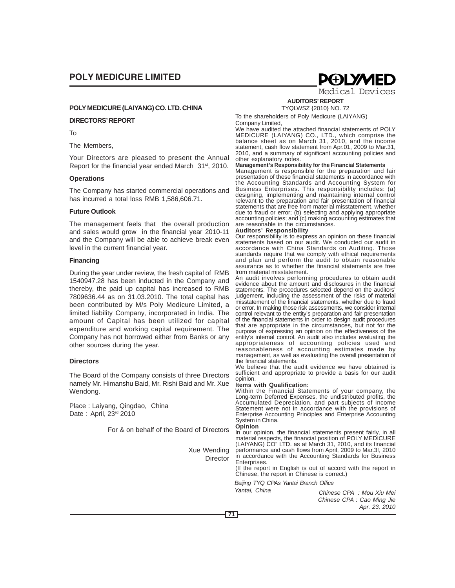#### **POLY MEDICURE (LAIYANG) CO. LTD. CHINA**

#### **DIRECTORS' REPORT**

To

The Members,

Your Directors are pleased to present the Annual Report for the financial year ended March 31<sup>st</sup>, 2010.

#### **Operations**

The Company has started commercial operations and has incurred a total loss RMB 1,586,606.71.

#### **Future Outlook**

The management feels that the overall production and sales would grow in the financial year 2010-11 and the Company will be able to achieve break even level in the current financial year.

#### **Financing**

During the year under review, the fresh capital of RMB 1540947.28 has been inducted in the Company and thereby, the paid up capital has increased to RMB 7809636.44 as on 31.03.2010. The total capital has been contributed by M/s Poly Medicure Limited, a limited liability Company, incorporated in India. The amount of Capital has been utilized for capital expenditure and working capital requirement. The Company has not borrowed either from Banks or any other sources during the year.

#### **Directors**

The Board of the Company consists of three Directors namely Mr. Himanshu Baid, Mr. Rishi Baid and Mr. Xue Wendong.

Place : Laiyang, Qingdao, China Date: April, 23rd 2010

For & on behalf of the Board of Directors

Xue Wending **Director** 



#### **AUDITORS' REPORT** TYQLWSZ {2010} NO. 72

To the shareholders of Poly Medicure (LAIYANG)

Company Limited, We have audited the attached financial statements of POLY MEDICURE (LAIYANG) CO., LTD., which comprise the balance sheet as on March 31, 2010, and the income statement, cash flow statement from Apr.01, 2009 to Mar.31, 2010, and a summary of significant accounting policies and other explanatory notes.

#### **Management's Responsibility for the Financial Statements**

Management is responsible for the preparation and fair presentation of these financial statements in accordance with the Accounting Standards and Accounting System for Business Enterprises. This responsibility includes: (a) designing, implementing and maintaining internal control relevant to the preparation and fair presentation of financial statements that are free from material misstatement, whether due to fraud or error; (b) selecting and applying appropriate accounting policies; and (c) making accounting estimates that are reasonable in the circumstances.

#### **Auditors' Responsibility**

Our responsibility is to express an opinion on these financial statements based on our audit. We conducted our audit in accordance with China Standards on Auditing. Those standards require that we comply with ethical requirements and plan and perform the audit to obtain reasonable assurance as to whether the financial statements are free from material misstatement.

An audit involves performing procedures to obtain audit evidence about the amount and disclosures in the financial statements. The procedures selected depend on the auditors' judgement, including the assessment of the risks of material misstatement of the financial statements, whether due to fraud or error. In making those risk assessments, we consider internal control relevant to the entity's preparation and fair presentation of the financial statements in order to design audit procedures that are appropriate in the circumstances, but not for the purpose of expressing an opinion on the effectiveness of the entity's internal control. An audit also includes evaluating the appropriateness of accounting policies used and reasonableness of accounting estimates made by management, as well as evaluating the overall presentation of the financial statements.

We believe that the audit evidence we have obtained is sufficient and appropriate to provide a basis for our audit opinion.

#### **Items with Qualification:**

Within the Financial Statements of your company, the Long-term Deferred Expenses, the undistributed profits, the Accumulated Depreciation, and part subjects of Income Statement were not in accordance with the provisions of Enterprise Accounting Principles and Enterprise Accounting System in China.

**Opinion** In our opinion, the financial statements present fairly, in all material respects, the financial position of POLY MEDICURE (LAIYANG) CO" LTD. as at March 31, 2010, and its financial performance and cash flows from April, 2009 to Mar.3!, 2010 in accordance with the Accounting Standards for Business Enterprises.

(If the report in English is out of accord with the report in Chinese, the report in Chinese is correct.)

*Beijing TYQ CPAs Yantai Branch Office*

*Yantai, China Chinese CPA : Mou Xiu Mei Chinese CPA : Cao Ming Jie Apr. 23, 2010*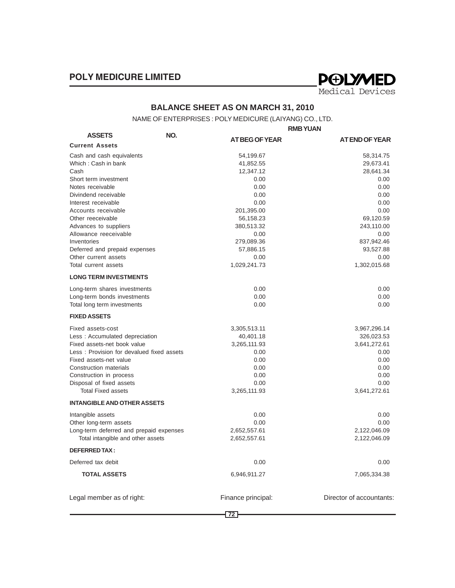

## **BALANCE SHEET AS ON MARCH 31, 2010**

NAME OF ENTERPRISES : POLY MEDICURE (LAIYANG) CO., LTD.

**RMB YUAN**

| <b>ASSETS</b>                                         | NO. | AT BEG OF YEAR          | AT END OF YEAR           |
|-------------------------------------------------------|-----|-------------------------|--------------------------|
| <b>Current Assets</b>                                 |     |                         |                          |
| Cash and cash equivalents                             |     | 54,199.67               | 58,314.75                |
| Which: Cash in bank                                   |     | 41,852.55               | 29,673.41                |
| Cash                                                  |     | 12,347.12               | 28,641.34                |
| Short term investment                                 |     | 0.00                    | 0.00                     |
| Notes receivable                                      |     | 0.00                    | 0.00                     |
| Divindend receivable                                  |     | 0.00                    | 0.00                     |
| Interest receivable                                   |     | 0.00                    | 0.00<br>0.00             |
| Accounts receivable<br>Other reeceivable              |     | 201,395.00<br>56,158.23 | 69,120.59                |
| Advances to suppliers                                 |     | 380,513.32              | 243,110.00               |
| Allowance reeceivable                                 |     | 0.00                    | 0.00                     |
| Inventories                                           |     | 279,089.36              | 837,942.46               |
| Deferred and prepaid expenses                         |     | 57,886.15               | 93,527.88                |
| Other current assets                                  |     | 0.00                    | 0.00                     |
| Total current assets                                  |     | 1,029,241.73            | 1,302,015.68             |
| <b>LONG TERM INVESTMENTS</b>                          |     |                         |                          |
| Long-term shares investments                          |     | 0.00                    | 0.00                     |
| Long-term bonds investments                           |     | 0.00                    | 0.00                     |
| Total long term investments                           |     | 0.00                    | 0.00                     |
| <b>FIXED ASSETS</b>                                   |     |                         |                          |
| Fixed assets-cost                                     |     | 3,305,513.11            | 3,967,296.14             |
| Less: Accumulated depreciation                        |     | 40,401.18               | 326,023.53               |
| Fixed assets-net book value                           |     | 3,265,111.93            | 3,641,272.61             |
| Less: Provision for devalued fixed assets             |     | 0.00                    | 0.00                     |
| Fixed assets-net value                                |     | 0.00                    | 0.00                     |
| Construction materials                                |     | 0.00                    | 0.00                     |
| Construction in process                               |     | 0.00                    | 0.00                     |
| Disposal of fixed assets<br><b>Total Fixed assets</b> |     | 0.00<br>3,265,111.93    | 0.00<br>3,641,272.61     |
|                                                       |     |                         |                          |
| <b>INTANGIBLE AND OTHER ASSETS</b>                    |     |                         |                          |
| Intangible assets                                     |     | 0.00                    | 0.00                     |
| Other long-term assets                                |     | 0.00                    | 0.00                     |
| Long-term deferred and prepaid expenses               |     | 2,652,557.61            | 2,122,046.09             |
| Total intangible and other assets                     |     | 2,652,557.61            | 2,122,046.09             |
| <b>DEFERRED TAX:</b>                                  |     |                         |                          |
| Deferred tax debit                                    |     | 0.00                    | 0.00                     |
| <b>TOTAL ASSETS</b>                                   |     | 6,946,911.27            | 7,065,334.38             |
| Legal member as of right:                             |     | Finance principal:      | Director of accountants: |
|                                                       |     | $\overline{72}$         |                          |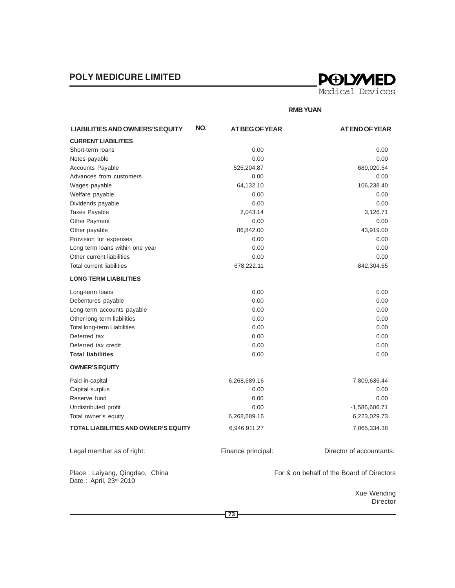

#### **RMB YUAN**

| <b>LIABILITIES AND OWNERS'S EQUITY</b>                   | NO.<br><b>AT BEG OF YEAR</b> | <b>AT END OF YEAR</b>                     |
|----------------------------------------------------------|------------------------------|-------------------------------------------|
| <b>CURRENT LIABILITIES</b>                               |                              |                                           |
| Short-term loans                                         | 0.00                         | 0.00                                      |
| Notes payable                                            | 0.00                         | 0.00                                      |
| Accounts Payable                                         | 525,204.87                   | 689,020.54                                |
| Advances from customers                                  | 0.00                         | 0.00                                      |
| Wages payable                                            | 64,132.10                    | 106,238.40                                |
| Welfare payable                                          | 0.00                         | 0.00                                      |
| Dividends payable                                        | 0.00                         | 0.00                                      |
| <b>Taxes Payable</b>                                     | 2,043.14                     | 3,126.71                                  |
| <b>Other Payment</b>                                     | 0.00                         | 0.00                                      |
| Other payable                                            | 86,842.00                    | 43,919.00                                 |
| Provision for expenses                                   | 0.00                         | 0.00                                      |
| Long term loans within one year                          | 0.00                         | 0.00                                      |
| Other current liabilities                                | 0.00                         | 0.00                                      |
| <b>Total current liabilities</b>                         | 678,222.11                   | 842,304.65                                |
| <b>LONG TERM LIABILITIES</b>                             |                              |                                           |
| Long-term loans                                          | 0.00                         | 0.00                                      |
| Debentures payable                                       | 0.00                         | 0.00                                      |
| Long-term accounts payable                               | 0.00                         | 0.00                                      |
| Other long-term liabilities                              | 0.00                         | 0.00                                      |
| <b>Total long-term Liabilities</b>                       | 0.00                         | 0.00                                      |
| Deferred tax                                             | 0.00                         | 0.00                                      |
| Deferred tax credit                                      | 0.00                         | 0.00                                      |
| <b>Total liabilities</b>                                 | 0.00                         | 0.00                                      |
| <b>OWNER'S EQUITY</b>                                    |                              |                                           |
| Paid-in-capital                                          | 6,268,689.16                 | 7,809,636.44                              |
| Capital surplus                                          | 0.00                         | 0.00                                      |
| Reserve fund                                             | 0.00                         | 0.00                                      |
| Undistributed profit                                     | 0.00                         | $-1,586,606.71$                           |
| Total owner's equity                                     | 6,268,689.16                 | 6,223,029.73                              |
| <b>TOTAL LIABILITIES AND OWNER'S EQUITY</b>              | 6,946,911.27                 | 7,065,334.38                              |
| Legal member as of right:                                | Finance principal:           | Director of accountants:                  |
| Place: Laiyang, Qingdao, China<br>Date: April, 23rd 2010 |                              | For & on behalf of the Board of Directors |
|                                                          |                              | Xue Wending<br>Director                   |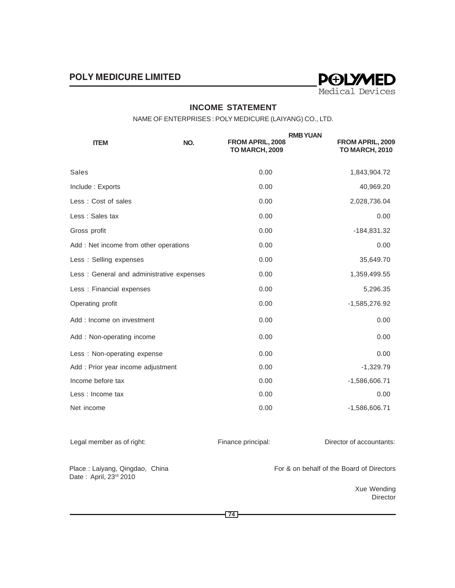

## **INCOME STATEMENT**

### NAME OF ENTERPRISES : POLY MEDICURE (LAIYANG) CO., LTD.

| <b>ITEM</b>                               | NO. | <b>RMB YUAN</b><br>FROM APRIL, 2008<br><b>TO MARCH, 2009</b> | FROM APRIL, 2009<br><b>TO MARCH, 2010</b> |
|-------------------------------------------|-----|--------------------------------------------------------------|-------------------------------------------|
| <b>Sales</b>                              |     | 0.00                                                         | 1,843,904.72                              |
| Include: Exports                          |     | 0.00                                                         | 40,969.20                                 |
| Less: Cost of sales                       |     | 0.00                                                         | 2,028,736.04                              |
| Less: Sales tax                           |     | 0.00                                                         | 0.00                                      |
| Gross profit                              |     | 0.00                                                         | $-184,831.32$                             |
| Add: Net income from other operations     |     | 0.00                                                         | 0.00                                      |
| Less: Selling expenses                    |     | 0.00                                                         | 35,649.70                                 |
| Less: General and administrative expenses |     | 0.00                                                         | 1,359,499.55                              |
| Less : Financial expenses                 |     | 0.00                                                         | 5,296.35                                  |
| Operating profit                          |     | 0.00                                                         | -1,585,276.92                             |
| Add: Income on investment                 |     | 0.00                                                         | 0.00                                      |
| Add: Non-operating income                 |     | 0.00                                                         | 0.00                                      |
| Less: Non-operating expense               |     | 0.00                                                         | 0.00                                      |
| Add: Prior year income adjustment         |     | 0.00                                                         | $-1,329.79$                               |
| Income before tax                         |     | 0.00                                                         | $-1,586,606.71$                           |
| Less : Income tax                         |     | 0.00                                                         | 0.00                                      |
| Net income                                |     | 0.00                                                         | $-1,586,606.71$                           |

Legal member as of right: Finance principal: Director of accountants:

Place : Laiyang, Qingdao, China<br>Date : April, 23<sup>rd</sup> 2010

For & on behalf of the Board of Directors

Xue Wending Director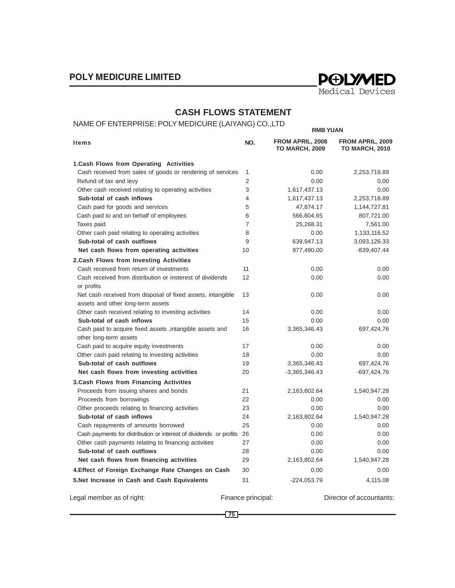

**RMB YUAN**

## **CASH FLOWS STATEMENT**

NAME OF ENTERPRISE: POLY MEDICURE (LAIYANG) CO.,LTD

| <b>Items</b>                                                          | NO.                | FROM APRIL, 2008<br><b>TO MARCH, 2009</b> | <b>FROM APRIL, 2009</b><br><b>TO MARCH, 2010</b> |
|-----------------------------------------------------------------------|--------------------|-------------------------------------------|--------------------------------------------------|
| 1. Cash Flows from Operating Activities                               |                    |                                           |                                                  |
| Cash received from sales of goods or rendering of services            | 1                  | 0.00                                      | 2,253,718.89                                     |
| Refund of tax and levy                                                | $\overline{2}$     | 0.00                                      | 0.00                                             |
| Other cash received relating to operating activities                  | 3                  | 1,617,437.13                              | 0.00                                             |
| Sub-total of cash inflows                                             | 4                  | 1,617,437.13                              | 2,253,718.89                                     |
| Cash paid for goods and services                                      | 5                  | 47,874.17                                 | 1,144,727.81                                     |
| Cash paid to and on behalf of employees                               | 6                  | 566,804.65                                | 807,721.00                                       |
| Taxes paid                                                            | $\overline{7}$     | 25,268.31                                 | 7,561.00                                         |
| Other cash paid relating to operating activities                      | 8                  | 0.00                                      | 1,133,116.52                                     |
| Sub-total of cash outflows                                            | 9                  | 639,947.13                                | 3,093,126.33                                     |
| Net cash flows from operating activities                              | 10                 | 977,490.00                                | -839,407.44                                      |
| 2.Cash Flows from Investing Activities                                |                    |                                           |                                                  |
| Cash received from return of investments                              | 11                 | 0.00                                      | 0.00                                             |
| Cash received from distribution or insterest of dividends             | 12                 | 0.00                                      | 0.00                                             |
| or profits                                                            |                    |                                           |                                                  |
| Net cash received from disposal of fixed assets, intangible           | 13                 | 0.00                                      | 0.00                                             |
| assets and other long-term assets                                     |                    |                                           |                                                  |
| Other cash received relating to investing activities                  | 14                 | 0.00                                      | 0.00                                             |
| Sub-total of cash inflows                                             | 15                 | 0.00                                      | 0.00                                             |
| Cash paid to acquire fixed assets, intangible assets and              | 16                 | 3,365,346.43                              | 697,424.76                                       |
| other long-term assets                                                |                    |                                           |                                                  |
| Cash paid to acquire equity investments                               | 17                 | 0.00                                      | 0.00                                             |
| Other cash paid relating to investing activities                      | 18                 | 0.00                                      | 0.00                                             |
| Sub-total of cash outflows                                            | 19                 | 3,365,346.43                              | 697,424.76                                       |
| Net cash flows from investing activities                              | 20                 | $-3,365,346.43$                           | -697,424.76                                      |
| 3. Cash Flows from Financing Activities                               |                    |                                           |                                                  |
| Proceeds from issuing shares and bonds                                | 21                 | 2,163,802.64                              | 1,540,947.28                                     |
| Proceeds from borrowings                                              | 22                 | 0.00                                      | 0.00                                             |
| Other proceeds relating to financing activities                       | 23                 | 0.00                                      | 0.00                                             |
| Sub-total of cash inflows                                             | 24                 | 2,163,802.64                              | 1,540,947.28                                     |
| Cash repayments of amounts borrowed                                   | 25                 | 0.00                                      | 0.00                                             |
| Cash payments for distribution or interest of dividends or profits 26 |                    | 0.00                                      | 0.00                                             |
| Other cash payments relating to financing activities                  | 27                 | 0.00                                      | 0.00                                             |
| Sub-total of cash outflows                                            | 28                 | 0.00                                      | 0.00                                             |
| Net cash flows from financing activities                              | 29                 | 2,163,802.64                              | 1,540,947.28                                     |
| 4. Effect of Foreign Exchange Rate Changes on Cash                    | 30                 | 0.00                                      | 0.00                                             |
| 5. Net Increase in Cash and Cash Equivalents                          | 31                 | $-224,053.79$                             | 4,115.08                                         |
| Legal member as of right:                                             | Finance principal: |                                           | Director of accountants:                         |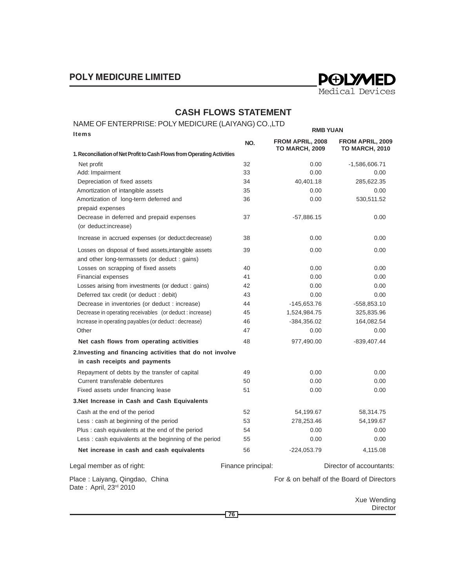

**RMB YUAN**

## **CASH FLOWS STATEMENT**

NAME OF ENTERPRISE: POLY MEDICURE (LAIYANG) CO.,LTD

| <b>Items</b>                                                                                          | NIVID I VAIV       |                                           |                                           |
|-------------------------------------------------------------------------------------------------------|--------------------|-------------------------------------------|-------------------------------------------|
|                                                                                                       | NO.                | FROM APRIL, 2008<br><b>TO MARCH, 2009</b> | FROM APRIL, 2009<br><b>TO MARCH, 2010</b> |
| 1. Reconciliation of Net Profit to Cash Flows from Operating Activities                               |                    |                                           |                                           |
| Net profit                                                                                            | 32                 | 0.00                                      | -1,586,606.71                             |
| Add: Impairment                                                                                       | 33                 | 0.00                                      | 0.00                                      |
| Depreciation of fixed assets                                                                          | 34                 | 40,401.18                                 | 285,622.35                                |
| Amortization of intangible assets                                                                     | 35                 | 0.00                                      | 0.00                                      |
| Amortization of long-term deferred and<br>prepaid expenses                                            | 36                 | 0.00                                      | 530,511.52                                |
| Decrease in deferred and prepaid expenses<br>(or deduct:increase)                                     | 37                 | $-57,886.15$                              | 0.00                                      |
| Increase in accrued expenses (or deduct: decrease)                                                    | 38                 | 0.00                                      | 0.00                                      |
| Losses on disposal of fixed assets, intangible assets<br>and other long-termassets (or deduct: gains) | 39                 | 0.00                                      | 0.00                                      |
| Losses on scrapping of fixed assets                                                                   | 40                 | 0.00                                      | 0.00                                      |
| <b>Financial expenses</b>                                                                             | 41                 | 0.00                                      | 0.00                                      |
| Losses arising from investments (or deduct : gains)                                                   | 42                 | 0.00                                      | 0.00                                      |
| Deferred tax credit (or deduct : debit)                                                               | 43                 | 0.00                                      | 0.00                                      |
| Decrease in inventories (or deduct : increase)                                                        | 44                 | $-145,653.76$                             | $-558,853.10$                             |
| Decrease in operating receivables (or deduct: increase)                                               | 45                 | 1,524,984.75                              | 325,835.96                                |
| Increase in operating payables (or deduct: decrease)                                                  | 46                 | $-384,356.02$                             | 164,082.54                                |
| Other                                                                                                 | 47                 | 0.00                                      | 0.00                                      |
| Net cash flows from operating activities                                                              | 48                 | 977,490.00                                | -839,407.44                               |
| 2. Investing and financing activities that do not involve<br>in cash receipts and payments            |                    |                                           |                                           |
| Repayment of debts by the transfer of capital                                                         | 49                 | 0.00                                      | 0.00                                      |
| Current transferable debentures                                                                       | 50                 | 0.00                                      | 0.00                                      |
| Fixed assets under financing lease                                                                    | 51                 | 0.00                                      | 0.00                                      |
| 3. Net Increase in Cash and Cash Equivalents                                                          |                    |                                           |                                           |
| Cash at the end of the period                                                                         | 52                 | 54,199.67                                 | 58,314.75                                 |
| Less: cash at beginning of the period                                                                 | 53                 | 278,253.46                                | 54,199.67                                 |
| Plus: cash equivalents at the end of the period                                                       | 54                 | 0.00                                      | 0.00                                      |
| Less: cash equivalents at the beginning of the period                                                 | 55                 | 0.00                                      | 0.00                                      |
| Net increase in cash and cash equivalents                                                             | 56                 | $-224,053.79$                             | 4,115.08                                  |
| Legal member as of right:                                                                             | Finance principal: |                                           | Director of accountants:                  |
| Place: Laiyang, Qingdao, China<br>Date : April, 23 <sup>rd</sup> 2010                                 |                    |                                           | For & on behalf of the Board of Directors |
|                                                                                                       |                    |                                           | Xue Wending<br>Director                   |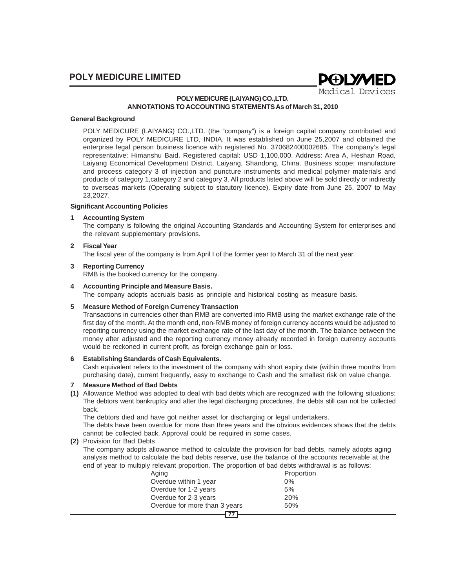

#### **POLY MEDICURE (LAIYANG) CO.,LTD. ANNOTATIONS TO ACCOUNTING STATEMENTS As of March 31, 2010**

#### **General Background**

POLY MEDICURE (LAIYANG) CO.,LTD. (the "company") is a foreign capital company contributed and organized by POLY MEDICURE LTD, INDIA. It was established on June 25,2007 and obtained the enterprise legal person business licence with registered No. 370682400002685. The company's legal representative: Himanshu Baid. Registered capital: USD 1,100,000. Address: Area A, Heshan Road, Laiyang Economical Development District, Laiyang, Shandong, China. Business scope: manufacture and process category 3 of injection and puncture instruments and medical polymer materials and products of category 1,category 2 and category 3. All products listed above will be sold directly or indirectly to overseas markets (Operating subject to statutory licence). Expiry date from June 25, 2007 to May 23,2027.

#### **Significant Accounting Policies**

#### **1 Accounting System**

The company is following the original Accounting Standards and Accounting System for enterprises and the relevant supplementary provisions.

#### **2 Fiscal Year**

The fiscal year of the company is from April I of the former year to March 31 of the next year.

**3 Reporting Currency**

RMB is the booked currency for the company.

**4 Accounting Principle and Measure Basis.**

The company adopts accruals basis as principle and historical costing as measure basis.

**5 Measure Method of Foreign Currency Transaction**

Transactions in currencies other than RMB are converted into RMB using the market exchange rate of the first day of the month. At the month end, non-RMB money of foreign currency acconts would be adjusted to reporting currency using the market exchange rate of the last day of the month. The balance between the money after adjusted and the reporting currency money already recorded in foreign currency accounts would be reckoned in current profit, as foreign exchange gain or loss.

#### **6 Establishing Standards of Cash Equivalents.**

Cash equivalent refers to the investment of the company with short expiry date (within three months from purchasing date), current frequently, easy to exchange to Cash and the smallest risk on value change.

#### **7 Measure Method of Bad Debts**

**(1)** Allowance Method was adopted to deal with bad debts which are recognized with the following situations: The debtors went bankruptcy and after the legal discharging procedures, the debts still can not be collected back.

The debtors died and have got neither asset for discharging or legal undertakers.

The debts have been overdue for more than three years and the obvious evidences shows that the debts cannot be collected back. Approval could be required in some cases.

**(2)** Provision for Bad Debts

The company adopts allowance method to calculate the provision for bad debts, namely adopts aging analysis method to calculate the bad debts reserve, use the balance of the accounts receivable at the end of year to multiply relevant proportion. The proportion of bad debts withdrawal is as follows:

| Aging                         | Proportion |
|-------------------------------|------------|
| Overdue within 1 year         | $0\%$      |
| Overdue for 1-2 years         | 5%         |
| Overdue for 2-3 years         | 20%        |
| Overdue for more than 3 years | 50%        |
| 77                            |            |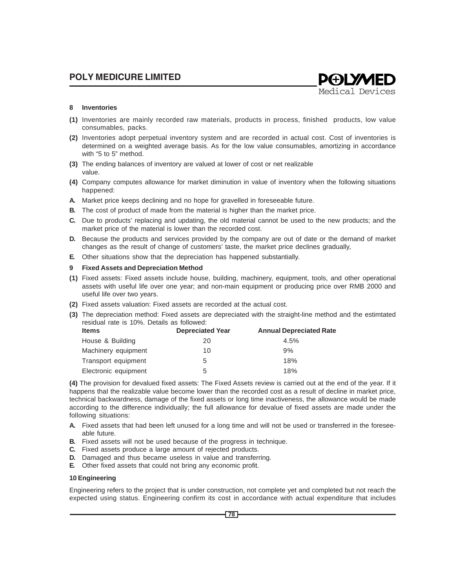

#### **8 Inventories**

- **(1)** Inventories are mainly recorded raw materials, products in process, finished products, low value consumables, packs.
- **(2)** Inventories adopt perpetual inventory system and are recorded in actual cost. Cost of inventories is determined on a weighted average basis. As for the low value consumables, amortizing in accordance with "5 to 5" method.
- **(3)** The ending balances of inventory are valued at lower of cost or net realizable value.
- **(4)** Company computes allowance for market diminution in value of inventory when the following situations happened:
- **A.** Market price keeps declining and no hope for gravelled in foreseeable future.
- **B.** The cost of product of made from the material is higher than the market price.
- **C.** Due to products' replacing and updating, the old material cannot be used to the new products; and the market price of the material is lower than the recorded cost.
- **D.** Because the products and services provided by the company are out of date or the demand of market changes as the result of change of customers' taste, the market price declines gradually,
- **E.** Other situations show that the depreciation has happened substantially.
- **9 Fixed Assets and Depreciation Method**
- **(1)** Fixed assets: Fixed assets include house, building, machinery, equipment, tools, and other operational assets with useful life over one year; and non-main equipment or producing price over RMB 2000 and useful life over two years.
- **(2)** Fixed assets valuation: Fixed assets are recorded at the actual cost.
- **(3)** The depreciation method: Fixed assets are depreciated with the straight-line method and the estimtated residual rate is 10%. Details as followed:

| <b>Items</b>         | <b>Depreciated Year</b> | <b>Annual Depreciated Rate</b> |
|----------------------|-------------------------|--------------------------------|
| House & Building     | 20                      | 4.5%                           |
| Machinery equipment  | 10                      | 9%                             |
| Transport equipment  | 5                       | 18%                            |
| Electronic equipment | 5                       | 18%                            |

**(4)** The provision for devalued fixed assets: The Fixed Assets review is carried out at the end of the year. If it happens thaI the realizable value become lower than the recorded cost as a result of decline in market price, technical backwardness, damage of the fixed assets or long time inactiveness, the allowance would be made according to the difference individually; the full allowance for devalue of fixed assets are made under the following situations:

- **A.** Fixed assets that had been left unused for a long time and will not be used or transferred in the foreseeable future.
- **B.** Fixed assets will not be used because of the progress in technique.
- **C.** Fixed assets produce a large amount of rejected products.
- **D.** Damaged and thus became useless in value and transferring.
- **E.** Other fixed assets that could not bring any economic profit.

#### **10 Engineering**

Engineering refers to the project that is under construction, not complete yet and completed but not reach the expected using status. Engineering confirm its cost in accordance with actual expenditure that includes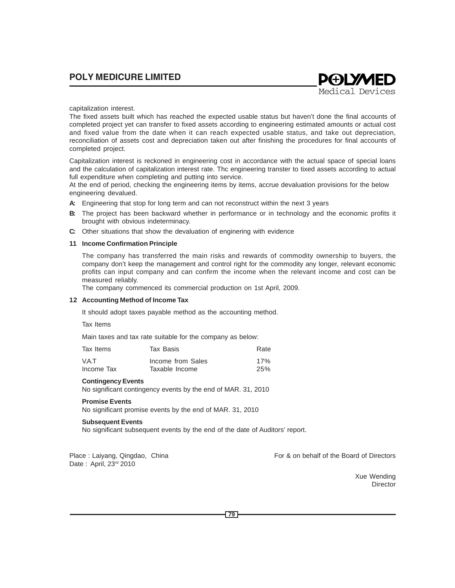DAI YMED Medical Devices

capitalization interest.

The fixed assets built which has reached the expected usable status but haven't done the final accounts of completed project yet can transfer to fixed assets according to engineering estimated amounts or actual cost and fixed value from the date when it can reach expected usable status, and take out depreciation, reconciliation of assets cost and depreciation taken out after finishing the procedures for final accounts of completed project.

Capitalization interest is reckoned in engineering cost in accordance with the actual space of special loans and the calculation of capitalization interest rate. Thc engineering transter to tixed assets according to actual full expenditure when completing and putting into service.

At the end of period, checking the engineering items by items, accrue devaluation provisions for the below engineering devalued.

- **A:** Engineering that stop for long term and can not reconstruct within the next 3 years
- **B:** The project has been backward whether in performance or in technology and the economic profits it brought with obvious indeterminacy.
- **C:** Other situations that show the devaluation of enginering with evidence

#### **11 Income Confirmation Principle**

The company has transferred the main risks and rewards of commodity ownership to buyers, the company don't keep the management and control right for the commodity any longer, relevant economic profits can input company and can confirm the income when the relevant income and cost can be measured reliably.

The company commenced its commercial production on 1st April, 2009.

#### **12 Accounting Method of Income Tax**

It should adopt taxes payable method as the accounting method.

Tax Items

Main taxes and tax rate suitable for the company as below:

| Tax Items  | Tax Basis         | Rate |
|------------|-------------------|------|
| V.A.T      | Income from Sales | 17%  |
| Income Tax | Taxable Income    | 25%  |

#### **Contingency Events**

No significant contingency events by the end of MAR. 31, 2010

#### **Promise Events**

No significant promise events by the end of MAR. 31, 2010

#### **Subsequent Events**

No significant subsequent events by the end of the date of Auditors' report.

Date: April, 23rd 2010

Place : Laiyang, Qingdao, China For & on behalf of the Board of Directors

Xue Wending **Director**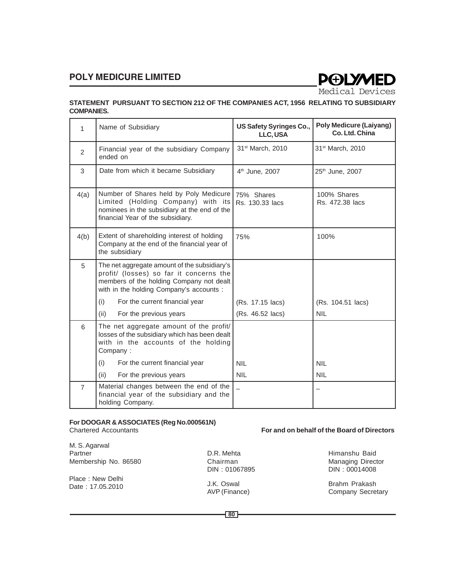

Medical Devices

#### **STATEMENT PURSUANT TO SECTION 212 OF THE COMPANIES ACT, 1956 RELATING TO SUBSIDIARY COMPANIES.**

| 1              | Name of Subsidiary                                                                                                                                                              | US Safety Syringes Co.,<br>LLC, USA | <b>Poly Medicure (Laiyang)</b><br>Co. Ltd. China |
|----------------|---------------------------------------------------------------------------------------------------------------------------------------------------------------------------------|-------------------------------------|--------------------------------------------------|
| 2              | Financial year of the subsidiary Company<br>ended on                                                                                                                            | 31 <sup>st</sup> March, 2010        | 31 <sup>st</sup> March, 2010                     |
| 3              | Date from which it became Subsidiary                                                                                                                                            | 4 <sup>th</sup> June, 2007          | 25th June, 2007                                  |
| 4(a)           | Number of Shares held by Poly Medicure<br>Limited (Holding Company) with its<br>nominees in the subsidiary at the end of the<br>financial Year of the subsidiary.               | 75% Shares<br>Rs. 130.33 lacs       | 100% Shares<br>Rs. 472.38 lacs                   |
| 4(b)           | Extent of shareholding interest of holding<br>Company at the end of the financial year of<br>the subsidiary                                                                     | 75%                                 | 100%                                             |
| 5              | The net aggregate amount of the subsidiary's<br>profit/ (losses) so far it concerns the<br>members of the holding Company not dealt<br>with in the holding Company's accounts : |                                     |                                                  |
|                | For the current financial year<br>(i)                                                                                                                                           | (Rs. 17.15 lacs)                    | (Rs. 104.51 lacs)                                |
|                | (ii)<br>For the previous years                                                                                                                                                  | (Rs. 46.52 lacs)                    | <b>NIL</b>                                       |
| 6              | The net aggregate amount of the profit/<br>losses of the subsidiary which has been dealt<br>with in the accounts of the holding<br>Company:                                     |                                     |                                                  |
|                | (i)<br>For the current financial year                                                                                                                                           | <b>NIL</b>                          | <b>NIL</b>                                       |
|                | (ii)<br>For the previous years                                                                                                                                                  | <b>NIL</b>                          | <b>NIL</b>                                       |
| $\overline{7}$ | Material changes between the end of the<br>financial year of the subsidiary and the<br>holding Company.                                                                         | $\overline{\phantom{0}}$            |                                                  |

# **For DOOGAR & ASSOCIATES (Reg No.000561N)**

#### **For and on behalf of the Board of Directors**

M. S. Agarwal

Place : New Delhi Date : 17.05.2010 DIN: 01067895

J.K. Oswal **Brahm Prakash** 

D.R. Mehta Himanshu Baid<br>Chairman Managing Director Membership No. 86580 Chairman Chairman Managing Directors of the Managing Directors of the Chairman Managing D<br>DIN: 00014008 DIN: 00014008

AVP (Finance) Company Secretary